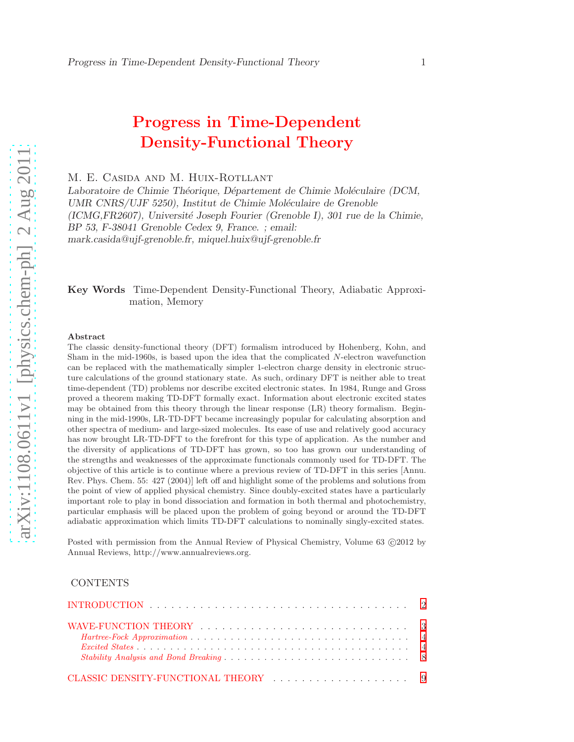# Progress in Time-Dependent Density-Functional Theory

M. E. Casida and M. Huix-Rotllant

Laboratoire de Chimie Théorique, Département de Chimie Moléculaire (DCM, *UMR CNRS/UJF 5250), Institut de Chimie Mol´eculaire de Grenoble (ICMG,FR2607), Universit´e Joseph Fourier (Grenoble I), 301 rue de la Chimie, BP 53, F-38041 Grenoble Cedex 9, France. ; email: mark.casida@ujf-grenoble.fr, miquel.huix@ujf-grenoble.fr*

# Key Words Time-Dependent Density-Functional Theory, Adiabatic Approximation, Memory

#### Abstract

The classic density-functional theory (DFT) formalism introduced by Hohenberg, Kohn, and Sham in the mid-1960s, is based upon the idea that the complicated N-electron wavefunction can be replaced with the mathematically simpler 1-electron charge density in electronic structure calculations of the ground stationary state. As such, ordinary DFT is neither able to treat time-dependent (TD) problems nor describe excited electronic states. In 1984, Runge and Gross proved a theorem making TD-DFT formally exact. Information about electronic excited states may be obtained from this theory through the linear response (LR) theory formalism. Beginning in the mid-1990s, LR-TD-DFT became increasingly popular for calculating absorption and other spectra of medium- and large-sized molecules. Its ease of use and relatively good accuracy has now brought LR-TD-DFT to the forefront for this type of application. As the number and the diversity of applications of TD-DFT has grown, so too has grown our understanding of the strengths and weaknesses of the approximate functionals commonly used for TD-DFT. The objective of this article is to continue where a previous review of TD-DFT in this series [Annu. Rev. Phys. Chem. 55: 427 (2004)] left off and highlight some of the problems and solutions from the point of view of applied physical chemistry. Since doubly-excited states have a particularly important role to play in bond dissociation and formation in both thermal and photochemistry, particular emphasis will be placed upon the problem of going beyond or around the TD-DFT adiabatic approximation which limits TD-DFT calculations to nominally singly-excited states.

Posted with permission from the Annual Review of Physical Chemistry, Volume 63  $\odot$ 2012 by Annual Reviews, http://www.annualreviews.org.

#### CONTENTS

| WAVE-FUNCTION THEORY $\ldots \ldots \ldots \ldots \ldots \ldots \ldots \ldots \ldots \ldots \ldots$ |  |  |  |  |  |  |  |  |  |  |  |  |  |
|-----------------------------------------------------------------------------------------------------|--|--|--|--|--|--|--|--|--|--|--|--|--|
|                                                                                                     |  |  |  |  |  |  |  |  |  |  |  |  |  |
|                                                                                                     |  |  |  |  |  |  |  |  |  |  |  |  |  |
|                                                                                                     |  |  |  |  |  |  |  |  |  |  |  |  |  |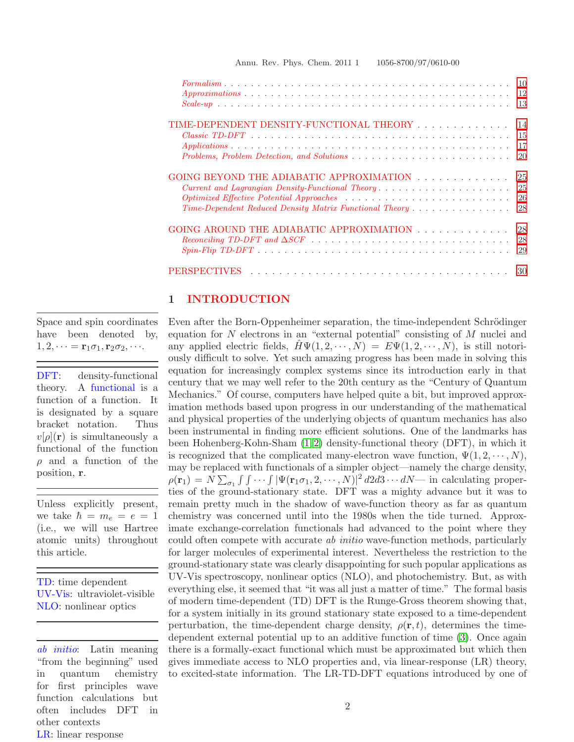|                                                         | 10<br>12<br>13 |
|---------------------------------------------------------|----------------|
| TIME-DEPENDENT DENSITY-FUNCTIONAL THEORY                | 14             |
|                                                         | 15             |
|                                                         | 17             |
|                                                         | 20             |
| GOING BEYOND THE ADIABATIC APPROXIMATION                | 25             |
|                                                         | 25             |
|                                                         | 26             |
| Time-Dependent Reduced Density Matrix Functional Theory | 28             |
| GOING AROUND THE ADIABATIC APPROXIMATION                | 28             |
|                                                         | 28             |
|                                                         |                |
|                                                         | 29             |
| PERSPECTIVES                                            |                |

#### Annu. Rev. Phys. Chem. 2011 1 1056-8700/97/0610-00

# <span id="page-1-0"></span>1 INTRODUCTION

Space and spin coordinates have been denoted by,  $1, 2, \dots = \mathbf{r}_1 \sigma_1, \mathbf{r}_2 \sigma_2, \dots$ 

DFT: density-functional theory. A functional is a function of a function. It is designated by a square bracket notation. Thus  $v[\rho](\mathbf{r})$  is simultaneously a functional of the function  $\rho$  and a function of the position, r.

Unless explicitly present, we take  $\hbar = m_e = e = 1$ (i.e., we will use Hartree atomic units) throughout this article.

TD: time dependent UV-Vis: ultraviolet-visible NLO: nonlinear optics

ab initio: Latin meaning "from the beginning" used in quantum chemistry for first principles wave function calculations but often includes DFT in other contexts LR: linear response

Even after the Born-Oppenheimer separation, the time-independent Schrödinger equation for  $N$  electrons in an "external potential" consisting of  $M$  nuclei and any applied electric fields,  $H\Psi(1, 2, \dots, N) = E\Psi(1, 2, \dots, N)$ , is still notoriously difficult to solve. Yet such amazing progress has been made in solving this equation for increasingly complex systems since its introduction early in that century that we may well refer to the 20th century as the "Century of Quantum Mechanics." Of course, computers have helped quite a bit, but improved approximation methods based upon progress in our understanding of the mathematical and physical properties of the underlying objects of quantum mechanics has also been instrumental in finding more efficient solutions. One of the landmarks has been Hohenberg-Kohn-Sham [\(1,](#page-31-0) [2\)](#page-31-1) density-functional theory (DFT), in which it is recognized that the complicated many-electron wave function,  $\Psi(1, 2, \dots, N)$ , may be replaced with functionals of a simpler object—namely the charge density,  $\rho(\mathbf{r}_1) = N \sum_{\sigma_1} \int \int \cdots \int |\Psi(\mathbf{r}_1 \sigma_1, 2, \cdots, N)|^2 d2d3 \cdots dN$  in calculating properties of the ground-stationary state. DFT was a mighty advance but it was to remain pretty much in the shadow of wave-function theory as far as quantum chemistry was concerned until into the 1980s when the tide turned. Approximate exchange-correlation functionals had advanced to the point where they could often compete with accurate ab initio wave-function methods, particularly for larger molecules of experimental interest. Nevertheless the restriction to the ground-stationary state was clearly disappointing for such popular applications as UV-Vis spectroscopy, nonlinear optics (NLO), and photochemistry. But, as with everything else, it seemed that "it was all just a matter of time." The formal basis of modern time-dependent (TD) DFT is the Runge-Gross theorem showing that, for a system initially in its ground stationary state exposed to a time-dependent perturbation, the time-dependent charge density,  $\rho(\mathbf{r},t)$ , determines the timedependent external potential up to an additive function of time [\(3\)](#page-31-2). Once again there is a formally-exact functional which must be approximated but which then gives immediate access to NLO properties and, via linear-response (LR) theory, to excited-state information. The LR-TD-DFT equations introduced by one of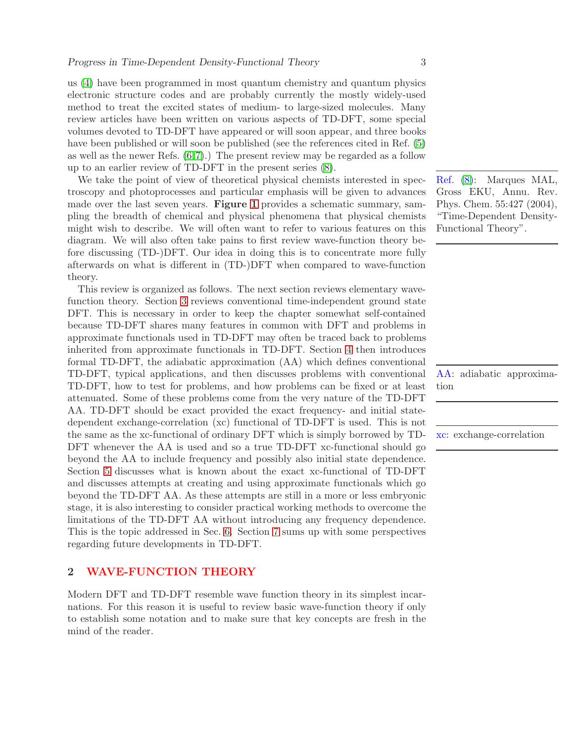us [\(4\)](#page-31-3) have been programmed in most quantum chemistry and quantum physics electronic structure codes and are probably currently the mostly widely-used method to treat the excited states of medium- to large-sized molecules. Many review articles have been written on various aspects of TD-DFT, some special volumes devoted to TD-DFT have appeared or will soon appear, and three books have been published or will soon be published (see the references cited in Ref. [\(5\)](#page-31-4) as well as the newer Refs. [\(6,](#page-31-5)[7\)](#page-31-6).) The present review may be regarded as a follow up to an earlier review of TD-DFT in the present series [\(8\)](#page-31-7).

We take the point of view of theoretical physical chemists interested in spectroscopy and photoprocesses and particular emphasis will be given to advances made over the last seven years. **Figure [1](#page-42-0)** provides a schematic summary, sampling the breadth of chemical and physical phenomena that physical chemists might wish to describe. We will often want to refer to various features on this diagram. We will also often take pains to first review wave-function theory before discussing (TD-)DFT. Our idea in doing this is to concentrate more fully afterwards on what is different in (TD-)DFT when compared to wave-function theory.

This review is organized as follows. The next section reviews elementary wavefunction theory. Section [3](#page-8-0) reviews conventional time-independent ground state DFT. This is necessary in order to keep the chapter somewhat self-contained because TD-DFT shares many features in common with DFT and problems in approximate functionals used in TD-DFT may often be traced back to problems inherited from approximate functionals in TD-DFT. Section [4](#page-13-0) then introduces formal TD-DFT, the adiabatic approximation (AA) which defines conventional TD-DFT, typical applications, and then discusses problems with conventional TD-DFT, how to test for problems, and how problems can be fixed or at least attenuated. Some of these problems come from the very nature of the TD-DFT AA. TD-DFT should be exact provided the exact frequency- and initial statedependent exchange-correlation (xc) functional of TD-DFT is used. This is not the same as the xc-functional of ordinary DFT which is simply borrowed by TD- xc: exchange-correlation DFT whenever the AA is used and so a true TD-DFT xc-functional should go beyond the AA to include frequency and possibly also initial state dependence. Section [5](#page-24-0) discusses what is known about the exact xc-functional of TD-DFT and discusses attempts at creating and using approximate functionals which go beyond the TD-DFT AA. As these attempts are still in a more or less embryonic stage, it is also interesting to consider practical working methods to overcome the limitations of the TD-DFT AA without introducing any frequency dependence. This is the topic addressed in Sec. [6.](#page-27-1) Section [7](#page-29-0) sums up with some perspectives regarding future developments in TD-DFT.

# <span id="page-2-0"></span>2 WAVE-FUNCTION THEORY

Modern DFT and TD-DFT resemble wave function theory in its simplest incarnations. For this reason it is useful to review basic wave-function theory if only to establish some notation and to make sure that key concepts are fresh in the mind of the reader.

Ref. [\(8\)](#page-31-7): Marques MAL, Gross EKU, Annu. Rev. Phys. Chem. 55:427 (2004), "Time-Dependent Density-Functional Theory".

AA: adiabatic approximation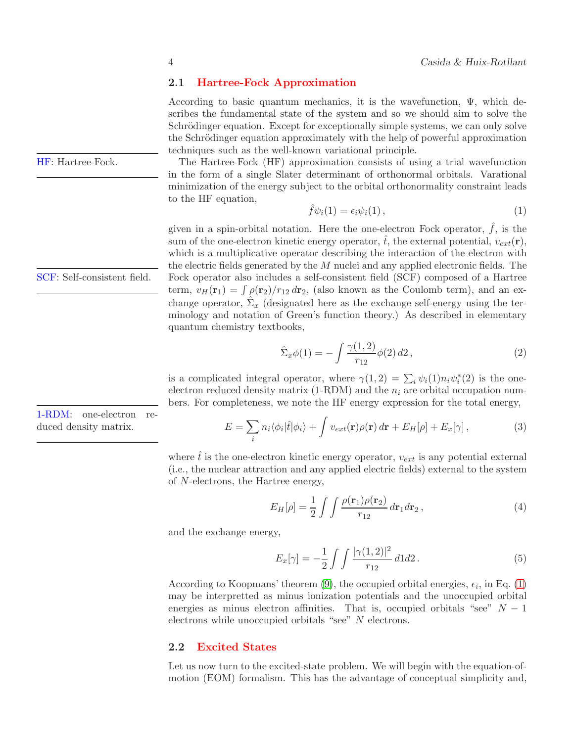# 2.1 Hartree-Fock Approximation

According to basic quantum mechanics, it is the wavefunction,  $\Psi$ , which describes the fundamental state of the system and so we should aim to solve the Schrödinger equation. Except for exceptionally simple systems, we can only solve the Schrödinger equation approximately with the help of powerful approximation techniques such as the well-known variational principle.

HF: Hartree-Fock. The Hartree-Fock (HF) approximation consists of using a trial wavefunction in the form of a single Slater determinant of orthonormal orbitals. Varational minimization of the energy subject to the orbital orthonormality constraint leads to the HF equation,

<span id="page-3-2"></span>
$$
\hat{f}\psi_i(1) = \epsilon_i \psi_i(1) \,, \tag{1}
$$

given in a spin-orbital notation. Here the one-electron Fock operator,  $\hat{f}$ , is the sum of the one-electron kinetic energy operator,  $\hat{t}$ , the external potential,  $v_{ext}(\mathbf{r})$ , which is a multiplicative operator describing the interaction of the electron with the electric fields generated by the  $M$  nuclei and any applied electronic fields. The SCF: Self-consistent field. Fock operator also includes a self-consistent field (SCF) composed of a Hartree term,  $v_H(\mathbf{r}_1) = \int \rho(\mathbf{r}_2)/r_{12} d\mathbf{r}_2$ , (also known as the Coulomb term), and an exchange operator,  $\hat{\Sigma}_x$  (designated here as the exchange self-energy using the terminology and notation of Green's function theory.) As described in elementary quantum chemistry textbooks,

<span id="page-3-4"></span>
$$
\hat{\Sigma}_x \phi(1) = -\int \frac{\gamma(1,2)}{r_{12}} \phi(2) \, d2 \,, \tag{2}
$$

is a complicated integral operator, where  $\gamma(1,2) = \sum_i \psi_i(1) n_i \psi_i^*(2)$  is the oneelectron reduced density matrix (1-RDM) and the  $n_i$  are orbital occupation numbers. For completeness, we note the HF energy expression for the total energy,

1-RDM: one-electron reduced density matrix.

<span id="page-3-3"></span>
$$
E = \sum_{i} n_i \langle \phi_i | \hat{t} | \phi_i \rangle + \int v_{ext}(\mathbf{r}) \rho(\mathbf{r}) d\mathbf{r} + E_H[\rho] + E_x[\gamma], \tag{3}
$$

where  $\hat{t}$  is the one-electron kinetic energy operator,  $v_{ext}$  is any potential external (i.e., the nuclear attraction and any applied electric fields) external to the system of N-electrons, the Hartree energy,

$$
E_H[\rho] = \frac{1}{2} \int \int \frac{\rho(\mathbf{r}_1)\rho(\mathbf{r}_2)}{r_{12}} d\mathbf{r}_1 d\mathbf{r}_2 , \qquad (4)
$$

and the exchange energy,

$$
E_x[\gamma] = -\frac{1}{2} \int \int \frac{|\gamma(1,2)|^2}{r_{12}} d1 d2. \tag{5}
$$

According to Koopmans' theorem [\(9\)](#page-32-0), the occupied orbital energies,  $\epsilon_i$ , in Eq. [\(1\)](#page-3-2) may be interpretted as minus ionization potentials and the unoccupied orbital energies as minus electron affinities. That is, occupied orbitals "see"  $N-1$ electrons while unoccupied orbitals "see" N electrons.

## <span id="page-3-1"></span>2.2 Excited States

Let us now turn to the excited-state problem. We will begin with the equation-ofmotion (EOM) formalism. This has the advantage of conceptual simplicity and,

<span id="page-3-0"></span>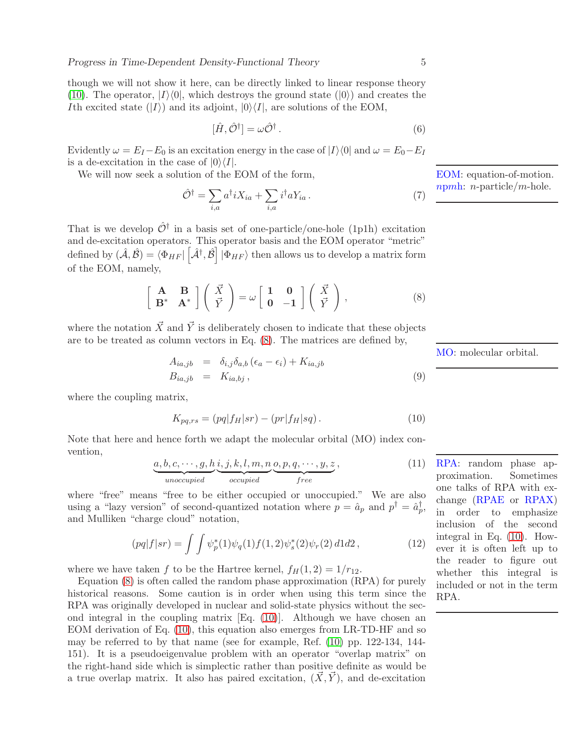though we will not show it here, can be directly linked to linear response theory [\(10\)](#page-32-1). The operator,  $|I\rangle\langle 0|$ , which destroys the ground state ( $|0\rangle$ ) and creates the Ith excited state  $(|I\rangle)$  and its adjoint,  $|0\rangle\langle I|$ , are solutions of the EOM,

$$
[\hat{H}, \hat{\mathcal{O}}^{\dagger}] = \omega \hat{\mathcal{O}}^{\dagger}.
$$
 (6)

Evidently  $\omega = E_I - E_0$  is an excitation energy in the case of  $|I\rangle\langle 0|$  and  $\omega = E_0 - E_I$ is a de-excitation in the case of  $|0\rangle\langle I|$ .

We will now seek a solution of the EOM of the form,

$$
\hat{\mathcal{O}}^{\dagger} = \sum_{i,a} a^{\dagger} i X_{ia} + \sum_{i,a} i^{\dagger} a Y_{ia} . \tag{7}
$$

That is we develop  $\hat{\mathcal{O}}^{\dagger}$  in a basis set of one-particle/one-hole (1p1h) excitation and de-excitation operators. This operator basis and the EOM operator "metric" defined by  $(\hat{A}, \hat{B}) = \langle \Phi_{HF} | [\hat{A}^{\dagger}, \hat{B}] | \Phi_{HF} \rangle$  then allows us to develop a matrix form of the EOM, namely,

<span id="page-4-0"></span>
$$
\begin{bmatrix} \mathbf{A} & \mathbf{B} \\ \mathbf{B}^* & \mathbf{A}^* \end{bmatrix} \begin{pmatrix} \vec{X} \\ \vec{Y} \end{pmatrix} = \omega \begin{bmatrix} 1 & 0 \\ 0 & -1 \end{bmatrix} \begin{pmatrix} \vec{X} \\ \vec{Y} \end{pmatrix},
$$
 (8)

where the notation  $\vec{X}$  and  $\vec{Y}$  is deliberately chosen to indicate that these objects are to be treated as column vectors in Eq. [\(8\)](#page-4-0). The matrices are defined by,

<span id="page-4-2"></span>
$$
A_{ia,jb} = \delta_{i,j}\delta_{a,b} (\epsilon_a - \epsilon_i) + K_{ia,jb}
$$
  
\n
$$
B_{ia,jb} = K_{ia,bj}, \qquad (9)
$$

where the coupling matrix,

<span id="page-4-1"></span>
$$
K_{pq,rs} = (pq|f_H|sr) - (pr|f_H|sq).
$$
 (10)

Note that here and hence forth we adapt the molecular orbital (MO) index convention,

$$
\underbrace{a, b, c, \cdots, g, h}_{unoccupied} \underbrace{i, j, k, l, m, n}_{occupied} \underbrace{o, p, q, \cdots, y, z}_{free},
$$
\n<sup>(11)</sup>

where "free" means "free to be either occupied or unoccupied." We are also using a "lazy version" of second-quantized notation where  $p = \hat{a}_p$  and  $p^{\dagger} = \hat{a}_p^{\dagger}$ , and Mulliken "charge cloud" notation,

$$
(pq|f|sr) = \int \int \psi_p^*(1)\psi_q(1)f(1,2)\psi_s^*(2)\psi_r(2) d1d2, \qquad (12)
$$

where we have taken f to be the Hartree kernel,  $f_H(1, 2) = 1/r_{12}$ .

Equation [\(8\)](#page-4-0) is often called the random phase approximation (RPA) for purely historical reasons. Some caution is in order when using this term since the RPA was originally developed in nuclear and solid-state physics without the second integral in the coupling matrix [Eq. [\(10\)](#page-4-1)]. Although we have chosen an EOM derivation of Eq. [\(10\)](#page-4-1), this equation also emerges from LR-TD-HF and so may be referred to by that name (see for example, Ref. [\(10\)](#page-32-1) pp. 122-134, 144- 151). It is a pseudoeigenvalue problem with an operator "overlap matrix" on the right-hand side which is simplectic rather than positive definite as would be a true overlap matrix. It also has paired excitation,  $(\vec{X}, \vec{Y})$ , and de-excitation

EOM: equation-of-motion. npmh: n-particle/m-hole.

MO: molecular orbital.

RPA: random phase approximation. Sometimes one talks of RPA with exchange (RPAE or RPAX) in order to emphasize inclusion of the second integral in Eq. [\(10\)](#page-4-1). However it is often left up to the reader to figure out whether this integral is included or not in the term RPA.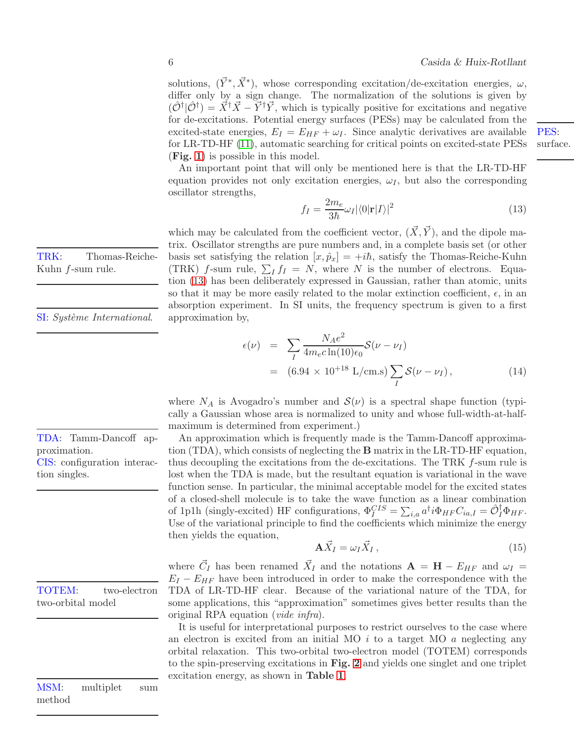solutions,  $(\vec{Y}^*, \vec{X}^*)$ , whose corresponding excitation/de-excitation energies,  $\omega$ , differ only by a sign change. The normalization of the solutions is given by  $(\hat{\mathcal{O}}^{\dagger}|\hat{\mathcal{O}}^{\dagger}) = \vec{X}^{\dagger}\vec{X} - \vec{Y}^{\dagger}\vec{Y}$ , which is typically positive for excitations and negative for de-excitations. Potential energy surfaces (PESs) may be calculated from the excited-state energies,  $E_I = E_{HF} + \omega_I$ . Since analytic derivatives are available for LR-TD-HF [\(11\)](#page-32-2), automatic searching for critical points on excited-state PESs (Fig. [1](#page-42-0)) is possible in this model.

An important point that will only be mentioned here is that the LR-TD-HF equation provides not only excitation energies,  $\omega_I$ , but also the corresponding oscillator strengths,

<span id="page-5-0"></span>
$$
f_I = \frac{2m_e}{3\hbar}\omega_I |\langle 0|\mathbf{r}|I\rangle|^2
$$
\n(13)

which may be calculated from the coefficient vector,  $(\vec{X}, \vec{Y})$ , and the dipole matrix. Oscillator strengths are pure numbers and, in a complete basis set (or other basis set satisfying the relation  $[x, \hat{p}_x] = +i\hbar$ , satisfy the Thomas-Reiche-Kuhn (TRK) f-sum rule,  $\sum_I f_I = N$ , where N is the number of electrons. Equation [\(13\)](#page-5-0) has been deliberately expressed in Gaussian, rather than atomic, units so that it may be more easily related to the molar extinction coefficient,  $\epsilon$ , in an absorption experiment. In SI units, the frequency spectrum is given to a first

$$
\epsilon(\nu) = \sum_{I} \frac{N_A e^2}{4m_e c \ln(10)\epsilon_0} \mathcal{S}(\nu - \nu_I)
$$
  
= (6.94 × 10<sup>+18</sup> L/cm.s)  $\sum_{I} \mathcal{S}(\nu - \nu_I)$ , (14)

where  $N_A$  is Avogadro's number and  $\mathcal{S}(\nu)$  is a spectral shape function (typically a Gaussian whose area is normalized to unity and whose full-width-at-halfmaximum is determined from experiment.)

An approximation which is frequently made is the Tamm-Dancoff approximation (TDA), which consists of neglecting the B matrix in the LR-TD-HF equation, thus decoupling the excitations from the de-excitations. The TRK  $f$ -sum rule is lost when the TDA is made, but the resultant equation is variational in the wave function sense. In particular, the minimal acceptable model for the excited states of a closed-shell molecule is to take the wave function as a linear combination of 1p1h (singly-excited) HF configurations,  $\Phi_I^{CIS} = \sum_{i,a} a^{\dagger} i \Phi_{HF} C_{ia,I} = \hat{\mathcal{O}}_I^{\dagger} \Phi_{HF}.$ Use of the variational principle to find the coefficients which minimize the energy then yields the equation,

$$
\mathbf{A}\vec{X}_I = \omega_I \vec{X}_I , \qquad (15)
$$

where  $\vec{C}_I$  has been renamed  $\vec{X}_I$  and the notations  $\mathbf{A} = \mathbf{H} - E_{HF}$  and  $\omega_I =$  $E_I - E_{HF}$  have been introduced in order to make the correspondence with the TDA of LR-TD-HF clear. Because of the variational nature of the TDA, for some applications, this "approximation" sometimes gives better results than the original RPA equation (vide infra).

It is useful for interpretational purposes to restrict ourselves to the case where an electron is excited from an initial MO  $i$  to a target MO  $a$  neglecting any orbital relaxation. This two-orbital two-electron model (TOTEM) corresponds to the spin-preserving excitations in Fig. [2](#page-42-1) and yields one singlet and one triplet excitation energy, as shown in Table [1](#page-43-0).

TRK: Thomas-Reiche-Kuhn f-sum rule.

SI: Système International. approximation by,

TDA: Tamm-Dancoff approximation. CIS: configuration interaction singles.

TOTEM: two-electron two-orbital model

MSM: multiplet sum method

PES: surface.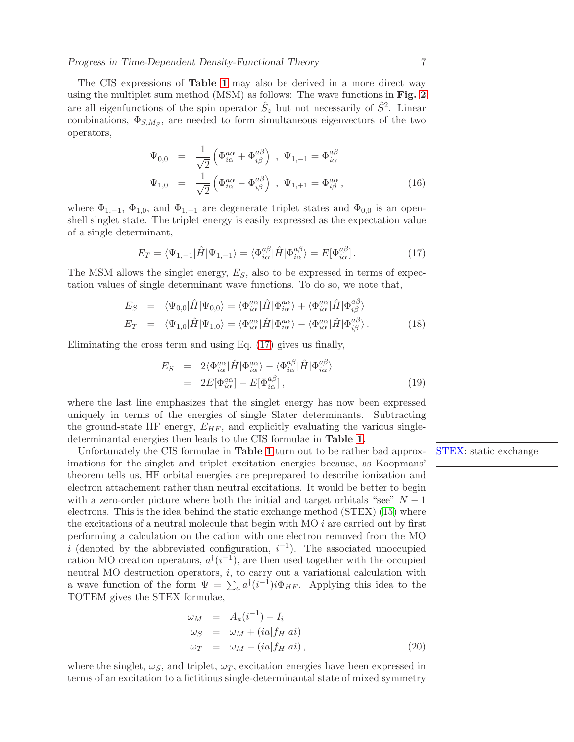The CIS expressions of Table [1](#page-43-0) may also be derived in a more direct way using the multiplet sum method (MSM) as follows: The wave functions in Fig. [2](#page-42-1) are all eigenfunctions of the spin operator  $\hat{S}_z$  but not necessarily of  $\hat{S}^2$ . Linear combinations,  $\Phi_{S,M_S}$ , are needed to form simultaneous eigenvectors of the two operators,

$$
\Psi_{0,0} = \frac{1}{\sqrt{2}} \left( \Phi_{i\alpha}^{a\alpha} + \Phi_{i\beta}^{a\beta} \right) , \Psi_{1,-1} = \Phi_{i\alpha}^{a\beta}
$$
\n
$$
\Psi_{1,0} = \frac{1}{\sqrt{2}} \left( \Phi_{i\alpha}^{a\alpha} - \Phi_{i\beta}^{a\beta} \right) , \Psi_{1,+1} = \Phi_{i\beta}^{a\alpha} , \qquad (16)
$$

where  $\Phi_{1,-1}$ ,  $\Phi_{1,0}$ , and  $\Phi_{1,+1}$  are degenerate triplet states and  $\Phi_{0,0}$  is an openshell singlet state. The triplet energy is easily expressed as the expectation value of a single determinant,

<span id="page-6-0"></span>
$$
E_T = \langle \Psi_{1,-1} | \hat{H} | \Psi_{1,-1} \rangle = \langle \Phi_{i\alpha}^{a\beta} | \hat{H} | \Phi_{i\alpha}^{a\beta} \rangle = E[\Phi_{i\alpha}^{a\beta}]. \tag{17}
$$

The MSM allows the singlet energy,  $E<sub>S</sub>$ , also to be expressed in terms of expectation values of single determinant wave functions. To do so, we note that,

$$
E_S = \langle \Psi_{0,0} | \hat{H} | \Psi_{0,0} \rangle = \langle \Phi_{i\alpha}^{a\alpha} | \hat{H} | \Phi_{i\alpha}^{a\alpha} \rangle + \langle \Phi_{i\alpha}^{a\alpha} | \hat{H} | \Phi_{i\beta}^{a\beta} \rangle
$$
  
\n
$$
E_T = \langle \Psi_{1,0} | \hat{H} | \Psi_{1,0} \rangle = \langle \Phi_{i\alpha}^{a\alpha} | \hat{H} | \Phi_{i\alpha}^{a\alpha} \rangle - \langle \Phi_{i\alpha}^{a\alpha} | \hat{H} | \Phi_{i\beta}^{a\beta} \rangle.
$$
 (18)

Eliminating the cross term and using Eq. [\(17\)](#page-6-0) gives us finally,

$$
E_S = 2\langle \Phi_{i\alpha}^{a\alpha} | \hat{H} | \Phi_{i\alpha}^{a\alpha} \rangle - \langle \Phi_{i\alpha}^{a\beta} | \hat{H} | \Phi_{i\alpha}^{a\beta} \rangle
$$
  
= 2E[\Phi\_{i\alpha}^{a\alpha}] - E[\Phi\_{i\alpha}^{a\beta}], \qquad (19)

where the last line emphasizes that the singlet energy has now been expressed uniquely in terms of the energies of single Slater determinants. Subtracting the ground-state HF energy,  $E_{HF}$ , and explicitly evaluating the various singledeterminantal energies then leads to the CIS formulae in Table [1](#page-43-0).

Unfortunately the CIS formulae in Table [1](#page-43-0) turn out to be rather bad approx- STEX: static exchange imations for the singlet and triplet excitation energies because, as Koopmans' theorem tells us, HF orbital energies are preprepared to describe ionization and electron attachement rather than neutral excitations. It would be better to begin with a zero-order picture where both the initial and target orbitals "see"  $N-1$ electrons. This is the idea behind the static exchange method (STEX) [\(15\)](#page-32-3) where the excitations of a neutral molecule that begin with  $MO$  *i* are carried out by first performing a calculation on the cation with one electron removed from the MO i (denoted by the abbreviated configuration,  $i^{-1}$ ). The associated unoccupied cation MO creation operators,  $a^{\dagger}(i^{-1})$ , are then used together with the occupied neutral MO destruction operators, i, to carry out a variational calculation with a wave function of the form  $\Psi = \sum_a a^{\dagger} (i^{-1}) i \Phi_{HF}$ . Applying this idea to the TOTEM gives the STEX formulae,

<span id="page-6-1"></span>
$$
\omega_M = A_a(i^{-1}) - I_i
$$
  
\n
$$
\omega_S = \omega_M + (ia|f_H|ai)
$$
  
\n
$$
\omega_T = \omega_M - (ia|f_H|ai),
$$
\n(20)

where the singlet,  $\omega_{S}$ , and triplet,  $\omega_{T}$ , excitation energies have been expressed in terms of an excitation to a fictitious single-determinantal state of mixed symmetry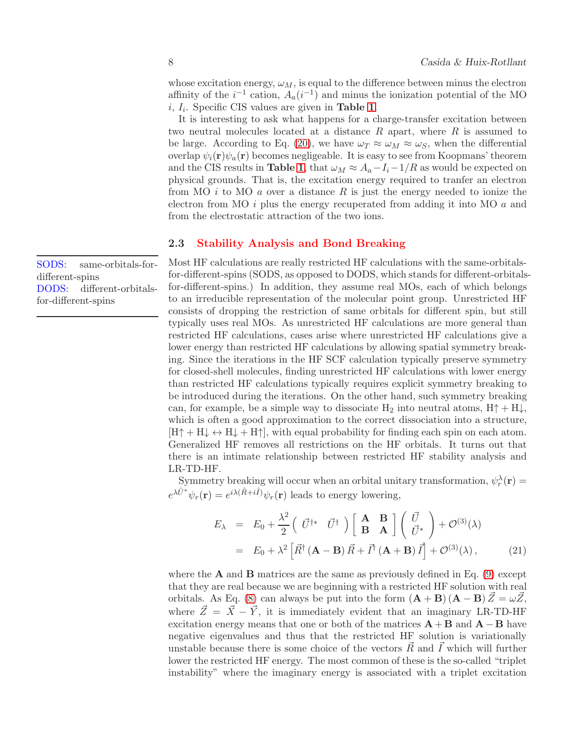whose excitation energy,  $\omega_M$ , is equal to the difference between minus the electron affinity of the  $i^{-1}$  cation,  $A_a(i^{-1})$  and minus the ionization potential of the MO  $i, I_i$ . Specific CIS values are given in **Table [1](#page-43-0)**.

It is interesting to ask what happens for a charge-transfer excitation between two neutral molecules located at a distance  $R$  apart, where  $R$  is assumed to be large. According to Eq. [\(20\)](#page-6-1), we have  $\omega_T \approx \omega_M \approx \omega_S$ , when the differential overlap  $\psi_i(\mathbf{r})\psi_a(\mathbf{r})$  becomes negligeable. It is easy to see from Koopmans' theorem and the CIS results in **Table [1](#page-43-0)**, that  $\omega_M \approx A_a - I_i - 1/R$  as would be expected on physical grounds. That is, the excitation energy required to tranfer an electron from MO i to MO a over a distance R is just the energy needed to ionize the electron from MO  $i$  plus the energy recuperated from adding it into MO  $a$  and from the electrostatic attraction of the two ions.

# <span id="page-7-0"></span>2.3 Stability Analysis and Bond Breaking

Most HF calculations are really restricted HF calculations with the same-orbitalsfor-different-spins (SODS, as opposed to DODS, which stands for different-orbitalsfor-different-spins.) In addition, they assume real MOs, each of which belongs to an irreducible representation of the molecular point group. Unrestricted HF consists of dropping the restriction of same orbitals for different spin, but still typically uses real MOs. As unrestricted HF calculations are more general than restricted HF calculations, cases arise where unrestricted HF calculations give a lower energy than restricted HF calculations by allowing spatial symmetry breaking. Since the iterations in the HF SCF calculation typically preserve symmetry for closed-shell molecules, finding unrestricted HF calculations with lower energy than restricted HF calculations typically requires explicit symmetry breaking to be introduced during the iterations. On the other hand, such symmetry breaking can, for example, be a simple way to dissociate H<sub>2</sub> into neutral atoms,  $H \uparrow + H \downarrow$ , which is often a good approximation to the correct dissociation into a structure,  $[H^+ + H] \leftrightarrow H^+ + H^+$ , with equal probability for finding each spin on each atom. Generalized HF removes all restrictions on the HF orbitals. It turns out that there is an intimate relationship between restricted HF stability analysis and LR-TD-HF.

Symmetry breaking will occur when an orbital unitary transformation,  $\psi_r^{\lambda}(\mathbf{r}) =$  $e^{\lambda \hat{U}^*}\psi_r(\mathbf{r}) = e^{i\lambda(\hat{R}+i\hat{I})}\psi_r(\mathbf{r})$  leads to energy lowering,

<span id="page-7-1"></span>
$$
E_{\lambda} = E_0 + \frac{\lambda^2}{2} \left( \vec{U}^{\dagger *} \ \vec{U}^{\dagger} \right) \left[ \begin{array}{cc} \mathbf{A} & \mathbf{B} \\ \mathbf{B} & \mathbf{A} \end{array} \right] \left( \begin{array}{c} \vec{U} \\ \vec{U}^* \end{array} \right) + \mathcal{O}^{(3)}(\lambda)
$$
  
=  $E_0 + \lambda^2 \left[ \vec{R}^{\dagger} \left( \mathbf{A} - \mathbf{B} \right) \vec{R} + \vec{I}^{\dagger} \left( \mathbf{A} + \mathbf{B} \right) \vec{I} \right] + \mathcal{O}^{(3)}(\lambda),$  (21)

where the  $A$  and  $B$  matrices are the same as previously defined in Eq. [\(9\)](#page-4-2) except that they are real because we are beginning with a restricted HF solution with real orbitals. As Eq. [\(8\)](#page-4-0) can always be put into the form  $(A + B) (A - B) \vec{Z} = \omega \vec{Z}$ , where  $\vec{Z} = \vec{X} - \vec{Y}$ , it is immediately evident that an imaginary LR-TD-HF excitation energy means that one or both of the matrices  $\mathbf{A} + \mathbf{B}$  and  $\mathbf{A} - \mathbf{B}$  have negative eigenvalues and thus that the restricted HF solution is variationally unstable because there is some choice of the vectors  $\vec{R}$  and  $\vec{I}$  which will further lower the restricted HF energy. The most common of these is the so-called "triplet instability" where the imaginary energy is associated with a triplet excitation

SODS: same-orbitals-fordifferent-spins DODS: different-orbitalsfor-different-spins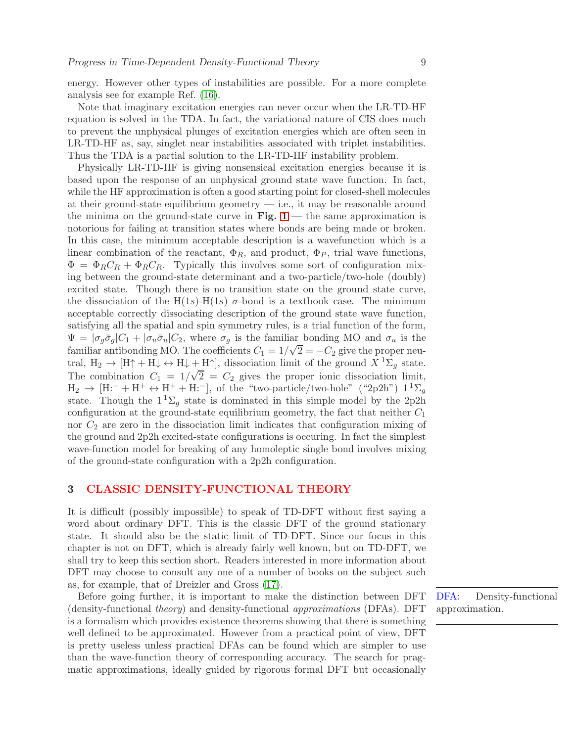energy. However other types of instabilities are possible. For a more complete analysis see for example Ref. [\(16\)](#page-32-4).

Note that imaginary excitation energies can never occur when the LR-TD-HF equation is solved in the TDA. In fact, the variational nature of CIS does much to prevent the unphysical plunges of excitation energies which are often seen in LR-TD-HF as, say, singlet near instabilities associated with triplet instabilities. Thus the TDA is a partial solution to the LR-TD-HF instability problem.

Physically LR-TD-HF is giving nonsensical excitation energies because it is based upon the response of an unphysical ground state wave function. In fact, while the HF approximation is often a good starting point for closed-shell molecules at their ground-state equilibrium geometry — i.e., it may be reasonable around the minima on the ground-state curve in Fig.  $1$  — the same approximation is notorious for failing at transition states where bonds are being made or broken. In this case, the minimum acceptable description is a wavefunction which is a linear combination of the reactant,  $\Phi_R$ , and product,  $\Phi_P$ , trial wave functions,  $\Phi = \Phi_R C_R + \Phi_R C_R$ . Typically this involves some sort of configuration mixing between the ground-state determinant and a two-particle/two-hole (doubly) excited state. Though there is no transition state on the ground state curve, the dissociation of the H(1s)-H(1s)  $\sigma$ -bond is a textbook case. The minimum acceptable correctly dissociating description of the ground state wave function, satisfying all the spatial and spin symmetry rules, is a trial function of the form,  $\Psi = |\sigma_g \bar{\sigma}_g| C_1 + |\sigma_u \bar{\sigma}_u| C_2$ , where  $\sigma_g$  is the familiar bonding MO and  $\sigma_u$  is the familiar antibonding MO. The coefficients  $C_1 = 1/\sqrt{2} = -C_2$  give the proper neutral,  $H_2 \to [H \uparrow + H \downarrow \leftrightarrow H \downarrow + H \uparrow]$ , dissociation limit of the ground  $X^1 \Sigma_q$  state. The combination  $C_1 = 1/\sqrt{2} = C_2$  gives the proper ionic dissociation limit,  $H_2 \rightarrow [H:-+H^+ \leftrightarrow H^+ + H:-],$  of the "two-particle/two-hole" ("2p2h")  $1^1\Sigma_q$ state. Though the  $1^1\Sigma_q$  state is dominated in this simple model by the 2p2h configuration at the ground-state equilibrium geometry, the fact that neither  $C_1$ nor  $C_2$  are zero in the dissociation limit indicates that configuration mixing of the ground and 2p2h excited-state configurations is occuring. In fact the simplest wave-function model for breaking of any homoleptic single bond involves mixing of the ground-state configuration with a 2p2h configuration.

# <span id="page-8-0"></span>3 CLASSIC DENSITY-FUNCTIONAL THEORY

It is difficult (possibly impossible) to speak of TD-DFT without first saying a word about ordinary DFT. This is the classic DFT of the ground stationary state. It should also be the static limit of TD-DFT. Since our focus in this chapter is not on DFT, which is already fairly well known, but on TD-DFT, we shall try to keep this section short. Readers interested in more information about DFT may choose to consult any one of a number of books on the subject such as, for example, that of Dreizler and Gross [\(17\)](#page-32-5).

Before going further, it is important to make the distinction between DFT (density-functional theory) and density-functional approximations (DFAs). DFT is a formalism which provides existence theorems showing that there is something well defined to be approximated. However from a practical point of view, DFT is pretty useless unless practical DFAs can be found which are simpler to use than the wave-function theory of corresponding accuracy. The search for pragmatic approximations, ideally guided by rigorous formal DFT but occasionally DFA: Density-functional approximation.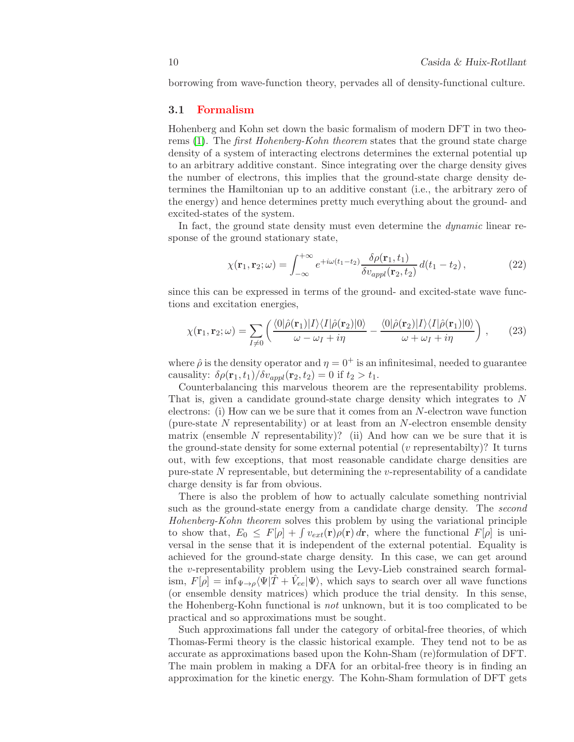<span id="page-9-0"></span>borrowing from wave-function theory, pervades all of density-functional culture.

## 3.1 Formalism

Hohenberg and Kohn set down the basic formalism of modern DFT in two theo-rems [\(1\)](#page-31-0). The *first Hohenberg-Kohn theorem* states that the ground state charge density of a system of interacting electrons determines the external potential up to an arbitrary additive constant. Since integrating over the charge density gives the number of electrons, this implies that the ground-state charge density determines the Hamiltonian up to an additive constant (i.e., the arbitrary zero of the energy) and hence determines pretty much everything about the ground- and excited-states of the system.

In fact, the ground state density must even determine the *dynamic* linear response of the ground stationary state,

<span id="page-9-1"></span>
$$
\chi(\mathbf{r}_1, \mathbf{r}_2; \omega) = \int_{-\infty}^{+\infty} e^{+i\omega(t_1 - t_2)} \frac{\delta \rho(\mathbf{r}_1, t_1)}{\delta v_{appl}(\mathbf{r}_2, t_2)} d(t_1 - t_2), \qquad (22)
$$

since this can be expressed in terms of the ground- and excited-state wave functions and excitation energies,

$$
\chi(\mathbf{r}_1, \mathbf{r}_2; \omega) = \sum_{I \neq 0} \left( \frac{\langle 0 | \hat{\rho}(\mathbf{r}_1) | I \rangle \langle I | \hat{\rho}(\mathbf{r}_2) | 0 \rangle}{\omega - \omega_I + i\eta} - \frac{\langle 0 | \hat{\rho}(\mathbf{r}_2) | I \rangle \langle I | \hat{\rho}(\mathbf{r}_1) | 0 \rangle}{\omega + \omega_I + i\eta} \right) , \qquad (23)
$$

where  $\hat{\rho}$  is the density operator and  $\eta = 0^+$  is an infinitesimal, needed to guarantee causality:  $\delta \rho(\mathbf{r}_1, t_1)/\delta v_{appl}(\mathbf{r}_2, t_2) = 0$  if  $t_2 > t_1$ .

Counterbalancing this marvelous theorem are the representability problems. That is, given a candidate ground-state charge density which integrates to N electrons: (i) How can we be sure that it comes from an N-electron wave function (pure-state  $N$  representability) or at least from an  $N$ -electron ensemble density matrix (ensemble N representability)? (ii) And how can we be sure that it is the ground-state density for some external potential  $(v$  representability)? It turns out, with few exceptions, that most reasonable candidate charge densities are pure-state  $N$  representable, but determining the v-representability of a candidate charge density is far from obvious.

There is also the problem of how to actually calculate something nontrivial such as the ground-state energy from a candidate charge density. The second Hohenberg-Kohn theorem solves this problem by using the variational principle to show that,  $E_0 \leq F[\rho] + \int v_{ext}(\mathbf{r})\rho(\mathbf{r}) d\mathbf{r}$ , where the functional  $F[\rho]$  is universal in the sense that it is independent of the external potential. Equality is achieved for the ground-state charge density. In this case, we can get around the v-representability problem using the Levy-Lieb constrained search formalism,  $F[\rho] = \inf_{\Psi \to \rho} \langle \Psi | \hat{T} + \hat{V}_{ee} | \Psi \rangle$ , which says to search over all wave functions (or ensemble density matrices) which produce the trial density. In this sense, the Hohenberg-Kohn functional is not unknown, but it is too complicated to be practical and so approximations must be sought.

Such approximations fall under the category of orbital-free theories, of which Thomas-Fermi theory is the classic historical example. They tend not to be as accurate as approximations based upon the Kohn-Sham (re)formulation of DFT. The main problem in making a DFA for an orbital-free theory is in finding an approximation for the kinetic energy. The Kohn-Sham formulation of DFT gets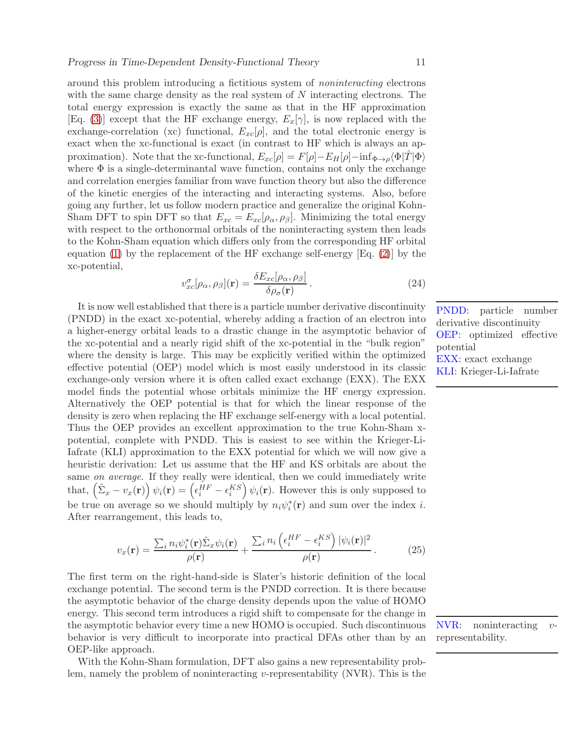around this problem introducing a fictitious system of noninteracting electrons with the same charge density as the real system of N interacting electrons. The total energy expression is exactly the same as that in the HF approximation [Eq. [\(3\)](#page-3-3)] except that the HF exchange energy,  $E_x[\gamma]$ , is now replaced with the exchange-correlation (xc) functional,  $E_{xc}[\rho]$ , and the total electronic energy is exact when the xc-functional is exact (in contrast to HF which is always an approximation). Note that the xc-functional,  $E_{xc}[\rho] = F[\rho] - E_H[\rho] - \inf_{\Phi \to \rho} \langle \Phi|T|\Phi \rangle$ where  $\Phi$  is a single-determinantal wave function, contains not only the exchange and correlation energies familiar from wave function theory but also the difference of the kinetic energies of the interacting and interacting systems. Also, before going any further, let us follow modern practice and generalize the original Kohn-Sham DFT to spin DFT so that  $E_{xc} = E_{xc}[\rho_{\alpha}, \rho_{\beta}]$ . Minimizing the total energy with respect to the orthonormal orbitals of the noninteracting system then leads to the Kohn-Sham equation which differs only from the corresponding HF orbital equation [\(1\)](#page-3-2) by the replacement of the HF exchange self-energy  $[Eq, (2)]$  $[Eq, (2)]$  $[Eq, (2)]$  by the xc-potential,

<span id="page-10-0"></span>
$$
v_{xc}^{\sigma}[\rho_{\alpha}, \rho_{\beta}](\mathbf{r}) = \frac{\delta E_{xc}[\rho_{\alpha}, \rho_{\beta}]}{\delta \rho_{\sigma}(\mathbf{r})}.
$$
\n(24)

It is now well established that there is a particle number derivative discontinuity (PNDD) in the exact xc-potential, whereby adding a fraction of an electron into a higher-energy orbital leads to a drastic change in the asymptotic behavior of the xc-potential and a nearly rigid shift of the xc-potential in the "bulk region" where the density is large. This may be explicitly verified within the optimized effective potential (OEP) model which is most easily understood in its classic exchange-only version where it is often called exact exchange (EXX). The EXX model finds the potential whose orbitals minimize the HF energy expression. Alternatively the OEP potential is that for which the linear response of the density is zero when replacing the HF exchange self-energy with a local potential. Thus the OEP provides an excellent approximation to the true Kohn-Sham xpotential, complete with PNDD. This is easiest to see within the Krieger-Li-Iafrate (KLI) approximation to the EXX potential for which we will now give a heuristic derivation: Let us assume that the HF and KS orbitals are about the same on average. If they really were identical, then we could immediately write that,  $(\hat{\Sigma}_x - v_x(\mathbf{r})) \psi_i(\mathbf{r}) = (\epsilon_i^{HF} - \epsilon_i^{KS}) \psi_i(\mathbf{r})$ . However this is only supposed to be true on average so we should multiply by  $n_i \psi_i^* (\mathbf{r})$  and sum over the index *i*. After rearrangement, this leads to,

$$
v_x(\mathbf{r}) = \frac{\sum_i n_i \psi_i^*(\mathbf{r}) \hat{\Sigma}_x \psi_i(\mathbf{r})}{\rho(\mathbf{r})} + \frac{\sum_i n_i \left(\epsilon_i^{HF} - \epsilon_i^{KS}\right) |\psi_i(\mathbf{r})|^2}{\rho(\mathbf{r})} \,. \tag{25}
$$

The first term on the right-hand-side is Slater's historic definition of the local exchange potential. The second term is the PNDD correction. It is there because the asymptotic behavior of the charge density depends upon the value of HOMO energy. This second term introduces a rigid shift to compensate for the change in the asymptotic behavior every time a new HOMO is occupied. Such discontinuous behavior is very difficult to incorporate into practical DFAs other than by an OEP-like approach.

With the Kohn-Sham formulation, DFT also gains a new representability problem, namely the problem of noninteracting v-representability (NVR). This is the PNDD: particle number derivative discontinuity OEP: optimized effective potential EXX: exact exchange KLI: Krieger-Li-Iafrate

NVR: noninteracting vrepresentability.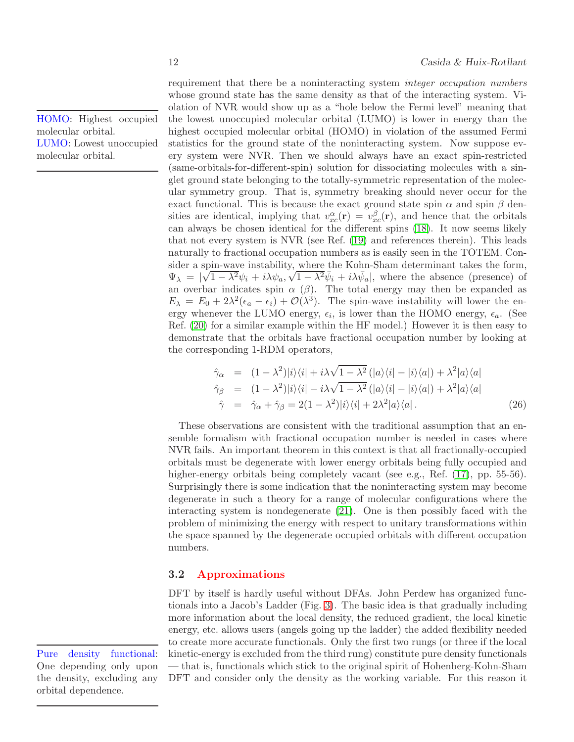requirement that there be a noninteracting system integer occupation numbers whose ground state has the same density as that of the interacting system. Violation of NVR would show up as a "hole below the Fermi level" meaning that the lowest unoccupied molecular orbital (LUMO) is lower in energy than the highest occupied molecular orbital (HOMO) in violation of the assumed Fermi statistics for the ground state of the noninteracting system. Now suppose every system were NVR. Then we should always have an exact spin-restricted (same-orbitals-for-different-spin) solution for dissociating molecules with a singlet ground state belonging to the totally-symmetric representation of the molecular symmetry group. That is, symmetry breaking should never occur for the exact functional. This is because the exact ground state spin  $\alpha$  and spin  $\beta$  densities are identical, implying that  $v_{xc}^{\alpha}(\mathbf{r}) = v_{xc}^{\beta}(\mathbf{r})$ , and hence that the orbitals can always be chosen identical for the different spins [\(18\)](#page-32-6). It now seems likely that not every system is NVR (see Ref. [\(19\)](#page-32-7) and references therein). This leads naturally to fractional occupation numbers as is easily seen in the TOTEM. Consider a spin-wave instability, where the Kohn-Sham determinant takes the form,  $\Psi_{\lambda} = |\sqrt{1 - \lambda^2} \psi_i + i \lambda \psi_a, \sqrt{1 - \lambda^2} \bar{\psi}_i + i \lambda \bar{\psi}_a|$ , where the absence (presence) of an overbar indicates spin  $\alpha$  ( $\beta$ ). The total energy may then be expanded as  $E_{\lambda} = E_0 + 2\lambda^2 (\epsilon_a - \epsilon_i) + \mathcal{O}(\lambda^3)$ . The spin-wave instability will lower the energy whenever the LUMO energy,  $\epsilon_i$ , is lower than the HOMO energy,  $\epsilon_a$ . (See Ref. [\(20\)](#page-32-8) for a similar example within the HF model.) However it is then easy to demonstrate that the orbitals have fractional occupation number by looking at the corresponding 1-RDM operators,

$$
\hat{\gamma}_{\alpha} = (1 - \lambda^2)|i\rangle\langle i| + i\lambda\sqrt{1 - \lambda^2} (|a\rangle\langle i| - |i\rangle\langle a|) + \lambda^2 |a\rangle\langle a| \n\hat{\gamma}_{\beta} = (1 - \lambda^2)|i\rangle\langle i| - i\lambda\sqrt{1 - \lambda^2} (|a\rangle\langle i| - |i\rangle\langle a|) + \lambda^2 |a\rangle\langle a| \n\hat{\gamma} = \hat{\gamma}_{\alpha} + \hat{\gamma}_{\beta} = 2(1 - \lambda^2)|i\rangle\langle i| + 2\lambda^2 |a\rangle\langle a|.
$$
\n(26)

These observations are consistent with the traditional assumption that an ensemble formalism with fractional occupation number is needed in cases where NVR fails. An important theorem in this context is that all fractionally-occupied orbitals must be degenerate with lower energy orbitals being fully occupied and higher-energy orbitals being completely vacant (see e.g., Ref.  $(17)$ , pp. 55-56). Surprisingly there is some indication that the noninteracting system may become degenerate in such a theory for a range of molecular configurations where the interacting system is nondegenerate [\(21\)](#page-32-9). One is then possibly faced with the problem of minimizing the energy with respect to unitary transformations within the space spanned by the degenerate occupied orbitals with different occupation numbers.

## <span id="page-11-0"></span>3.2 Approximations

DFT by itself is hardly useful without DFAs. John Perdew has organized functionals into a Jacob's Ladder (Fig. [3\)](#page-44-0). The basic idea is that gradually including more information about the local density, the reduced gradient, the local kinetic energy, etc. allows users (angels going up the ladder) the added flexibility needed to create more accurate functionals. Only the first two rungs (or three if the local kinetic-energy is excluded from the third rung) constitute pure density functionals — that is, functionals which stick to the original spirit of Hohenberg-Kohn-Sham DFT and consider only the density as the working variable. For this reason it

Pure density functional: One depending only upon the density, excluding any orbital dependence.

HOMO: Highest occupied molecular orbital. LUMO: Lowest unoccupied molecular orbital.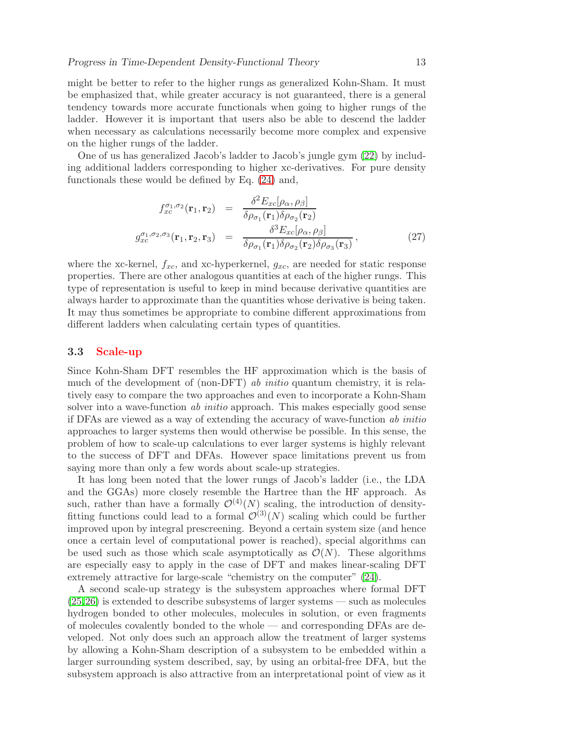might be better to refer to the higher rungs as generalized Kohn-Sham. It must be emphasized that, while greater accuracy is not guaranteed, there is a general tendency towards more accurate functionals when going to higher rungs of the ladder. However it is important that users also be able to descend the ladder when necessary as calculations necessarily become more complex and expensive on the higher rungs of the ladder.

One of us has generalized Jacob's ladder to Jacob's jungle gym [\(22\)](#page-32-10) by including additional ladders corresponding to higher xc-derivatives. For pure density functionals these would be defined by Eq. [\(24\)](#page-10-0) and,

$$
f_{xc}^{\sigma_1, \sigma_2}(\mathbf{r}_1, \mathbf{r}_2) = \frac{\delta^2 E_{xc}[\rho_\alpha, \rho_\beta]}{\delta \rho_{\sigma_1}(\mathbf{r}_1)\delta \rho_{\sigma_2}(\mathbf{r}_2)}
$$

$$
g_{xc}^{\sigma_1, \sigma_2, \sigma_3}(\mathbf{r}_1, \mathbf{r}_2, \mathbf{r}_3) = \frac{\delta^3 E_{xc}[\rho_\alpha, \rho_\beta]}{\delta \rho_{\sigma_1}(\mathbf{r}_1)\delta \rho_{\sigma_2}(\mathbf{r}_2)\delta \rho_{\sigma_3}(\mathbf{r}_3)},
$$
(27)

where the xc-kernel,  $f_{xc}$ , and xc-hyperkernel,  $g_{xc}$ , are needed for static response properties. There are other analogous quantities at each of the higher rungs. This type of representation is useful to keep in mind because derivative quantities are always harder to approximate than the quantities whose derivative is being taken. It may thus sometimes be appropriate to combine different approximations from different ladders when calculating certain types of quantities.

#### <span id="page-12-0"></span>3.3 Scale-up

Since Kohn-Sham DFT resembles the HF approximation which is the basis of much of the development of (non-DFT) ab *initio* quantum chemistry, it is relatively easy to compare the two approaches and even to incorporate a Kohn-Sham solver into a wave-function *ab initio* approach. This makes especially good sense if DFAs are viewed as a way of extending the accuracy of wave-function ab initio approaches to larger systems then would otherwise be possible. In this sense, the problem of how to scale-up calculations to ever larger systems is highly relevant to the success of DFT and DFAs. However space limitations prevent us from saying more than only a few words about scale-up strategies.

It has long been noted that the lower rungs of Jacob's ladder (i.e., the LDA and the GGAs) more closely resemble the Hartree than the HF approach. As such, rather than have a formally  $\mathcal{O}^{(4)}(N)$  scaling, the introduction of densityfitting functions could lead to a formal  $\mathcal{O}^{(3)}(N)$  scaling which could be further improved upon by integral prescreening. Beyond a certain system size (and hence once a certain level of computational power is reached), special algorithms can be used such as those which scale asymptotically as  $\mathcal{O}(N)$ . These algorithms are especially easy to apply in the case of DFT and makes linear-scaling DFT extremely attractive for large-scale "chemistry on the computer" [\(24\)](#page-32-11).

A second scale-up strategy is the subsystem approaches where formal DFT [\(25,](#page-32-12)[26\)](#page-32-13) is extended to describe subsystems of larger systems — such as molecules hydrogen bonded to other molecules, molecules in solution, or even fragments of molecules covalently bonded to the whole — and corresponding DFAs are developed. Not only does such an approach allow the treatment of larger systems by allowing a Kohn-Sham description of a subsystem to be embedded within a larger surrounding system described, say, by using an orbital-free DFA, but the subsystem approach is also attractive from an interpretational point of view as it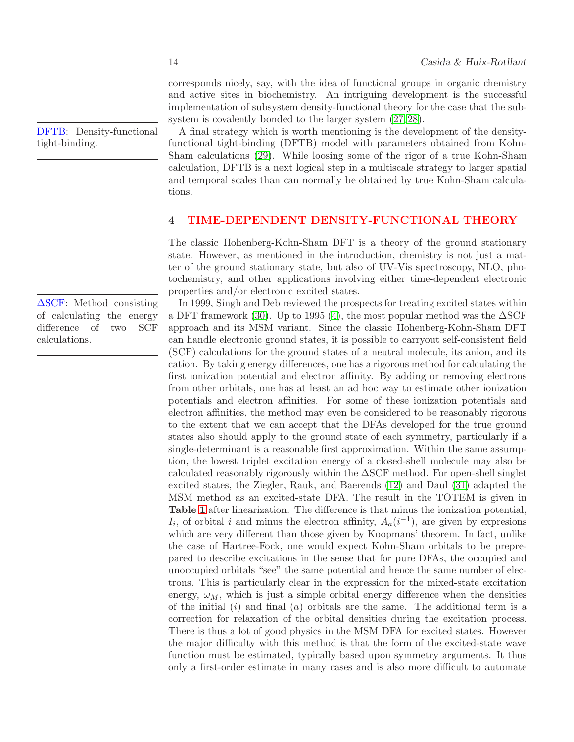corresponds nicely, say, with the idea of functional groups in organic chemistry and active sites in biochemistry. An intriguing development is the successful implementation of subsystem density-functional theory for the case that the subsystem is covalently bonded to the larger system  $(27, 28)$  $(27, 28)$ .

A final strategy which is worth mentioning is the development of the densityfunctional tight-binding (DFTB) model with parameters obtained from Kohn-Sham calculations [\(29\)](#page-33-2). While loosing some of the rigor of a true Kohn-Sham calculation, DFTB is a next logical step in a multiscale strategy to larger spatial and temporal scales than can normally be obtained by true Kohn-Sham calculations.

#### <span id="page-13-0"></span>4 TIME-DEPENDENT DENSITY-FUNCTIONAL THEORY

The classic Hohenberg-Kohn-Sham DFT is a theory of the ground stationary state. However, as mentioned in the introduction, chemistry is not just a matter of the ground stationary state, but also of UV-Vis spectroscopy, NLO, photochemistry, and other applications involving either time-dependent electronic properties and/or electronic excited states.

In 1999, Singh and Deb reviewed the prospects for treating excited states within a DFT framework [\(30\)](#page-33-3). Up to 1995 [\(4\)](#page-31-3), the most popular method was the  $\Delta$ SCF approach and its MSM variant. Since the classic Hohenberg-Kohn-Sham DFT can handle electronic ground states, it is possible to carryout self-consistent field (SCF) calculations for the ground states of a neutral molecule, its anion, and its cation. By taking energy differences, one has a rigorous method for calculating the first ionization potential and electron affinity. By adding or removing electrons from other orbitals, one has at least an ad hoc way to estimate other ionization potentials and electron affinities. For some of these ionization potentials and electron affinities, the method may even be considered to be reasonably rigorous to the extent that we can accept that the DFAs developed for the true ground states also should apply to the ground state of each symmetry, particularly if a single-determinant is a reasonable first approximation. Within the same assumption, the lowest triplet excitation energy of a closed-shell molecule may also be calculated reasonably rigorously within the ∆SCF method. For open-shell singlet excited states, the Ziegler, Rauk, and Baerends [\(12\)](#page-32-14) and Daul [\(31\)](#page-33-4) adapted the MSM method as an excited-state DFA. The result in the TOTEM is given in Table [1](#page-43-0) after linearization. The difference is that minus the ionization potential,  $I_i$ , of orbital i and minus the electron affinity,  $A_a(i^{-1})$ , are given by expresions which are very different than those given by Koopmans' theorem. In fact, unlike the case of Hartree-Fock, one would expect Kohn-Sham orbitals to be preprepared to describe excitations in the sense that for pure DFAs, the occupied and unoccupied orbitals "see" the same potential and hence the same number of electrons. This is particularly clear in the expression for the mixed-state excitation energy,  $\omega_M$ , which is just a simple orbital energy difference when the densities of the initial  $(i)$  and final  $(a)$  orbitals are the same. The additional term is a correction for relaxation of the orbital densities during the excitation process. There is thus a lot of good physics in the MSM DFA for excited states. However the major difficulty with this method is that the form of the excited-state wave function must be estimated, typically based upon symmetry arguments. It thus only a first-order estimate in many cases and is also more difficult to automate

DFTB: Density-functional tight-binding.

∆SCF: Method consisting of calculating the energy difference of two SCF calculations.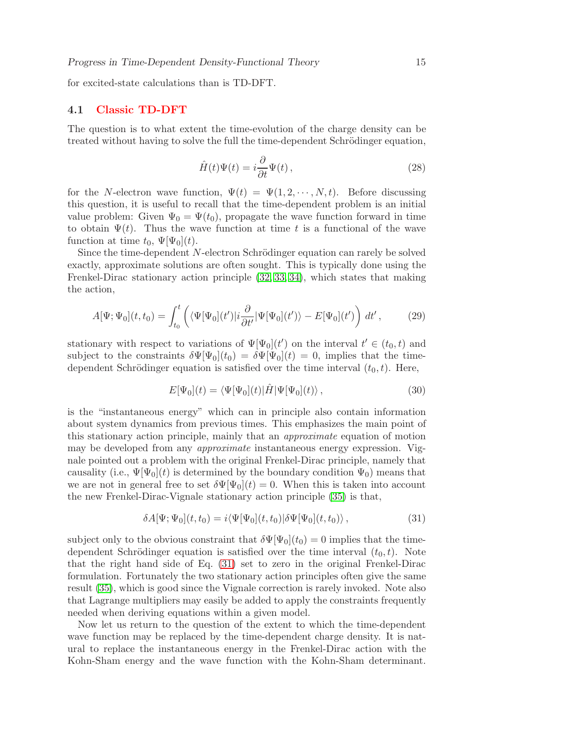<span id="page-14-0"></span>for excited-state calculations than is TD-DFT.

#### 4.1 Classic TD-DFT

The question is to what extent the time-evolution of the charge density can be treated without having to solve the full the time-dependent Schrödinger equation,

$$
\hat{H}(t)\Psi(t) = i\frac{\partial}{\partial t}\Psi(t),\qquad(28)
$$

for the N-electron wave function,  $\Psi(t) = \Psi(1, 2, \dots, N, t)$ . Before discussing this question, it is useful to recall that the time-dependent problem is an initial value problem: Given  $\Psi_0 = \Psi(t_0)$ , propagate the wave function forward in time to obtain  $\Psi(t)$ . Thus the wave function at time t is a functional of the wave function at time  $t_0$ ,  $\Psi[\Psi_0](t)$ .

Since the time-dependent  $N$ -electron Schrödinger equation can rarely be solved exactly, approximate solutions are often sought. This is typically done using the Frenkel-Dirac stationary action principle [\(32,](#page-33-5) [33,](#page-33-6) [34\)](#page-33-7), which states that making the action,

$$
A[\Psi; \Psi_0](t, t_0) = \int_{t_0}^t \left( \langle \Psi[\Psi_0](t') | i \frac{\partial}{\partial t'} |\Psi[\Psi_0](t') \rangle - E[\Psi_0](t') \right) dt', \tag{29}
$$

stationary with respect to variations of  $\Psi[\Psi_0](t')$  on the interval  $t' \in (t_0, t)$  and subject to the constraints  $\delta\Psi[\Psi_0](t_0) = \delta\Psi[\Psi_0](t) = 0$ , implies that the timedependent Schrödinger equation is satisfied over the time interval  $(t_0, t)$ . Here,

$$
E[\Psi_0](t) = \langle \Psi[\Psi_0](t)|\hat{H}|\Psi[\Psi_0](t)\rangle, \qquad (30)
$$

is the "instantaneous energy" which can in principle also contain information about system dynamics from previous times. This emphasizes the main point of this stationary action principle, mainly that an approximate equation of motion may be developed from any approximate instantaneous energy expression. Vignale pointed out a problem with the original Frenkel-Dirac principle, namely that causality (i.e.,  $\Psi[\Psi_0](t)$  is determined by the boundary condition  $\Psi_0$ ) means that we are not in general free to set  $\delta\Psi[\Psi_0](t)=0$ . When this is taken into account the new Frenkel-Dirac-Vignale stationary action principle [\(35\)](#page-33-8) is that,

<span id="page-14-1"></span>
$$
\delta A[\Psi; \Psi_0](t, t_0) = i \langle \Psi[\Psi_0](t, t_0) | \delta \Psi[\Psi_0](t, t_0) \rangle, \qquad (31)
$$

subject only to the obvious constraint that  $\delta\Psi[\Psi_0](t_0) = 0$  implies that the timedependent Schrödinger equation is satisfied over the time interval  $(t_0, t)$ . Note that the right hand side of Eq. [\(31\)](#page-14-1) set to zero in the original Frenkel-Dirac formulation. Fortunately the two stationary action principles often give the same result [\(35\)](#page-33-8), which is good since the Vignale correction is rarely invoked. Note also that Lagrange multipliers may easily be added to apply the constraints frequently needed when deriving equations within a given model.

Now let us return to the question of the extent to which the time-dependent wave function may be replaced by the time-dependent charge density. It is natural to replace the instantaneous energy in the Frenkel-Dirac action with the Kohn-Sham energy and the wave function with the Kohn-Sham determinant.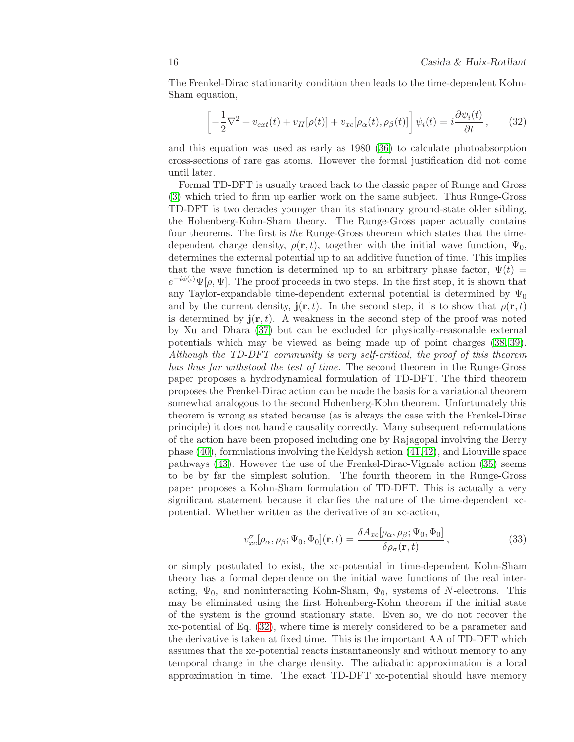The Frenkel-Dirac stationarity condition then leads to the time-dependent Kohn-Sham equation,

<span id="page-15-0"></span>
$$
\left[ -\frac{1}{2}\nabla^2 + v_{ext}(t) + v_H[\rho(t)] + v_{xc}[\rho_\alpha(t), \rho_\beta(t)] \right] \psi_i(t) = i \frac{\partial \psi_i(t)}{\partial t}, \qquad (32)
$$

and this equation was used as early as 1980 [\(36\)](#page-33-9) to calculate photoabsorption cross-sections of rare gas atoms. However the formal justification did not come until later.

Formal TD-DFT is usually traced back to the classic paper of Runge and Gross [\(3\)](#page-31-2) which tried to firm up earlier work on the same subject. Thus Runge-Gross TD-DFT is two decades younger than its stationary ground-state older sibling, the Hohenberg-Kohn-Sham theory. The Runge-Gross paper actually contains four theorems. The first is the Runge-Gross theorem which states that the timedependent charge density,  $\rho(\mathbf{r}, t)$ , together with the initial wave function,  $\Psi_0$ , determines the external potential up to an additive function of time. This implies that the wave function is determined up to an arbitrary phase factor,  $\Psi(t)$  =  $e^{-i\phi(t)}\Psi(\rho,\Psi)$ . The proof proceeds in two steps. In the first step, it is shown that any Taylor-expandable time-dependent external potential is determined by  $\Psi_0$ and by the current density,  $\mathbf{j}(\mathbf{r},t)$ . In the second step, it is to show that  $\rho(\mathbf{r},t)$ is determined by  $\mathbf{j}(\mathbf{r},t)$ . A weakness in the second step of the proof was noted by Xu and Dhara [\(37\)](#page-33-10) but can be excluded for physically-reasonable external potentials which may be viewed as being made up of point charges [\(38,](#page-33-11) [39\)](#page-33-12). Although the TD-DFT community is very self-critical, the proof of this theorem has thus far withstood the test of time. The second theorem in the Runge-Gross paper proposes a hydrodynamical formulation of TD-DFT. The third theorem proposes the Frenkel-Dirac action can be made the basis for a variational theorem somewhat analogous to the second Hohenberg-Kohn theorem. Unfortunately this theorem is wrong as stated because (as is always the case with the Frenkel-Dirac principle) it does not handle causality correctly. Many subsequent reformulations of the action have been proposed including one by Rajagopal involving the Berry phase [\(40\)](#page-33-13), formulations involving the Keldysh action [\(41,](#page-33-14)[42\)](#page-33-15), and Liouville space pathways [\(43\)](#page-33-16). However the use of the Frenkel-Dirac-Vignale action [\(35\)](#page-33-8) seems to be by far the simplest solution. The fourth theorem in the Runge-Gross paper proposes a Kohn-Sham formulation of TD-DFT. This is actually a very significant statement because it clarifies the nature of the time-dependent xcpotential. Whether written as the derivative of an xc-action,

<span id="page-15-1"></span>
$$
v_{xc}^{\sigma}[\rho_{\alpha}, \rho_{\beta}; \Psi_0, \Phi_0](\mathbf{r}, t) = \frac{\delta A_{xc}[\rho_{\alpha}, \rho_{\beta}; \Psi_0, \Phi_0]}{\delta \rho_{\sigma}(\mathbf{r}, t)},
$$
(33)

or simply postulated to exist, the xc-potential in time-dependent Kohn-Sham theory has a formal dependence on the initial wave functions of the real interacting,  $\Psi_0$ , and noninteracting Kohn-Sham,  $\Phi_0$ , systems of N-electrons. This may be eliminated using the first Hohenberg-Kohn theorem if the initial state of the system is the ground stationary state. Even so, we do not recover the xc-potential of Eq. [\(32\)](#page-15-0), where time is merely considered to be a parameter and the derivative is taken at fixed time. This is the important AA of TD-DFT which assumes that the xc-potential reacts instantaneously and without memory to any temporal change in the charge density. The adiabatic approximation is a local approximation in time. The exact TD-DFT xc-potential should have memory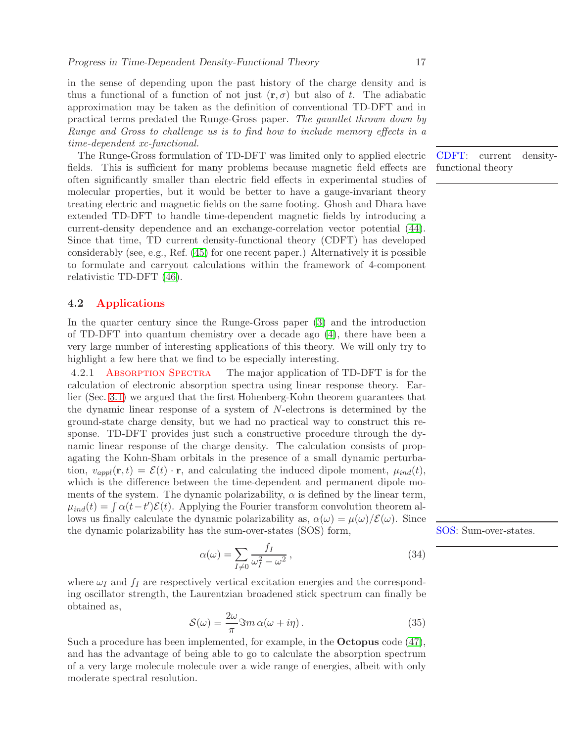in the sense of depending upon the past history of the charge density and is thus a functional of a function of not just  $(r, \sigma)$  but also of t. The adiabatic approximation may be taken as the definition of conventional TD-DFT and in practical terms predated the Runge-Gross paper. The gauntlet thrown down by Runge and Gross to challenge us is to find how to include memory effects in a time-dependent xc-functional.

The Runge-Gross formulation of TD-DFT was limited only to applied electric fields. This is sufficient for many problems because magnetic field effects are often significantly smaller than electric field effects in experimental studies of molecular properties, but it would be better to have a gauge-invariant theory treating electric and magnetic fields on the same footing. Ghosh and Dhara have extended TD-DFT to handle time-dependent magnetic fields by introducing a current-density dependence and an exchange-correlation vector potential [\(44\)](#page-33-17). Since that time, TD current density-functional theory (CDFT) has developed considerably (see, e.g., Ref. [\(45\)](#page-33-18) for one recent paper.) Alternatively it is possible to formulate and carryout calculations within the framework of 4-component relativistic TD-DFT [\(46\)](#page-33-19).

## <span id="page-16-0"></span>4.2 Applications

In the quarter century since the Runge-Gross paper [\(3\)](#page-31-2) and the introduction of TD-DFT into quantum chemistry over a decade ago [\(4\)](#page-31-3), there have been a very large number of interesting applications of this theory. We will only try to highlight a few here that we find to be especially interesting.

4.2.1 Absorption Spectra The major application of TD-DFT is for the calculation of electronic absorption spectra using linear response theory. Earlier (Sec. [3.1\)](#page-9-0) we argued that the first Hohenberg-Kohn theorem guarantees that the dynamic linear response of a system of N-electrons is determined by the ground-state charge density, but we had no practical way to construct this response. TD-DFT provides just such a constructive procedure through the dynamic linear response of the charge density. The calculation consists of propagating the Kohn-Sham orbitals in the presence of a small dynamic perturbation,  $v_{ampl}(\mathbf{r}, t) = \mathcal{E}(t) \cdot \mathbf{r}$ , and calculating the induced dipole moment,  $\mu_{ind}(t)$ , which is the difference between the time-dependent and permanent dipole moments of the system. The dynamic polarizability,  $\alpha$  is defined by the linear term,  $\mu_{ind}(t) = \int \alpha(t-t')\mathcal{E}(t)$ . Applying the Fourier transform convolution theorem allows us finally calculate the dynamic polarizability as,  $\alpha(\omega) = \mu(\omega)/\mathcal{E}(\omega)$ . Since the dynamic polarizability has the sum-over-states (SOS) form, SOS: Sum-over-states.

$$
\alpha(\omega) = \sum_{I \neq 0} \frac{f_I}{\omega_I^2 - \omega^2},\tag{34}
$$

where  $\omega_I$  and  $f_I$  are respectively vertical excitation energies and the corresponding oscillator strength, the Laurentzian broadened stick spectrum can finally be obtained as,

$$
S(\omega) = \frac{2\omega}{\pi} \Im m \,\alpha(\omega + i\eta). \tag{35}
$$

Such a procedure has been implemented, for example, in the Octopus code [\(47\)](#page-34-0), and has the advantage of being able to go to calculate the absorption spectrum of a very large molecule molecule over a wide range of energies, albeit with only moderate spectral resolution.

CDFT: current densityfunctional theory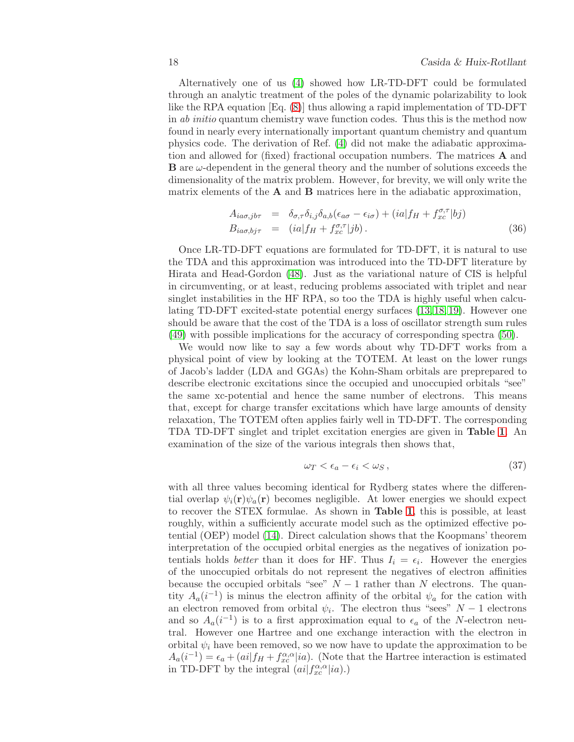Alternatively one of us [\(4\)](#page-31-3) showed how LR-TD-DFT could be formulated through an analytic treatment of the poles of the dynamic polarizability to look like the RPA equation [Eq. [\(8\)](#page-4-0)] thus allowing a rapid implementation of TD-DFT in *ab initio* quantum chemistry wave function codes. Thus this is the method now found in nearly every internationally important quantum chemistry and quantum physics code. The derivation of Ref. [\(4\)](#page-31-3) did not make the adiabatic approximation and allowed for (fixed) fractional occupation numbers. The matrices A and  $\bf{B}$  are  $\omega$ -dependent in the general theory and the number of solutions exceeds the dimensionality of the matrix problem. However, for brevity, we will only write the matrix elements of the  $A$  and  $B$  matrices here in the adiabatic approximation,

<span id="page-17-1"></span>
$$
A_{ia\sigma,jb\tau} = \delta_{\sigma,\tau}\delta_{i,j}\delta_{a,b}(\epsilon_{a\sigma} - \epsilon_{i\sigma}) + (ia|f_H + f_{xc}^{\sigma,\tau}|bj)
$$
  
\n
$$
B_{ia\sigma,bj\tau} = (ia|f_H + f_{xc}^{\sigma,\tau}|jb).
$$
\n(36)

Once LR-TD-DFT equations are formulated for TD-DFT, it is natural to use the TDA and this approximation was introduced into the TD-DFT literature by Hirata and Head-Gordon [\(48\)](#page-34-1). Just as the variational nature of CIS is helpful in circumventing, or at least, reducing problems associated with triplet and near singlet instabilities in the HF RPA, so too the TDA is highly useful when calculating TD-DFT excited-state potential energy surfaces [\(13,](#page-32-15) [18,](#page-32-6) [19\)](#page-32-7). However one should be aware that the cost of the TDA is a loss of oscillator strength sum rules [\(49\)](#page-34-2) with possible implications for the accuracy of corresponding spectra [\(50\)](#page-34-3).

We would now like to say a few words about why TD-DFT works from a physical point of view by looking at the TOTEM. At least on the lower rungs of Jacob's ladder (LDA and GGAs) the Kohn-Sham orbitals are preprepared to describe electronic excitations since the occupied and unoccupied orbitals "see" the same xc-potential and hence the same number of electrons. This means that, except for charge transfer excitations which have large amounts of density relaxation, The TOTEM often applies fairly well in TD-DFT. The corresponding TDA TD-DFT singlet and triplet excitation energies are given in Table [1](#page-43-0). An examination of the size of the various integrals then shows that,

<span id="page-17-0"></span>
$$
\omega_T < \epsilon_a - \epsilon_i < \omega_S \,,\tag{37}
$$

with all three values becoming identical for Rydberg states where the differential overlap  $\psi_i(\mathbf{r})\psi_a(\mathbf{r})$  becomes negligible. At lower energies we should expect to recover the STEX formulae. As shown in Table [1](#page-43-0), this is possible, at least roughly, within a sufficiently accurate model such as the optimized effective potential (OEP) model [\(14\)](#page-32-16). Direct calculation shows that the Koopmans' theorem interpretation of the occupied orbital energies as the negatives of ionization potentials holds *better* than it does for HF. Thus  $I_i = \epsilon_i$ . However the energies of the unoccupied orbitals do not represent the negatives of electron affinities because the occupied orbitals "see"  $N-1$  rather than N electrons. The quantity  $A_a(i^{-1})$  is minus the electron affinity of the orbital  $\psi_a$  for the cation with an electron removed from orbital  $\psi_i$ . The electron thus "sees"  $N-1$  electrons and so  $A_a(i^{-1})$  is to a first approximation equal to  $\epsilon_a$  of the N-electron neutral. However one Hartree and one exchange interaction with the electron in orbital  $\psi_i$  have been removed, so we now have to update the approximation to be  $A_a(i^{-1}) = \epsilon_a + (ai|f_H + f_{xc}^{\alpha,\alpha}|ia)$ . (Note that the Hartree interaction is estimated in TD-DFT by the integral  $(ai|f_{xc}^{\alpha,\alpha}|ia)$ .)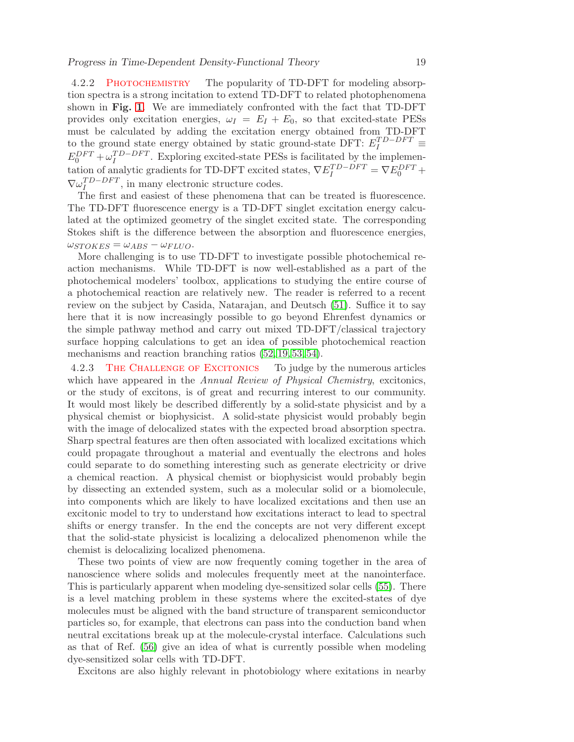4.2.2 Photochemistry The popularity of TD-DFT for modeling absorption spectra is a strong incitation to extend TD-DFT to related photophenomena shown in Fig. [1](#page-42-0). We are immediately confronted with the fact that TD-DFT provides only excitation energies,  $\omega_I = E_I + E_0$ , so that excited-state PESs must be calculated by adding the excitation energy obtained from TD-DFT to the ground state energy obtained by static ground-state DFT:  $E_I^{TD-DFT} \equiv$  $E_0^{DFT} + \omega_I^{TD-DFT}$ . Exploring excited-state PESs is facilitated by the implementation of analytic gradients for TD-DFT excited states,  $\nabla E_I^{TD-DFT} = \nabla E_0^{DFT} +$  $\nabla \omega_I^{TD-DFT}$ , in many electronic structure codes.

The first and easiest of these phenomena that can be treated is fluorescence. The TD-DFT fluorescence energy is a TD-DFT singlet excitation energy calculated at the optimized geometry of the singlet excited state. The corresponding Stokes shift is the difference between the absorption and fluorescence energies,  $\omega_{STOKES} = \omega_{ABS} - \omega_{FLUO}.$ 

More challenging is to use TD-DFT to investigate possible photochemical reaction mechanisms. While TD-DFT is now well-established as a part of the photochemical modelers' toolbox, applications to studying the entire course of a photochemical reaction are relatively new. The reader is referred to a recent review on the subject by Casida, Natarajan, and Deutsch [\(51\)](#page-34-4). Suffice it to say here that it is now increasingly possible to go beyond Ehrenfest dynamics or the simple pathway method and carry out mixed TD-DFT/classical trajectory surface hopping calculations to get an idea of possible photochemical reaction mechanisms and reaction branching ratios [\(52,](#page-34-5) [19,](#page-32-7) [53,](#page-34-6) [54\)](#page-34-7).

4.2.3 The Challenge of Excitonics To judge by the numerous articles which have appeared in the Annual Review of Physical Chemistry, excitonics, or the study of excitons, is of great and recurring interest to our community. It would most likely be described differently by a solid-state physicist and by a physical chemist or biophysicist. A solid-state physicist would probably begin with the image of delocalized states with the expected broad absorption spectra. Sharp spectral features are then often associated with localized excitations which could propagate throughout a material and eventually the electrons and holes could separate to do something interesting such as generate electricity or drive a chemical reaction. A physical chemist or biophysicist would probably begin by dissecting an extended system, such as a molecular solid or a biomolecule, into components which are likely to have localized excitations and then use an excitonic model to try to understand how excitations interact to lead to spectral shifts or energy transfer. In the end the concepts are not very different except that the solid-state physicist is localizing a delocalized phenomenon while the chemist is delocalizing localized phenomena.

These two points of view are now frequently coming together in the area of nanoscience where solids and molecules frequently meet at the nanointerface. This is particularly apparent when modeling dye-sensitized solar cells [\(55\)](#page-34-8). There is a level matching problem in these systems where the excited-states of dye molecules must be aligned with the band structure of transparent semiconductor particles so, for example, that electrons can pass into the conduction band when neutral excitations break up at the molecule-crystal interface. Calculations such as that of Ref. [\(56\)](#page-34-9) give an idea of what is currently possible when modeling dye-sensitized solar cells with TD-DFT.

Excitons are also highly relevant in photobiology where exitations in nearby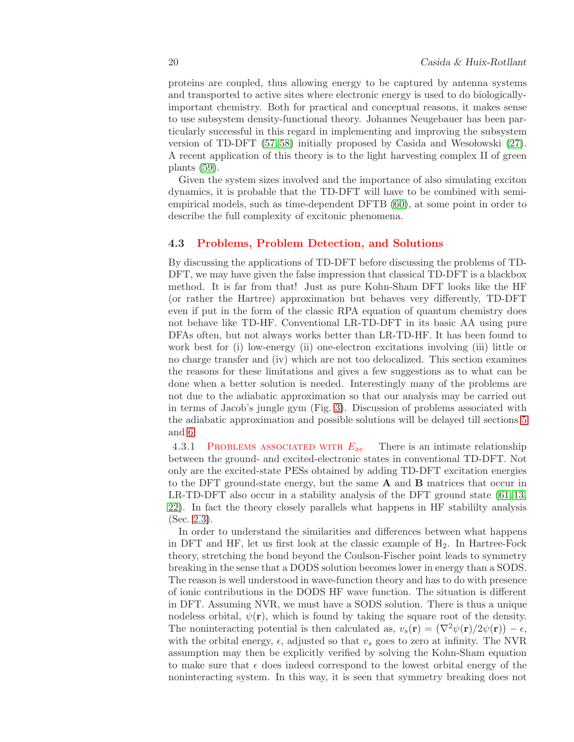proteins are coupled, thus allowing energy to be captured by antenna systems and transported to active sites where electronic energy is used to do biologicallyimportant chemistry. Both for practical and conceptual reasons, it makes sense to use subsystem density-functional theory. Johannes Neugebauer has been particularly successful in this regard in implementing and improving the subsystem version of TD-DFT  $(57, 58)$  $(57, 58)$  initially proposed by Casida and Wesolowski  $(27)$ . A recent application of this theory is to the light harvesting complex II of green plants [\(59\)](#page-34-12).

Given the system sizes involved and the importance of also simulating exciton dynamics, it is probable that the TD-DFT will have to be combined with semiempirical models, such as time-dependent DFTB [\(60\)](#page-34-13), at some point in order to describe the full complexity of excitonic phenomena.

## <span id="page-19-0"></span>4.3 Problems, Problem Detection, and Solutions

By discussing the applications of TD-DFT before discussing the problems of TD-DFT, we may have given the false impression that classical TD-DFT is a blackbox method. It is far from that! Just as pure Kohn-Sham DFT looks like the HF (or rather the Hartree) approximation but behaves very differently, TD-DFT even if put in the form of the classic RPA equation of quantum chemistry does not behave like TD-HF. Conventional LR-TD-DFT in its basic AA using pure DFAs often, but not always works better than LR-TD-HF. It has been found to work best for (i) low-energy (ii) one-electron excitations involving (iii) little or no charge transfer and (iv) which are not too delocalized. This section examines the reasons for these limitations and gives a few suggestions as to what can be done when a better solution is needed. Interestingly many of the problems are not due to the adiabatic approximation so that our analysis may be carried out in terms of Jacob's jungle gym (Fig. [3\)](#page-44-0). Discussion of problems associated with the adiabatic approximation and possible solutions will be delayed till sections [5](#page-24-0) and [6.](#page-27-1)

4.3.1 PROBLEMS ASSOCIATED WITH  $E_{xc}$  There is an intimate relationship between the ground- and excited-electronic states in conventional TD-DFT. Not only are the excited-state PESs obtained by adding TD-DFT excitation energies to the DFT ground-state energy, but the same A and B matrices that occur in LR-TD-DFT also occur in a stability analysis of the DFT ground state [\(61,](#page-34-14) [13,](#page-32-15) [22\)](#page-32-10). In fact the theory closely parallels what happens in HF stabililty analysis (Sec. [2.3\)](#page-7-0).

In order to understand the similarities and differences between what happens in DFT and HF, let us first look at the classic example of  $H_2$ . In Hartree-Fock theory, stretching the bond beyond the Coulson-Fischer point leads to symmetry breaking in the sense that a DODS solution becomes lower in energy than a SODS. The reason is well understood in wave-function theory and has to do with presence of ionic contributions in the DODS HF wave function. The situation is different in DFT. Assuming NVR, we must have a SODS solution. There is thus a unique nodeless orbital,  $\psi(\mathbf{r})$ , which is found by taking the square root of the density. The noninteracting potential is then calculated as,  $v_s(\mathbf{r}) = (\nabla^2 \psi(\mathbf{r})/2\psi(\mathbf{r})) - \epsilon$ , with the orbital energy,  $\epsilon$ , adjusted so that  $v_s$  goes to zero at infinity. The NVR assumption may then be explicitly verified by solving the Kohn-Sham equation to make sure that  $\epsilon$  does indeed correspond to the lowest orbital energy of the noninteracting system. In this way, it is seen that symmetry breaking does not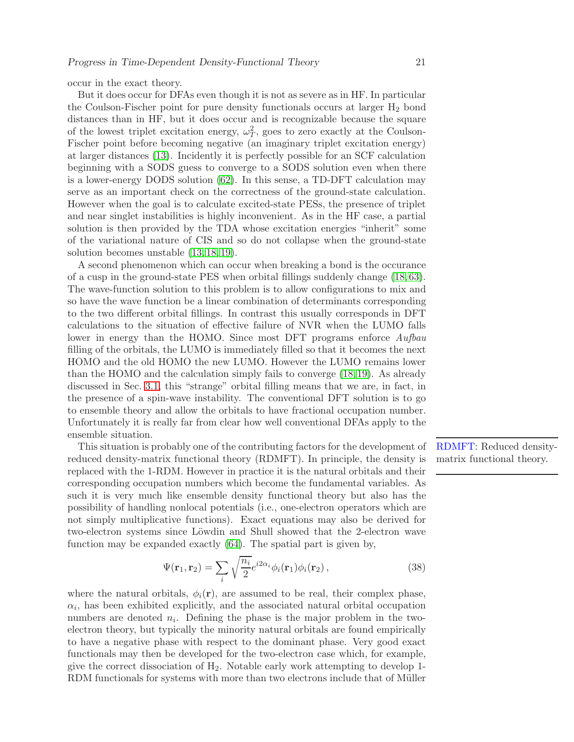occur in the exact theory.

But it does occur for DFAs even though it is not as severe as in HF. In particular the Coulson-Fischer point for pure density functionals occurs at larger  $H_2$  bond distances than in HF, but it does occur and is recognizable because the square of the lowest triplet excitation energy,  $\omega_T^2$ , goes to zero exactly at the Coulson-Fischer point before becoming negative (an imaginary triplet excitation energy) at larger distances [\(13\)](#page-32-15). Incidently it is perfectly possible for an SCF calculation beginning with a SODS guess to converge to a SODS solution even when there is a lower-energy DODS solution [\(62\)](#page-34-15). In this sense, a TD-DFT calculation may serve as an important check on the correctness of the ground-state calculation. However when the goal is to calculate excited-state PESs, the presence of triplet and near singlet instabilities is highly inconvenient. As in the HF case, a partial solution is then provided by the TDA whose excitation energies "inherit" some of the variational nature of CIS and so do not collapse when the ground-state solution becomes unstable [\(13,](#page-32-15) [18,](#page-32-6) [19\)](#page-32-7).

A second phenomenon which can occur when breaking a bond is the occurance of a cusp in the ground-state PES when orbital fillings suddenly change [\(18,](#page-32-6) [63\)](#page-35-0). The wave-function solution to this problem is to allow configurations to mix and so have the wave function be a linear combination of determinants corresponding to the two different orbital fillings. In contrast this usually corresponds in DFT calculations to the situation of effective failure of NVR when the LUMO falls lower in energy than the HOMO. Since most DFT programs enforce Aufbau filling of the orbitals, the LUMO is immediately filled so that it becomes the next HOMO and the old HOMO the new LUMO. However the LUMO remains lower than the HOMO and the calculation simply fails to converge [\(18,](#page-32-6)[19\)](#page-32-7). As already discussed in Sec. [3.1,](#page-9-0) this "strange" orbital filling means that we are, in fact, in the presence of a spin-wave instability. The conventional DFT solution is to go to ensemble theory and allow the orbitals to have fractional occupation number. Unfortunately it is really far from clear how well conventional DFAs apply to the ensemble situation.

This situation is probably one of the contributing factors for the development of reduced density-matrix functional theory (RDMFT). In principle, the density is replaced with the 1-RDM. However in practice it is the natural orbitals and their corresponding occupation numbers which become the fundamental variables. As such it is very much like ensemble density functional theory but also has the possibility of handling nonlocal potentials (i.e., one-electron operators which are not simply multiplicative functions). Exact equations may also be derived for two-electron systems since Löwdin and Shull showed that the 2-electron wave function may be expanded exactly [\(64\)](#page-35-1). The spatial part is given by,

$$
\Psi(\mathbf{r}_1, \mathbf{r}_2) = \sum_{i} \sqrt{\frac{n_i}{2}} e^{i2\alpha_i} \phi_i(\mathbf{r}_1) \phi_i(\mathbf{r}_2), \qquad (38)
$$

where the natural orbitals,  $\phi_i(\mathbf{r})$ , are assumed to be real, their complex phase,  $\alpha_i$ , has been exhibited explicitly, and the associated natural orbital occupation numbers are denoted  $n_i$ . Defining the phase is the major problem in the twoelectron theory, but typically the minority natural orbitals are found empirically to have a negative phase with respect to the dominant phase. Very good exact functionals may then be developed for the two-electron case which, for example, give the correct dissociation of  $H_2$ . Notable early work attempting to develop 1-RDM functionals for systems with more than two electrons include that of Müller RDMFT: Reduced densitymatrix functional theory.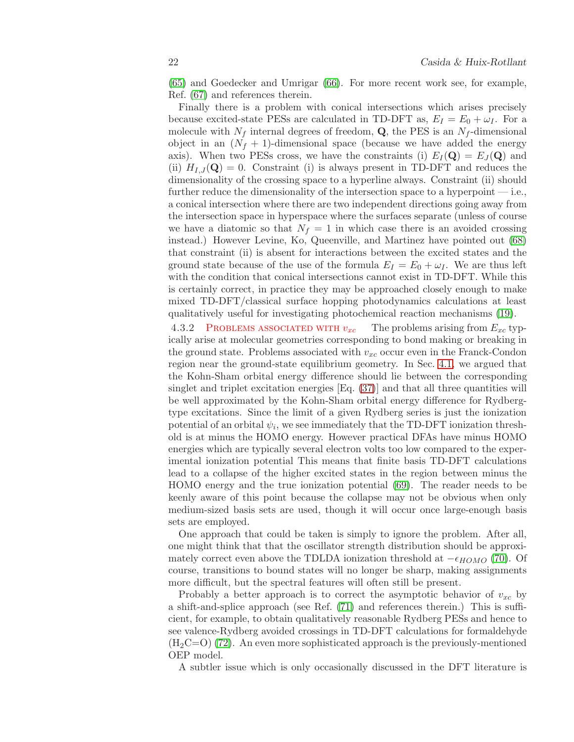[\(65\)](#page-35-2) and Goedecker and Umrigar [\(66\)](#page-35-3). For more recent work see, for example, Ref. [\(67\)](#page-35-4) and references therein.

Finally there is a problem with conical intersections which arises precisely because excited-state PESs are calculated in TD-DFT as,  $E_I = E_0 + \omega_I$ . For a molecule with  $N_f$  internal degrees of freedom, **Q**, the PES is an  $N_f$ -dimensional object in an  $(N_f + 1)$ -dimensional space (because we have added the energy axis). When two PESs cross, we have the constraints (i)  $E_I(\mathbf{Q}) = E_J(\mathbf{Q})$  and (ii)  $H_{I,J}(\mathbf{Q}) = 0$ . Constraint (i) is always present in TD-DFT and reduces the dimensionality of the crossing space to a hyperline always. Constraint (ii) should further reduce the dimensionality of the intersection space to a hyperpoint — i.e., a conical intersection where there are two independent directions going away from the intersection space in hyperspace where the surfaces separate (unless of course we have a diatomic so that  $N_f = 1$  in which case there is an avoided crossing instead.) However Levine, Ko, Queenville, and Martinez have pointed out [\(68\)](#page-35-5) that constraint (ii) is absent for interactions between the excited states and the ground state because of the use of the formula  $E_I = E_0 + \omega_I$ . We are thus left with the condition that conical intersections cannot exist in TD-DFT. While this is certainly correct, in practice they may be approached closely enough to make mixed TD-DFT/classical surface hopping photodynamics calculations at least qualitatively useful for investigating photochemical reaction mechanisms [\(19\)](#page-32-7).

4.3.2 PROBLEMS ASSOCIATED WITH  $v_{xc}$  The problems arising from  $E_{xc}$  typically arise at molecular geometries corresponding to bond making or breaking in the ground state. Problems associated with  $v_{xc}$  occur even in the Franck-Condon region near the ground-state equilibrium geometry. In Sec. [4.1,](#page-14-0) we argued that the Kohn-Sham orbital energy difference should lie between the corresponding singlet and triplet excitation energies [Eq. [\(37\)](#page-17-0)] and that all three quantities will be well approximated by the Kohn-Sham orbital energy difference for Rydbergtype excitations. Since the limit of a given Rydberg series is just the ionization potential of an orbital  $\psi_i$ , we see immediately that the TD-DFT ionization threshold is at minus the HOMO energy. However practical DFAs have minus HOMO energies which are typically several electron volts too low compared to the experimental ionization potential This means that finite basis TD-DFT calculations lead to a collapse of the higher excited states in the region between minus the HOMO energy and the true ionization potential [\(69\)](#page-35-6). The reader needs to be keenly aware of this point because the collapse may not be obvious when only medium-sized basis sets are used, though it will occur once large-enough basis sets are employed.

One approach that could be taken is simply to ignore the problem. After all, one might think that that the oscillator strength distribution should be approximately correct even above the TDLDA ionization threshold at  $-\epsilon_{HOMO}$  [\(70\)](#page-35-7). Of course, transitions to bound states will no longer be sharp, making assignments more difficult, but the spectral features will often still be present.

Probably a better approach is to correct the asymptotic behavior of  $v_{xc}$  by a shift-and-splice approach (see Ref. [\(71\)](#page-35-8) and references therein.) This is sufficient, for example, to obtain qualitatively reasonable Rydberg PESs and hence to see valence-Rydberg avoided crossings in TD-DFT calculations for formaldehyde  $(H<sub>2</sub>C=O)$  [\(72\)](#page-35-9). An even more sophisticated approach is the previously-mentioned OEP model.

A subtler issue which is only occasionally discussed in the DFT literature is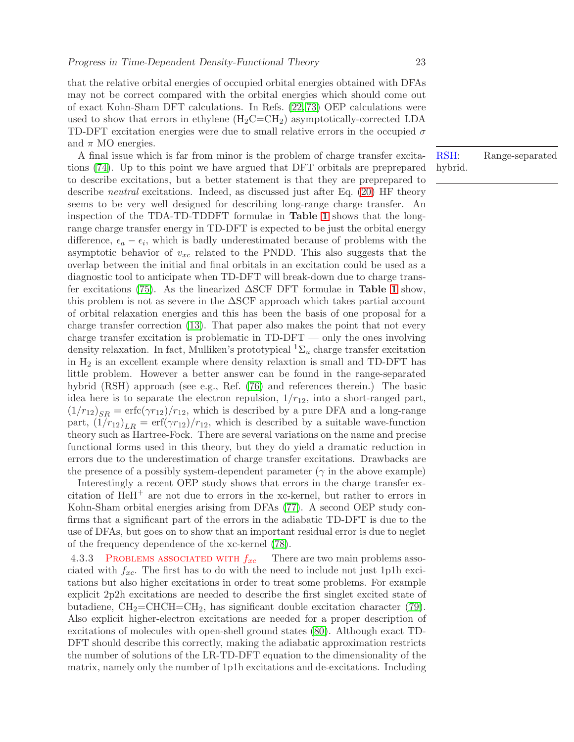that the relative orbital energies of occupied orbital energies obtained with DFAs may not be correct compared with the orbital energies which should come out of exact Kohn-Sham DFT calculations. In Refs. [\(22,](#page-32-10) [73\)](#page-35-10) OEP calculations were used to show that errors in ethylene  $(H_2C=CH_2)$  asymptotically-corrected LDA TD-DFT excitation energies were due to small relative errors in the occupied  $\sigma$ and  $\pi$  MO energies.

A final issue which is far from minor is the problem of charge transfer excitations [\(74\)](#page-35-11). Up to this point we have argued that DFT orbitals are preprepared to describe excitations, but a better statement is that they are preprepared to describe neutral excitations. Indeed, as discussed just after Eq. [\(20\)](#page-6-1) HF theory seems to be very well designed for describing long-range charge transfer. An inspection of the TDA-TD-TDDFT formulae in Table [1](#page-43-0) shows that the longrange charge transfer energy in TD-DFT is expected to be just the orbital energy difference,  $\epsilon_a - \epsilon_i$ , which is badly underestimated because of problems with the asymptotic behavior of  $v_{xc}$  related to the PNDD. This also suggests that the overlap between the initial and final orbitals in an excitation could be used as a diagnostic tool to anticipate when TD-DFT will break-down due to charge trans-fer excitations [\(75\)](#page-35-12). As the linearized  $\Delta$ SCF DFT formulae in **Table [1](#page-43-0)** show, this problem is not as severe in the ∆SCF approach which takes partial account of orbital relaxation energies and this has been the basis of one proposal for a charge transfer correction [\(13\)](#page-32-15). That paper also makes the point that not every charge transfer excitation is problematic in TD-DFT — only the ones involving density relaxation. In fact, Mulliken's prototypical  ${}^{1}\Sigma_{u}$  charge transfer excitation in  $H_2$  is an excellent example where density relaxtion is small and TD-DFT has little problem. However a better answer can be found in the range-separated hybrid (RSH) approach (see e.g., Ref. [\(76\)](#page-35-13) and references therein.) The basic idea here is to separate the electron repulsion,  $1/r_{12}$ , into a short-ranged part,  $(1/r_{12})_{SR} = \text{erfc}(\gamma r_{12})/r_{12}$ , which is described by a pure DFA and a long-range part,  $(1/r_{12})_{LR} = erf(\gamma r_{12})/r_{12}$ , which is described by a suitable wave-function theory such as Hartree-Fock. There are several variations on the name and precise functional forms used in this theory, but they do yield a dramatic reduction in errors due to the underestimation of charge transfer excitations. Drawbacks are the presence of a possibly system-dependent parameter ( $\gamma$  in the above example)

Interestingly a recent OEP study shows that errors in the charge transfer excitation of  $HeH^+$  are not due to errors in the xc-kernel, but rather to errors in Kohn-Sham orbital energies arising from DFAs [\(77\)](#page-35-14). A second OEP study confirms that a significant part of the errors in the adiabatic TD-DFT is due to the use of DFAs, but goes on to show that an important residual error is due to neglet of the frequency dependence of the xc-kernel [\(78\)](#page-35-15).

4.3.3 PROBLEMS ASSOCIATED WITH  $f_{xc}$  There are two main problems associated with  $f_{xc}$ . The first has to do with the need to include not just 1p1h excitations but also higher excitations in order to treat some problems. For example explicit 2p2h excitations are needed to describe the first singlet excited state of butadiene,  $CH_2=CHCH=CH_2$ , has significant double excitation character [\(79\)](#page-36-0). Also explicit higher-electron excitations are needed for a proper description of excitations of molecules with open-shell ground states [\(80\)](#page-36-1). Although exact TD-DFT should describe this correctly, making the adiabatic approximation restricts the number of solutions of the LR-TD-DFT equation to the dimensionality of the matrix, namely only the number of 1p1h excitations and de-excitations. Including

RSH: Range-separated hybrid.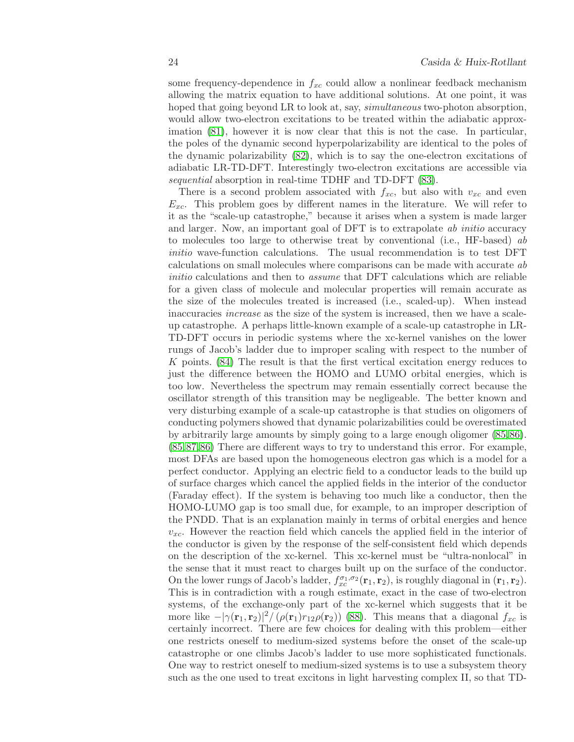some frequency-dependence in  $f_{xc}$  could allow a nonlinear feedback mechanism allowing the matrix equation to have additional solutions. At one point, it was hoped that going beyond LR to look at, say, *simultaneous* two-photon absorption, would allow two-electron excitations to be treated within the adiabatic approximation [\(81\)](#page-36-2), however it is now clear that this is not the case. In particular, the poles of the dynamic second hyperpolarizability are identical to the poles of the dynamic polarizability [\(82\)](#page-36-3), which is to say the one-electron excitations of adiabatic LR-TD-DFT. Interestingly two-electron excitations are accessible via sequential absorption in real-time TDHF and TD-DFT  $(83)$ .

There is a second problem associated with  $f_{xc}$ , but also with  $v_{xc}$  and even  $E_{xc}$ . This problem goes by different names in the literature. We will refer to it as the "scale-up catastrophe," because it arises when a system is made larger and larger. Now, an important goal of DFT is to extrapolate ab initio accuracy to molecules too large to otherwise treat by conventional (i.e., HF-based) ab initio wave-function calculations. The usual recommendation is to test DFT calculations on small molecules where comparisons can be made with accurate ab initio calculations and then to *assume* that DFT calculations which are reliable for a given class of molecule and molecular properties will remain accurate as the size of the molecules treated is increased (i.e., scaled-up). When instead inaccuracies increase as the size of the system is increased, then we have a scaleup catastrophe. A perhaps little-known example of a scale-up catastrophe in LR-TD-DFT occurs in periodic systems where the xc-kernel vanishes on the lower rungs of Jacob's ladder due to improper scaling with respect to the number of K points. [\(84\)](#page-36-5) The result is that the first vertical excitation energy reduces to just the difference between the HOMO and LUMO orbital energies, which is too low. Nevertheless the spectrum may remain essentially correct because the oscillator strength of this transition may be negligeable. The better known and very disturbing example of a scale-up catastrophe is that studies on oligomers of conducting polymers showed that dynamic polarizabilities could be overestimated by arbitrarily large amounts by simply going to a large enough oligomer [\(85,](#page-36-6) [86\)](#page-36-7). [\(85,](#page-36-6)[87,](#page-36-8)[86\)](#page-36-7) There are different ways to try to understand this error. For example, most DFAs are based upon the homogeneous electron gas which is a model for a perfect conductor. Applying an electric field to a conductor leads to the build up of surface charges which cancel the applied fields in the interior of the conductor (Faraday effect). If the system is behaving too much like a conductor, then the HOMO-LUMO gap is too small due, for example, to an improper description of the PNDD. That is an explanation mainly in terms of orbital energies and hence  $v_{xc}$ . However the reaction field which cancels the applied field in the interior of the conductor is given by the response of the self-consistent field which depends on the description of the xc-kernel. This xc-kernel must be "ultra-nonlocal" in the sense that it must react to charges built up on the surface of the conductor. On the lower rungs of Jacob's ladder,  $f_{xc}^{\sigma_1,\sigma_2}(\mathbf{r}_1,\mathbf{r}_2)$ , is roughly diagonal in  $(\mathbf{r}_1,\mathbf{r}_2)$ . This is in contradiction with a rough estimate, exact in the case of two-electron systems, of the exchange-only part of the xc-kernel which suggests that it be more like  $-|\gamma(\mathbf{r}_1, \mathbf{r}_2)|^2/(\rho(\mathbf{r}_1)r_{12}\rho(\mathbf{r}_2))$  [\(88\)](#page-36-9). This means that a diagonal  $f_{xc}$  is certainly incorrect. There are few choices for dealing with this problem—either one restricts oneself to medium-sized systems before the onset of the scale-up catastrophe or one climbs Jacob's ladder to use more sophisticated functionals. One way to restrict oneself to medium-sized systems is to use a subsystem theory such as the one used to treat excitons in light harvesting complex II, so that TD-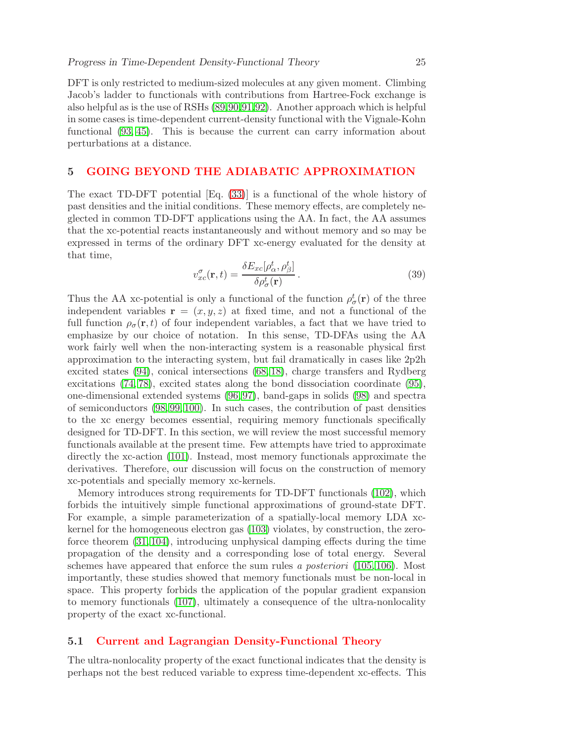DFT is only restricted to medium-sized molecules at any given moment. Climbing Jacob's ladder to functionals with contributions from Hartree-Fock exchange is also helpful as is the use of RSHs [\(89,](#page-36-10)[90,](#page-36-11)[91,](#page-36-12)[92\)](#page-36-13). Another approach which is helpful in some cases is time-dependent current-density functional with the Vignale-Kohn functional [\(93,](#page-36-14) [45\)](#page-33-18). This is because the current can carry information about perturbations at a distance.

## <span id="page-24-0"></span>5 GOING BEYOND THE ADIABATIC APPROXIMATION

The exact TD-DFT potential [Eq. [\(33\)](#page-15-1)] is a functional of the whole history of past densities and the initial conditions. These memory effects, are completely neglected in common TD-DFT applications using the AA. In fact, the AA assumes that the xc-potential reacts instantaneously and without memory and so may be expressed in terms of the ordinary DFT xc-energy evaluated for the density at that time,

$$
v_{xc}^{\sigma}(\mathbf{r},t) = \frac{\delta E_{xc}[\rho_{\alpha}^{t}, \rho_{\beta}^{t}]}{\delta \rho_{\sigma}^{t}(\mathbf{r})}.
$$
\n(39)

Thus the AA xc-potential is only a functional of the function  $\rho_{\sigma}^{t}(\mathbf{r})$  of the three independent variables  $\mathbf{r} = (x, y, z)$  at fixed time, and not a functional of the full function  $\rho_{\sigma}(\mathbf{r},t)$  of four independent variables, a fact that we have tried to emphasize by our choice of notation. In this sense, TD-DFAs using the AA work fairly well when the non-interacting system is a reasonable physical first approximation to the interacting system, but fail dramatically in cases like 2p2h excited states [\(94\)](#page-37-0), conical intersections [\(68,](#page-35-5) [18\)](#page-32-6), charge transfers and Rydberg excitations [\(74,](#page-35-11) [78\)](#page-35-15), excited states along the bond dissociation coordinate [\(95\)](#page-37-1), one-dimensional extended systems [\(96,](#page-37-2) [97\)](#page-37-3), band-gaps in solids [\(98\)](#page-37-4) and spectra of semiconductors [\(98,](#page-37-4) [99,](#page-37-5) [100\)](#page-37-6). In such cases, the contribution of past densities to the xc energy becomes essential, requiring memory functionals specifically designed for TD-DFT. In this section, we will review the most successful memory functionals available at the present time. Few attempts have tried to approximate directly the xc-action [\(101\)](#page-37-7). Instead, most memory functionals approximate the derivatives. Therefore, our discussion will focus on the construction of memory xc-potentials and specially memory xc-kernels.

Memory introduces strong requirements for TD-DFT functionals [\(102\)](#page-37-8), which forbids the intuitively simple functional approximations of ground-state DFT. For example, a simple parameterization of a spatially-local memory LDA xckernel for the homogeneous electron gas [\(103\)](#page-37-9) violates, by construction, the zeroforce theorem [\(31,](#page-33-4) [104\)](#page-37-10), introducing unphysical damping effects during the time propagation of the density and a corresponding lose of total energy. Several schemes have appeared that enforce the sum rules a posteriori [\(105,](#page-37-11) [106\)](#page-37-12). Most importantly, these studies showed that memory functionals must be non-local in space. This property forbids the application of the popular gradient expansion to memory functionals [\(107\)](#page-37-13), ultimately a consequence of the ultra-nonlocality property of the exact xc-functional.

## <span id="page-24-1"></span>5.1 Current and Lagrangian Density-Functional Theory

The ultra-nonlocality property of the exact functional indicates that the density is perhaps not the best reduced variable to express time-dependent xc-effects. This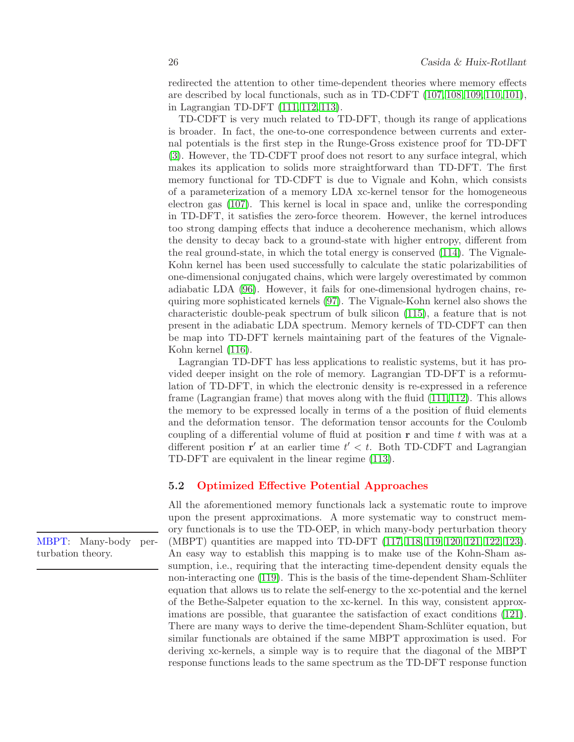redirected the attention to other time-dependent theories where memory effects are described by local functionals, such as in TD-CDFT [\(107,](#page-37-13) [108,](#page-37-14) [109,](#page-37-15) [110,](#page-38-0) [101\)](#page-37-7), in Lagrangian TD-DFT [\(111,](#page-38-1) [112,](#page-38-2) [113\)](#page-38-3).

TD-CDFT is very much related to TD-DFT, though its range of applications is broader. In fact, the one-to-one correspondence between currents and external potentials is the first step in the Runge-Gross existence proof for TD-DFT [\(3\)](#page-31-2). However, the TD-CDFT proof does not resort to any surface integral, which makes its application to solids more straightforward than TD-DFT. The first memory functional for TD-CDFT is due to Vignale and Kohn, which consists of a parameterization of a memory LDA xc-kernel tensor for the homogeneous electron gas [\(107\)](#page-37-13). This kernel is local in space and, unlike the corresponding in TD-DFT, it satisfies the zero-force theorem. However, the kernel introduces too strong damping effects that induce a decoherence mechanism, which allows the density to decay back to a ground-state with higher entropy, different from the real ground-state, in which the total energy is conserved [\(114\)](#page-38-4). The Vignale-Kohn kernel has been used successfully to calculate the static polarizabilities of one-dimensional conjugated chains, which were largely overestimated by common adiabatic LDA [\(96\)](#page-37-2). However, it fails for one-dimensional hydrogen chains, requiring more sophisticated kernels [\(97\)](#page-37-3). The Vignale-Kohn kernel also shows the characteristic double-peak spectrum of bulk silicon [\(115\)](#page-38-5), a feature that is not present in the adiabatic LDA spectrum. Memory kernels of TD-CDFT can then be map into TD-DFT kernels maintaining part of the features of the Vignale-Kohn kernel [\(116\)](#page-38-6).

Lagrangian TD-DFT has less applications to realistic systems, but it has provided deeper insight on the role of memory. Lagrangian TD-DFT is a reformulation of TD-DFT, in which the electronic density is re-expressed in a reference frame (Lagrangian frame) that moves along with the fluid [\(111,](#page-38-1)[112\)](#page-38-2). This allows the memory to be expressed locally in terms of a the position of fluid elements and the deformation tensor. The deformation tensor accounts for the Coulomb coupling of a differential volume of fluid at position  $\bf{r}$  and time t with was at a different position  $\mathbf{r}'$  at an earlier time  $t' < t$ . Both TD-CDFT and Lagrangian TD-DFT are equivalent in the linear regime [\(113\)](#page-38-3).

# <span id="page-25-0"></span>5.2 Optimized Effective Potential Approaches

All the aforementioned memory functionals lack a systematic route to improve upon the present approximations. A more systematic way to construct memory functionals is to use the TD-OEP, in which many-body perturbation theory (MBPT) quantities are mapped into TD-DFT [\(117,](#page-38-7) [118,](#page-38-8) [119,](#page-38-9) [120,](#page-38-10) [121,](#page-38-11) [122,](#page-38-12) [123\)](#page-38-13). An easy way to establish this mapping is to make use of the Kohn-Sham assumption, i.e., requiring that the interacting time-dependent density equals the non-interacting one  $(119)$ . This is the basis of the time-dependent Sham-Schlüter equation that allows us to relate the self-energy to the xc-potential and the kernel of the Bethe-Salpeter equation to the xc-kernel. In this way, consistent approximations are possible, that guarantee the satisfaction of exact conditions [\(121\)](#page-38-11). There are many ways to derive the time-dependent Sham-Schlüter equation, but similar functionals are obtained if the same MBPT approximation is used. For deriving xc-kernels, a simple way is to require that the diagonal of the MBPT response functions leads to the same spectrum as the TD-DFT response function

MBPT: Many-body perturbation theory.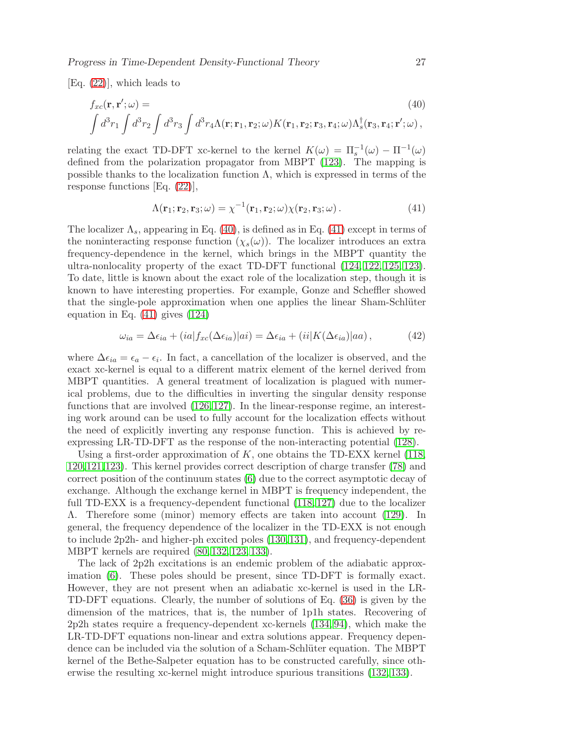[Eq. [\(22\)](#page-9-1)], which leads to

<span id="page-26-0"></span>
$$
f_{xc}(\mathbf{r}, \mathbf{r}'; \omega) =
$$
\n
$$
\int d^3 r_1 \int d^3 r_2 \int d^3 r_3 \int d^3 r_4 \Lambda(\mathbf{r}; \mathbf{r}_1, \mathbf{r}_2; \omega) K(\mathbf{r}_1, \mathbf{r}_2; \mathbf{r}_3, \mathbf{r}_4; \omega) \Lambda_s^{\dagger}(\mathbf{r}_3, \mathbf{r}_4; \mathbf{r}'; \omega),
$$
\n(40)

relating the exact TD-DFT xc-kernel to the kernel  $K(\omega) = \Pi_s^{-1}(\omega) - \Pi^{-1}(\omega)$ defined from the polarization propagator from MBPT [\(123\)](#page-38-13). The mapping is possible thanks to the localization function  $\Lambda$ , which is expressed in terms of the response functions [Eq. [\(22\)](#page-9-1)],

<span id="page-26-1"></span>
$$
\Lambda(\mathbf{r}_1; \mathbf{r}_2, \mathbf{r}_3; \omega) = \chi^{-1}(\mathbf{r}_1, \mathbf{r}_2; \omega) \chi(\mathbf{r}_2, \mathbf{r}_3; \omega).
$$
 (41)

The localizer  $\Lambda_s$ , appearing in Eq. [\(40\)](#page-26-0), is defined as in Eq. [\(41\)](#page-26-1) except in terms of the noninteracting response function  $(\chi_s(\omega))$ . The localizer introduces an extra frequency-dependence in the kernel, which brings in the MBPT quantity the ultra-nonlocality property of the exact TD-DFT functional [\(124,](#page-38-14) [122,](#page-38-12) [125,](#page-38-15) [123\)](#page-38-13). To date, little is known about the exact role of the localization step, though it is known to have interesting properties. For example, Gonze and Scheffler showed that the single-pole approximation when one applies the linear Sham-Schlüter equation in Eq. [\(41\)](#page-26-1) gives [\(124\)](#page-38-14)

$$
\omega_{ia} = \Delta \epsilon_{ia} + (ia|f_{xc}(\Delta \epsilon_{ia})|ai) = \Delta \epsilon_{ia} + (ii|K(\Delta \epsilon_{ia})|aa), \qquad (42)
$$

where  $\Delta \epsilon_{ia} = \epsilon_a - \epsilon_i$ . In fact, a cancellation of the localizer is observed, and the exact xc-kernel is equal to a different matrix element of the kernel derived from MBPT quantities. A general treatment of localization is plagued with numerical problems, due to the difficulties in inverting the singular density response functions that are involved [\(126,](#page-38-16) [127\)](#page-38-17). In the linear-response regime, an interesting work around can be used to fully account for the localization effects without the need of explicitly inverting any response function. This is achieved by reexpressing LR-TD-DFT as the response of the non-interacting potential [\(128\)](#page-38-18).

Using a first-order approximation of  $K$ , one obtains the TD-EXX kernel [\(118,](#page-38-8) [120,](#page-38-10)[121,](#page-38-11)[123\)](#page-38-13). This kernel provides correct description of charge transfer [\(78\)](#page-35-15) and correct position of the continuum states [\(6\)](#page-31-5) due to the correct asymptotic decay of exchange. Although the exchange kernel in MBPT is frequency independent, the full TD-EXX is a frequency-dependent functional [\(118,](#page-38-8) [127\)](#page-38-17) due to the localizer Λ. Therefore some (minor) memory effects are taken into account [\(129\)](#page-39-0). In general, the frequency dependence of the localizer in the TD-EXX is not enough to include 2p2h- and higher-ph excited poles [\(130,](#page-39-1)[131\)](#page-39-2), and frequency-dependent MBPT kernels are required [\(80,](#page-36-1) [132,](#page-39-3) [123,](#page-38-13) [133\)](#page-39-4).

The lack of 2p2h excitations is an endemic problem of the adiabatic approximation [\(6\)](#page-31-5). These poles should be present, since TD-DFT is formally exact. However, they are not present when an adiabatic xc-kernel is used in the LR-TD-DFT equations. Clearly, the number of solutions of Eq. [\(36\)](#page-17-1) is given by the dimension of the matrices, that is, the number of 1p1h states. Recovering of 2p2h states require a frequency-dependent xc-kernels [\(134,](#page-39-5) [94\)](#page-37-0), which make the LR-TD-DFT equations non-linear and extra solutions appear. Frequency dependence can be included via the solution of a Scham-Schlüter equation. The MBPT kernel of the Bethe-Salpeter equation has to be constructed carefully, since otherwise the resulting xc-kernel might introduce spurious transitions [\(132,](#page-39-3) [133\)](#page-39-4).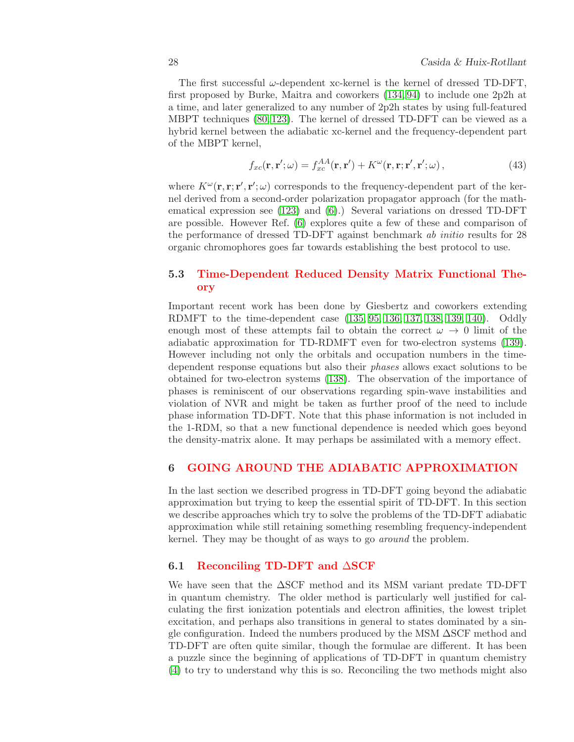The first successful  $\omega$ -dependent xc-kernel is the kernel of dressed TD-DFT, first proposed by Burke, Maitra and coworkers [\(134,](#page-39-5) [94\)](#page-37-0) to include one 2p2h at a time, and later generalized to any number of 2p2h states by using full-featured MBPT techniques [\(80,](#page-36-1) [123\)](#page-38-13). The kernel of dressed TD-DFT can be viewed as a hybrid kernel between the adiabatic xc-kernel and the frequency-dependent part of the MBPT kernel,

$$
f_{xc}(\mathbf{r}, \mathbf{r}'; \omega) = f_{xc}^{AA}(\mathbf{r}, \mathbf{r}') + K^{\omega}(\mathbf{r}, \mathbf{r}; \mathbf{r}', \mathbf{r}'; \omega), \qquad (43)
$$

where  $K^{\omega}(\mathbf{r}, \mathbf{r}; \mathbf{r}', \mathbf{r}'; \omega)$  corresponds to the frequency-dependent part of the kernel derived from a second-order polarization propagator approach (for the mathematical expression see [\(123\)](#page-38-13) and [\(6\)](#page-31-5).) Several variations on dressed TD-DFT are possible. However Ref. [\(6\)](#page-31-5) explores quite a few of these and comparison of the performance of dressed TD-DFT against benchmark ab initio results for 28 organic chromophores goes far towards establishing the best protocol to use.

# <span id="page-27-0"></span>5.3 Time-Dependent Reduced Density Matrix Functional Theory

Important recent work has been done by Giesbertz and coworkers extending RDMFT to the time-dependent case [\(135,](#page-39-6) [95,](#page-37-1) [136,](#page-39-7) [137,](#page-39-8) [138,](#page-39-9) [139,](#page-39-10) [140\)](#page-39-11). Oddly enough most of these attempts fail to obtain the correct  $\omega \to 0$  limit of the adiabatic approximation for TD-RDMFT even for two-electron systems [\(139\)](#page-39-10). However including not only the orbitals and occupation numbers in the timedependent response equations but also their phases allows exact solutions to be obtained for two-electron systems [\(138\)](#page-39-9). The observation of the importance of phases is reminiscent of our observations regarding spin-wave instabilities and violation of NVR and might be taken as further proof of the need to include phase information TD-DFT. Note that this phase information is not included in the 1-RDM, so that a new functional dependence is needed which goes beyond the density-matrix alone. It may perhaps be assimilated with a memory effect.

## <span id="page-27-1"></span>6 GOING AROUND THE ADIABATIC APPROXIMATION

In the last section we described progress in TD-DFT going beyond the adiabatic approximation but trying to keep the essential spirit of TD-DFT. In this section we describe approaches which try to solve the problems of the TD-DFT adiabatic approximation while still retaining something resembling frequency-independent kernel. They may be thought of as ways to go around the problem.

## <span id="page-27-2"></span>6.1 Reconciling TD-DFT and ∆SCF

We have seen that the ∆SCF method and its MSM variant predate TD-DFT in quantum chemistry. The older method is particularly well justified for calculating the first ionization potentials and electron affinities, the lowest triplet excitation, and perhaps also transitions in general to states dominated by a single configuration. Indeed the numbers produced by the MSM ∆SCF method and TD-DFT are often quite similar, though the formulae are different. It has been a puzzle since the beginning of applications of TD-DFT in quantum chemistry [\(4\)](#page-31-3) to try to understand why this is so. Reconciling the two methods might also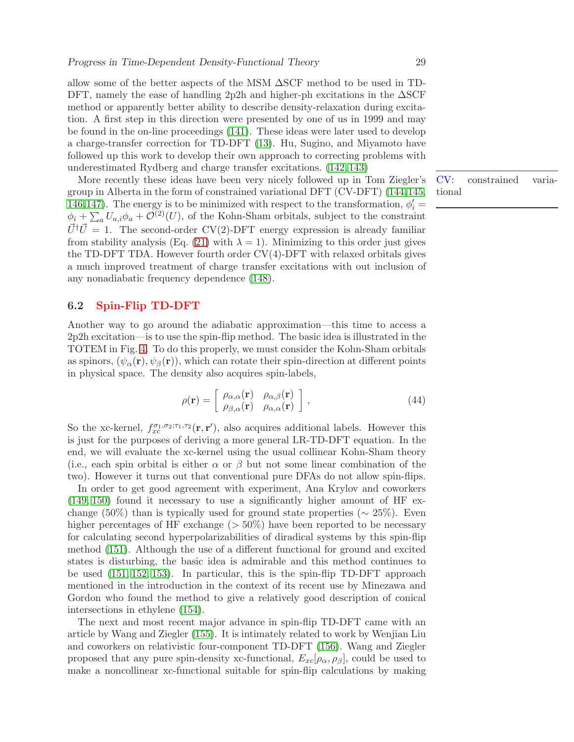allow some of the better aspects of the MSM ∆SCF method to be used in TD-DFT, namely the ease of handling 2p2h and higher-ph excitations in the ∆SCF method or apparently better ability to describe density-relaxation during excitation. A first step in this direction were presented by one of us in 1999 and may be found in the on-line proceedings [\(141\)](#page-39-12). These ideas were later used to develop a charge-transfer correction for TD-DFT [\(13\)](#page-32-15). Hu, Sugino, and Miyamoto have followed up this work to develop their own approach to correcting problems with underestimated Rydberg and charge transfer excitations. [\(142,](#page-39-13) [143\)](#page-39-14)

More recently these ideas have been very nicely followed up in Tom Ziegler's group in Alberta in the form of constrained variational DFT (CV-DFT) [\(144,](#page-40-0)[145,](#page-40-1) [146,](#page-40-2)[147\)](#page-40-3). The energy is to be minimized with respect to the transformation,  $\phi'_i$  =  $\phi_i + \sum_a U_{a,i} \phi_a + \mathcal{O}^{(2)}(U)$ , of the Kohn-Sham orbitals, subject to the constraint  $\vec{U}^{\dagger}\vec{U} = 1$ . The second-order CV(2)-DFT energy expression is already familiar from stability analysis (Eq. [\(21\)](#page-7-1) with  $\lambda = 1$ ). Minimizing to this order just gives the TD-DFT TDA. However fourth order  $CV(4)$ -DFT with relaxed orbitals gives a much improved treatment of charge transfer excitations with out inclusion of any nonadiabatic frequency dependence [\(148\)](#page-40-4).

# <span id="page-28-0"></span>6.2 Spin-Flip TD-DFT

Another way to go around the adiabatic approximation—this time to access a 2p2h excitation—is to use the spin-flip method. The basic idea is illustrated in the TOTEM in Fig. [4.](#page-45-0) To do this properly, we must consider the Kohn-Sham orbitals as spinors,  $(\psi_{\alpha}(\mathbf{r}), \psi_{\beta}(\mathbf{r}))$ , which can rotate their spin-direction at different points in physical space. The density also acquires spin-labels,

$$
\rho(\mathbf{r}) = \begin{bmatrix} \rho_{\alpha,\alpha}(\mathbf{r}) & \rho_{\alpha,\beta}(\mathbf{r}) \\ \rho_{\beta,\alpha}(\mathbf{r}) & \rho_{\alpha,\alpha}(\mathbf{r}) \end{bmatrix},
$$
\n(44)

So the xc-kernel,  $f_{xc}^{\sigma_1,\sigma_2;\tau_1,\tau_2}(\mathbf{r},\mathbf{r}')$ , also acquires additional labels. However this is just for the purposes of deriving a more general LR-TD-DFT equation. In the end, we will evaluate the xc-kernel using the usual collinear Kohn-Sham theory (i.e., each spin orbital is either  $\alpha$  or  $\beta$  but not some linear combination of the two). However it turns out that conventional pure DFAs do not allow spin-flips.

In order to get good agreement with experiment, Ana Krylov and coworkers [\(149,](#page-40-5) [150\)](#page-40-6) found it necessary to use a significantly higher amount of HF exchange (50%) than is typically used for ground state properties ( $\sim$  25%). Even higher percentages of HF exchange  $(>50\%)$  have been reported to be necessary for calculating second hyperpolarizabilities of diradical systems by this spin-flip method [\(151\)](#page-40-7). Although the use of a different functional for ground and excited states is disturbing, the basic idea is admirable and this method continues to be used [\(151,](#page-40-7) [152,](#page-40-8) [153\)](#page-40-9). In particular, this is the spin-flip TD-DFT approach mentioned in the introduction in the context of its recent use by Minezawa and Gordon who found the method to give a relatively good description of conical intersections in ethylene [\(154\)](#page-40-10).

The next and most recent major advance in spin-flip TD-DFT came with an article by Wang and Ziegler [\(155\)](#page-40-11). It is intimately related to work by Wenjian Liu and coworkers on relativistic four-component TD-DFT [\(156\)](#page-40-12). Wang and Ziegler proposed that any pure spin-density xc-functional,  $E_{xc}[\rho_{\alpha}, \rho_{\beta}]$ , could be used to make a noncollinear xc-functional suitable for spin-flip calculations by making

CV: constrained variational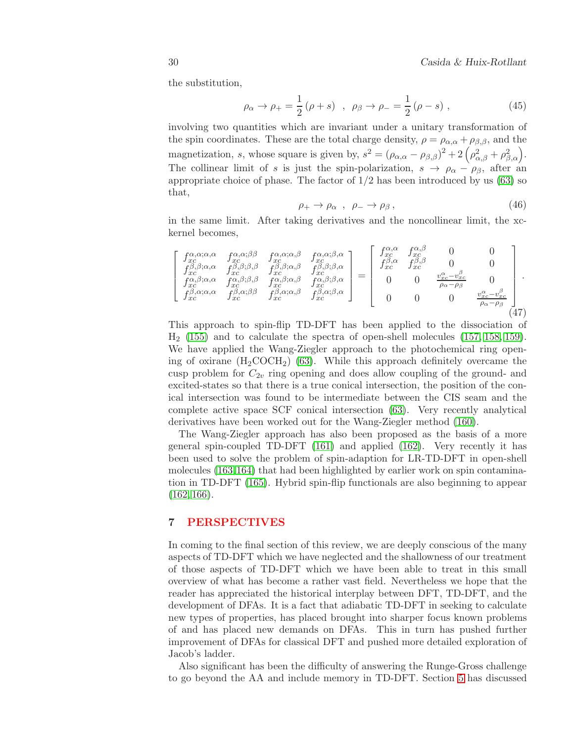$\overline{a}$ 

the substitution,

$$
\rho_{\alpha} \to \rho_{+} = \frac{1}{2} (\rho + s) , \ \rho_{\beta} \to \rho_{-} = \frac{1}{2} (\rho - s) ,
$$
\n(45)

involving two quantities which are invariant under a unitary transformation of the spin coordinates. These are the total charge density,  $\rho = \rho_{\alpha,\alpha} + \rho_{\beta,\beta}$ , and the magnetization, s, whose square is given by,  $s^2 = (\rho_{\alpha,\alpha} - \rho_{\beta,\beta})^2 + 2(\rho_{\alpha,\beta}^2 + \rho_{\beta,\alpha}^2)$ . The collinear limit of s is just the spin-polarization,  $s \to \rho_\alpha - \rho_\beta$ , after an appropriate choice of phase. The factor of  $1/2$  has been introduced by us  $(63)$  so that,

$$
\rho_+ \to \rho_\alpha \ , \ \rho_- \to \rho_\beta \,, \tag{46}
$$

in the same limit. After taking derivatives and the noncollinear limit, the xckernel becomes,

$$
\begin{bmatrix}\nf_{xc}^{\alpha,\alpha;\alpha,\alpha} & f_{xc}^{\alpha,\alpha;\beta\beta} & f_{xc}^{\alpha,\alpha;\alpha,\beta} & f_{xc}^{\alpha,\alpha;\beta,\alpha} \\
f_{xc}^{\beta,\beta;\alpha,\alpha} & f_{xc}^{\beta,\beta;\beta,\beta} & f_{xc}^{\beta,\beta;\alpha,\beta} & f_{xc}^{\beta,\beta;\alpha,\beta} \\
f_{xc}^{\alpha,\beta;\alpha,\alpha} & f_{xc}^{\alpha,\beta;\beta,\beta} & f_{xc}^{\alpha,\beta;\alpha,\beta} & f_{xc}^{\alpha,\beta;\beta,\alpha}\n\end{bmatrix} = \begin{bmatrix}\nf_{xc}^{\alpha,\alpha} & f_{xc}^{\alpha,\beta} & 0 & 0 \\
f_{xc}^{\alpha,\alpha} & f_{xc}^{\beta,\beta} & 0 & 0 \\
f_{xc}^{\alpha,\beta,\alpha} & f_{xc}^{\beta,\alpha} & 0 & 0 \\
0 & 0 & \frac{\upsilon_{xc}^{\alpha}-\upsilon_{xc}^{\beta}}{\rho_{\alpha}-\rho_{\beta}} & 0 \\
0 & 0 & 0 & \frac{\upsilon_{xc}^{\alpha}-\upsilon_{xc}^{\beta}}{\rho_{\alpha}-\rho_{\beta}}\n\end{bmatrix}.
$$
\n(47)

This approach to spin-flip TD-DFT has been applied to the dissociation of  $H<sub>2</sub>$  [\(155\)](#page-40-11) and to calculate the spectra of open-shell molecules [\(157,](#page-40-13) [158,](#page-40-14) [159\)](#page-41-0). We have applied the Wang-Ziegler approach to the photochemical ring opening of oxirane  $(H_2COCH_2)$  [\(63\)](#page-35-0). While this approach definitely overcame the cusp problem for  $C_{2v}$  ring opening and does allow coupling of the ground- and excited-states so that there is a true conical intersection, the position of the conical intersection was found to be intermediate between the CIS seam and the complete active space SCF conical intersection [\(63\)](#page-35-0). Very recently analytical derivatives have been worked out for the Wang-Ziegler method [\(160\)](#page-41-1).

The Wang-Ziegler approach has also been proposed as the basis of a more general spin-coupled TD-DFT [\(161\)](#page-41-2) and applied [\(162\)](#page-41-3). Very recently it has been used to solve the problem of spin-adaption for LR-TD-DFT in open-shell molecules [\(163,](#page-41-4)[164\)](#page-41-5) that had been highlighted by earlier work on spin contamination in TD-DFT [\(165\)](#page-41-6). Hybrid spin-flip functionals are also beginning to appear  $(162, 166).$  $(162, 166).$  $(162, 166).$ 

#### <span id="page-29-0"></span>7 PERSPECTIVES

In coming to the final section of this review, we are deeply conscious of the many aspects of TD-DFT which we have neglected and the shallowness of our treatment of those aspects of TD-DFT which we have been able to treat in this small overview of what has become a rather vast field. Nevertheless we hope that the reader has appreciated the historical interplay between DFT, TD-DFT, and the development of DFAs. It is a fact that adiabatic TD-DFT in seeking to calculate new types of properties, has placed brought into sharper focus known problems of and has placed new demands on DFAs. This in turn has pushed further improvement of DFAs for classical DFT and pushed more detailed exploration of Jacob's ladder.

Also significant has been the difficulty of answering the Runge-Gross challenge to go beyond the AA and include memory in TD-DFT. Section [5](#page-24-0) has discussed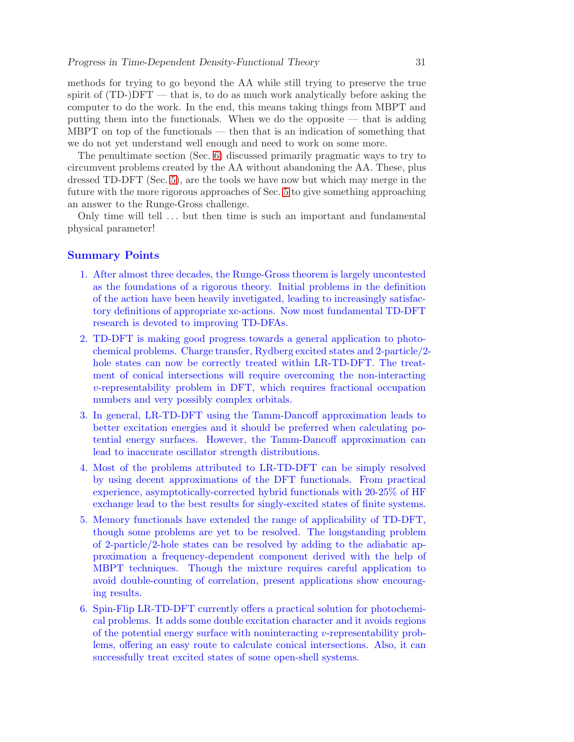methods for trying to go beyond the AA while still trying to preserve the true spirit of  $(TD-)DFT$  — that is, to do as much work analytically before asking the computer to do the work. In the end, this means taking things from MBPT and putting them into the functionals. When we do the opposite — that is adding MBPT on top of the functionals — then that is an indication of something that we do not yet understand well enough and need to work on some more.

The penultimate section (Sec. [6\)](#page-27-1) discussed primarily pragmatic ways to try to circumvent problems created by the AA without abandoning the AA. These, plus dressed TD-DFT (Sec. [5\)](#page-24-0), are the tools we have now but which may merge in the future with the more rigorous approaches of Sec. [5](#page-24-0) to give something approaching an answer to the Runge-Gross challenge.

Only time will tell ... but then time is such an important and fundamental physical parameter!

#### Summary Points

- 1. After almost three decades, the Runge-Gross theorem is largely uncontested as the foundations of a rigorous theory. Initial problems in the definition of the action have been heavily invetigated, leading to increasingly satisfactory definitions of appropriate xc-actions. Now most fundamental TD-DFT research is devoted to improving TD-DFAs.
- 2. TD-DFT is making good progress towards a general application to photochemical problems. Charge transfer, Rydberg excited states and 2-particle/2 hole states can now be correctly treated within LR-TD-DFT. The treatment of conical intersections will require overcoming the non-interacting v-representability problem in DFT, which requires fractional occupation numbers and very possibly complex orbitals.
- 3. In general, LR-TD-DFT using the Tamm-Dancoff approximation leads to better excitation energies and it should be preferred when calculating potential energy surfaces. However, the Tamm-Dancoff approximation can lead to inaccurate oscillator strength distributions.
- 4. Most of the problems attributed to LR-TD-DFT can be simply resolved by using decent approximations of the DFT functionals. From practical experience, asymptotically-corrected hybrid functionals with 20-25% of HF exchange lead to the best results for singly-excited states of finite systems.
- 5. Memory functionals have extended the range of applicability of TD-DFT, though some problems are yet to be resolved. The longstanding problem of 2-particle/2-hole states can be resolved by adding to the adiabatic approximation a frequency-dependent component derived with the help of MBPT techniques. Though the mixture requires careful application to avoid double-counting of correlation, present applications show encouraging results.
- 6. Spin-Flip LR-TD-DFT currently offers a practical solution for photochemical problems. It adds some double excitation character and it avoids regions of the potential energy surface with noninteracting  $v$ -representability problems, offering an easy route to calculate conical intersections. Also, it can successfully treat excited states of some open-shell systems.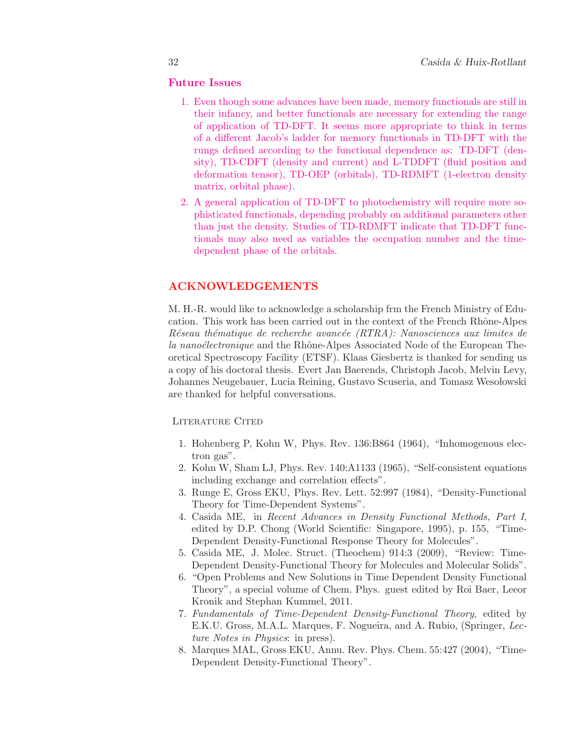# Future Issues

- 1. Even though some advances have been made, memory functionals are still in their infancy, and better functionals are necessary for extending the range of application of TD-DFT. It seems more appropriate to think in terms of a different Jacob's ladder for memory functionals in TD-DFT with the rungs defined according to the functional dependence as: TD-DFT (density), TD-CDFT (density and current) and L-TDDFT (fluid position and deformation tensor), TD-OEP (orbitals), TD-RDMFT (1-electron density matrix, orbital phase).
- 2. A general application of TD-DFT to photochemistry will require more sophisticated functionals, depending probably on additional parameters other than just the density. Studies of TD-RDMFT indicate that TD-DFT functionals may also need as variables the occupation number and the timedependent phase of the orbitals.

# ACKNOWLEDGEMENTS

M. H.-R. would like to acknowledge a scholarship frm the French Ministry of Education. This work has been carried out in the context of the French Rhône-Alpes Réseau thématique de recherche avancée (RTRA): Nanosciences aux limites de la nanoélectronique and the Rhône-Alpes Associated Node of the European Theoretical Spectroscopy Facility (ETSF). Klaas Giesbertz is thanked for sending us a copy of his doctoral thesis. Evert Jan Baerends, Christoph Jacob, Melvin Levy, Johannes Neugebauer, Lucia Reining, Gustavo Scuseria, and Tomasz Wesołowski are thanked for helpful conversations.

#### <span id="page-31-0"></span>LITERATURE CITED

- 1. Hohenberg P, Kohn W, Phys. Rev. 136:B864 (1964), "Inhomogenous electron gas".
- <span id="page-31-1"></span>2. Kohn W, Sham LJ, Phys. Rev. 140:A1133 (1965), "Self-consistent equations including exchange and correlation effects".
- <span id="page-31-2"></span>3. Runge E, Gross EKU, Phys. Rev. Lett. 52:997 (1984), "Density-Functional Theory for Time-Dependent Systems".
- <span id="page-31-3"></span>4. Casida ME, in Recent Advances in Density Functional Methods, Part I, edited by D.P. Chong (World Scientific: Singapore, 1995), p. 155, "Time-Dependent Density-Functional Response Theory for Molecules".
- <span id="page-31-4"></span>5. Casida ME, J. Molec. Struct. (Theochem) 914:3 (2009), "Review: Time-Dependent Density-Functional Theory for Molecules and Molecular Solids".
- <span id="page-31-5"></span>6. "Open Problems and New Solutions in Time Dependent Density Functional Theory", a special volume of Chem. Phys. guest edited by Roi Baer, Leeor Kronik and Stephan Kummel, 2011.
- <span id="page-31-6"></span>7. Fundamentals of Time-Dependent Density-Functional Theory, edited by E.K.U. Gross, M.A.L. Marques, F. Nogueira, and A. Rubio, (Springer, Lecture Notes in Physics: in press).
- <span id="page-31-7"></span>8. Marques MAL, Gross EKU, Annu. Rev. Phys. Chem. 55:427 (2004), "Time-Dependent Density-Functional Theory".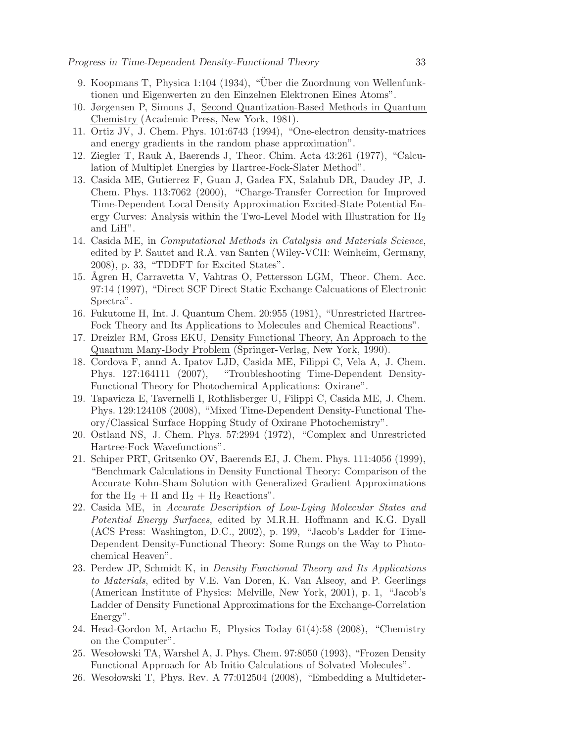- <span id="page-32-0"></span>9. Koopmans T, Physica 1:104 (1934), "Über die Zuordnung von Wellenfunktionen und Eigenwerten zu den Einzelnen Elektronen Eines Atoms".
- <span id="page-32-1"></span>10. Jørgensen P, Simons J, Second Quantization-Based Methods in Quantum Chemistry (Academic Press, New York, 1981).
- <span id="page-32-14"></span><span id="page-32-2"></span>11. Ortiz JV, J. Chem. Phys. 101:6743 (1994), "One-electron density-matrices and energy gradients in the random phase approximation".
- <span id="page-32-15"></span>12. Ziegler T, Rauk A, Baerends J, Theor. Chim. Acta 43:261 (1977), "Calculation of Multiplet Energies by Hartree-Fock-Slater Method".
- 13. Casida ME, Gutierrez F, Guan J, Gadea FX, Salahub DR, Daudey JP, J. Chem. Phys. 113:7062 (2000), "Charge-Transfer Correction for Improved Time-Dependent Local Density Approximation Excited-State Potential Energy Curves: Analysis within the Two-Level Model with Illustration for  $H_2$ and LiH".
- <span id="page-32-16"></span>14. Casida ME, in Computational Methods in Catalysis and Materials Science, edited by P. Sautet and R.A. van Santen (Wiley-VCH: Weinheim, Germany, 2008), p. 33, "TDDFT for Excited States".
- <span id="page-32-3"></span>15. Ågren H, Carravetta V, Vahtras O, Pettersson LGM, Theor. Chem. Acc. 97:14 (1997), "Direct SCF Direct Static Exchange Calcuations of Electronic Spectra".
- <span id="page-32-5"></span><span id="page-32-4"></span>16. Fukutome H, Int. J. Quantum Chem. 20:955 (1981), "Unrestricted Hartree-Fock Theory and Its Applications to Molecules and Chemical Reactions".
- 17. Dreizler RM, Gross EKU, Density Functional Theory, An Approach to the Quantum Many-Body Problem (Springer-Verlag, New York, 1990).
- <span id="page-32-6"></span>18. Cordova F, annd A. Ipatov LJD, Casida ME, Filippi C, Vela A, J. Chem. Phys. 127:164111 (2007), "Troubleshooting Time-Dependent Density-Functional Theory for Photochemical Applications: Oxirane".
- <span id="page-32-7"></span>19. Tapavicza E, Tavernelli I, Rothlisberger U, Filippi C, Casida ME, J. Chem. Phys. 129:124108 (2008), "Mixed Time-Dependent Density-Functional Theory/Classical Surface Hopping Study of Oxirane Photochemistry".
- <span id="page-32-9"></span><span id="page-32-8"></span>20. Ostland NS, J. Chem. Phys. 57:2994 (1972), "Complex and Unrestricted Hartree-Fock Wavefunctions".
- 21. Schiper PRT, Gritsenko OV, Baerends EJ, J. Chem. Phys. 111:4056 (1999), "Benchmark Calculations in Density Functional Theory: Comparison of the Accurate Kohn-Sham Solution with Generalized Gradient Approximations for the  $H_2 + H$  and  $H_2 + H_2$  Reactions".
- <span id="page-32-10"></span>22. Casida ME, in Accurate Description of Low-Lying Molecular States and Potential Energy Surfaces, edited by M.R.H. Hoffmann and K.G. Dyall (ACS Press: Washington, D.C., 2002), p. 199, "Jacob's Ladder for Time-Dependent Density-Functional Theory: Some Rungs on the Way to Photochemical Heaven".
- <span id="page-32-17"></span>23. Perdew JP, Schmidt K, in Density Functional Theory and Its Applications to Materials, edited by V.E. Van Doren, K. Van Alseoy, and P. Geerlings (American Institute of Physics: Melville, New York, 2001), p. 1, "Jacob's Ladder of Density Functional Approximations for the Exchange-Correlation Energy".
- <span id="page-32-11"></span>24. Head-Gordon M, Artacho E, Physics Today 61(4):58 (2008), "Chemistry on the Computer".
- <span id="page-32-12"></span>25. Wesołowski TA, Warshel A, J. Phys. Chem. 97:8050 (1993), "Frozen Density Functional Approach for Ab Initio Calculations of Solvated Molecules".
- <span id="page-32-13"></span>26. Wesołowski T, Phys. Rev. A 77:012504 (2008), "Embedding a Multideter-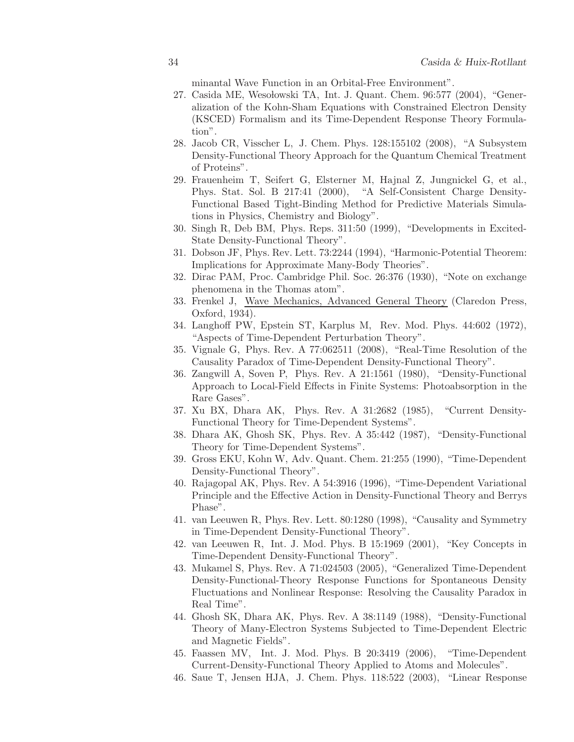minantal Wave Function in an Orbital-Free Environment".

- <span id="page-33-0"></span>27. Casida ME, Wesolowski TA, Int. J. Quant. Chem. 96:577 (2004), "Generalization of the Kohn-Sham Equations with Constrained Electron Density (KSCED) Formalism and its Time-Dependent Response Theory Formulation".
- <span id="page-33-1"></span>28. Jacob CR, Visscher L, J. Chem. Phys. 128:155102 (2008), "A Subsystem Density-Functional Theory Approach for the Quantum Chemical Treatment of Proteins".
- <span id="page-33-2"></span>29. Frauenheim T, Seifert G, Elsterner M, Hajnal Z, Jungnickel G, et al., Phys. Stat. Sol. B 217:41 (2000), "A Self-Consistent Charge Density-Functional Based Tight-Binding Method for Predictive Materials Simulations in Physics, Chemistry and Biology".
- <span id="page-33-4"></span><span id="page-33-3"></span>30. Singh R, Deb BM, Phys. Reps. 311:50 (1999), "Developments in Excited-State Density-Functional Theory".
- <span id="page-33-5"></span>31. Dobson JF, Phys. Rev. Lett. 73:2244 (1994), "Harmonic-Potential Theorem: Implications for Approximate Many-Body Theories".
- <span id="page-33-6"></span>32. Dirac PAM, Proc. Cambridge Phil. Soc. 26:376 (1930), "Note on exchange phenomena in the Thomas atom".
- 33. Frenkel J, Wave Mechanics, Advanced General Theory (Claredon Press, Oxford, 1934).
- <span id="page-33-7"></span>34. Langhoff PW, Epstein ST, Karplus M, Rev. Mod. Phys. 44:602 (1972), "Aspects of Time-Dependent Perturbation Theory".
- <span id="page-33-8"></span>35. Vignale G, Phys. Rev. A 77:062511 (2008), "Real-Time Resolution of the Causality Paradox of Time-Dependent Density-Functional Theory".
- <span id="page-33-9"></span>36. Zangwill A, Soven P, Phys. Rev. A 21:1561 (1980), "Density-Functional Approach to Local-Field Effects in Finite Systems: Photoabsorption in the Rare Gases".
- <span id="page-33-11"></span><span id="page-33-10"></span>37. Xu BX, Dhara AK, Phys. Rev. A 31:2682 (1985), "Current Density-Functional Theory for Time-Dependent Systems".
- 38. Dhara AK, Ghosh SK, Phys. Rev. A 35:442 (1987), "Density-Functional Theory for Time-Dependent Systems".
- <span id="page-33-12"></span>39. Gross EKU, Kohn W, Adv. Quant. Chem. 21:255 (1990), "Time-Dependent Density-Functional Theory".
- <span id="page-33-13"></span>40. Rajagopal AK, Phys. Rev. A 54:3916 (1996), "Time-Dependent Variational Principle and the Effective Action in Density-Functional Theory and Berrys Phase".
- <span id="page-33-14"></span>41. van Leeuwen R, Phys. Rev. Lett. 80:1280 (1998), "Causality and Symmetry in Time-Dependent Density-Functional Theory".
- <span id="page-33-15"></span>42. van Leeuwen R, Int. J. Mod. Phys. B 15:1969 (2001), "Key Concepts in Time-Dependent Density-Functional Theory".
- <span id="page-33-16"></span>43. Mukamel S, Phys. Rev. A 71:024503 (2005), "Generalized Time-Dependent Density-Functional-Theory Response Functions for Spontaneous Density Fluctuations and Nonlinear Response: Resolving the Causality Paradox in Real Time".
- <span id="page-33-17"></span>44. Ghosh SK, Dhara AK, Phys. Rev. A 38:1149 (1988), "Density-Functional Theory of Many-Electron Systems Subjected to Time-Dependent Electric and Magnetic Fields".
- <span id="page-33-18"></span>45. Faassen MV, Int. J. Mod. Phys. B 20:3419 (2006), "Time-Dependent Current-Density-Functional Theory Applied to Atoms and Molecules".
- <span id="page-33-19"></span>46. Saue T, Jensen HJA, J. Chem. Phys. 118:522 (2003), "Linear Response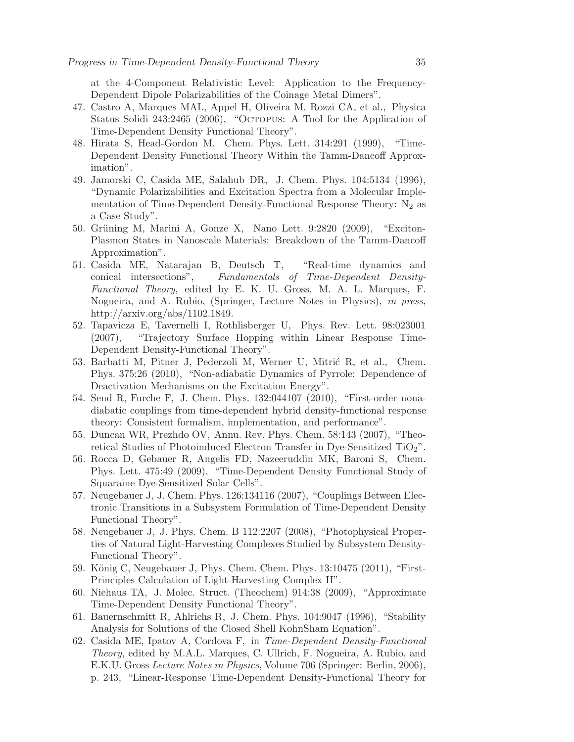at the 4-Component Relativistic Level: Application to the Frequency-Dependent Dipole Polarizabilities of the Coinage Metal Dimers".

- <span id="page-34-0"></span>47. Castro A, Marques MAL, Appel H, Oliveira M, Rozzi CA, et al., Physica Status Solidi 243:2465 (2006), "Octopus: A Tool for the Application of Time-Dependent Density Functional Theory".
- <span id="page-34-1"></span>48. Hirata S, Head-Gordon M, Chem. Phys. Lett. 314:291 (1999), "Time-Dependent Density Functional Theory Within the Tamm-Dancoff Approximation".
- <span id="page-34-2"></span>49. Jamorski C, Casida ME, Salahub DR, J. Chem. Phys. 104:5134 (1996), "Dynamic Polarizabilities and Excitation Spectra from a Molecular Implementation of Time-Dependent Density-Functional Response Theory:  $N_2$  as a Case Study".
- <span id="page-34-3"></span>50. Grüning M, Marini A, Gonze X, Nano Lett. 9:2820 (2009), "Exciton-Plasmon States in Nanoscale Materials: Breakdown of the Tamm-Dancoff Approximation".
- <span id="page-34-4"></span>51. Casida ME, Natarajan B, Deutsch T, "Real-time dynamics and conical intersections", Fundamentals of Time-Dependent Density-Functional Theory, edited by E. K. U. Gross, M. A. L. Marques, F. Nogueira, and A. Rubio, (Springer, Lecture Notes in Physics), in press, http://arxiv.org/abs/1102.1849.
- <span id="page-34-5"></span>52. Tapavicza E, Tavernelli I, Rothlisberger U, Phys. Rev. Lett. 98:023001 (2007), "Trajectory Surface Hopping within Linear Response Time-Dependent Density-Functional Theory".
- <span id="page-34-6"></span>53. Barbatti M, Pitner J, Pederzoli M, Werner U, Mitrić R, et al., Chem. Phys. 375:26 (2010), "Non-adiabatic Dynamics of Pyrrole: Dependence of Deactivation Mechanisms on the Excitation Energy".
- <span id="page-34-7"></span>54. Send R, Furche F, J. Chem. Phys. 132:044107 (2010), "First-order nonadiabatic couplings from time-dependent hybrid density-functional response theory: Consistent formalism, implementation, and performance".
- <span id="page-34-8"></span>55. Duncan WR, Prezhdo OV, Annu. Rev. Phys. Chem. 58:143 (2007), "Theoretical Studies of Photoinduced Electron Transfer in Dye-Sensitized  $TiO<sub>2</sub>$ ".
- <span id="page-34-9"></span>56. Rocca D, Gebauer R, Angelis FD, Nazeeruddin MK, Baroni S, Chem. Phys. Lett. 475:49 (2009), "Time-Dependent Density Functional Study of Squaraine Dye-Sensitized Solar Cells".
- <span id="page-34-10"></span>57. Neugebauer J, J. Chem. Phys. 126:134116 (2007), "Couplings Between Electronic Transitions in a Subsystem Formulation of Time-Dependent Density Functional Theory".
- <span id="page-34-11"></span>58. Neugebauer J, J. Phys. Chem. B 112:2207 (2008), "Photophysical Properties of Natural Light-Harvesting Complexes Studied by Subsystem Density-Functional Theory".
- <span id="page-34-12"></span>59. König C, Neugebauer J, Phys. Chem. Chem. Phys. 13:10475 (2011), "First-Principles Calculation of Light-Harvesting Complex II".
- <span id="page-34-13"></span>60. Niehaus TA, J. Molec. Struct. (Theochem) 914:38 (2009), "Approximate Time-Dependent Density Functional Theory".
- <span id="page-34-14"></span>61. Bauernschmitt R, Ahlrichs R, J. Chem. Phys. 104:9047 (1996), "Stability Analysis for Solutions of the Closed Shell KohnSham Equation".
- <span id="page-34-15"></span>62. Casida ME, Ipatov A, Cordova F, in Time-Dependent Density-Functional Theory, edited by M.A.L. Marques, C. Ullrich, F. Nogueira, A. Rubio, and E.K.U. Gross Lecture Notes in Physics, Volume 706 (Springer: Berlin, 2006), p. 243, "Linear-Response Time-Dependent Density-Functional Theory for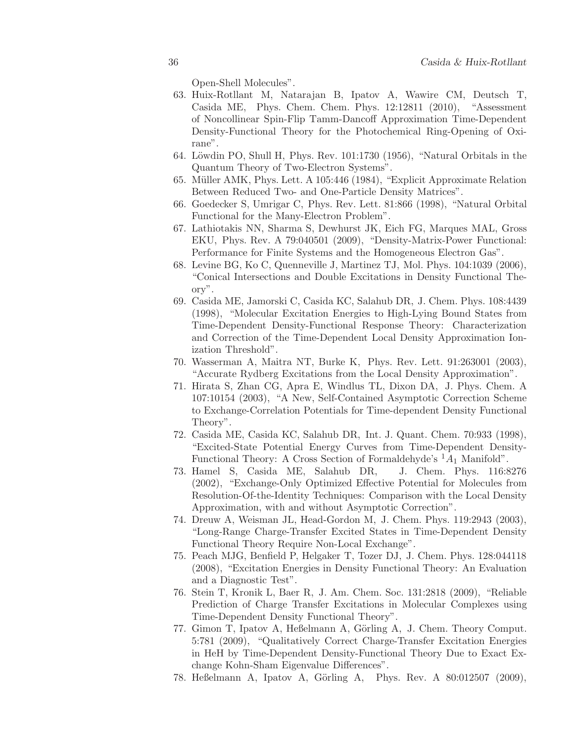Open-Shell Molecules".

- <span id="page-35-0"></span>63. Huix-Rotllant M, Natarajan B, Ipatov A, Wawire CM, Deutsch T, Casida ME, Phys. Chem. Chem. Phys. 12:12811 (2010), "Assessment of Noncollinear Spin-Flip Tamm-Dancoff Approximation Time-Dependent Density-Functional Theory for the Photochemical Ring-Opening of Oxirane".
- <span id="page-35-2"></span><span id="page-35-1"></span>64. Löwdin PO, Shull H, Phys. Rev.  $101:1730$  (1956), "Natural Orbitals in the Quantum Theory of Two-Electron Systems".
- <span id="page-35-3"></span>65. Müller AMK, Phys. Lett. A 105:446 (1984), "Explicit Approximate Relation Between Reduced Two- and One-Particle Density Matrices".
- <span id="page-35-4"></span>66. Goedecker S, Umrigar C, Phys. Rev. Lett. 81:866 (1998), "Natural Orbital Functional for the Many-Electron Problem".
- 67. Lathiotakis NN, Sharma S, Dewhurst JK, Eich FG, Marques MAL, Gross EKU, Phys. Rev. A 79:040501 (2009), "Density-Matrix-Power Functional: Performance for Finite Systems and the Homogeneous Electron Gas".
- <span id="page-35-5"></span>68. Levine BG, Ko C, Quenneville J, Martinez TJ, Mol. Phys. 104:1039 (2006), "Conical Intersections and Double Excitations in Density Functional Theory".
- <span id="page-35-6"></span>69. Casida ME, Jamorski C, Casida KC, Salahub DR, J. Chem. Phys. 108:4439 (1998), "Molecular Excitation Energies to High-Lying Bound States from Time-Dependent Density-Functional Response Theory: Characterization and Correction of the Time-Dependent Local Density Approximation Ionization Threshold".
- <span id="page-35-7"></span>70. Wasserman A, Maitra NT, Burke K, Phys. Rev. Lett. 91:263001 (2003), "Accurate Rydberg Excitations from the Local Density Approximation".
- <span id="page-35-8"></span>71. Hirata S, Zhan CG, Apra E, Windlus TL, Dixon DA, J. Phys. Chem. A 107:10154 (2003), "A New, Self-Contained Asymptotic Correction Scheme to Exchange-Correlation Potentials for Time-dependent Density Functional Theory".
- <span id="page-35-9"></span>72. Casida ME, Casida KC, Salahub DR, Int. J. Quant. Chem. 70:933 (1998), "Excited-State Potential Energy Curves from Time-Dependent Density-Functional Theory: A Cross Section of Formaldehyde's  $^1A_1$  Manifold".
- <span id="page-35-10"></span>73. Hamel S, Casida ME, Salahub DR, J. Chem. Phys. 116:8276 (2002), "Exchange-Only Optimized Effective Potential for Molecules from Resolution-Of-the-Identity Techniques: Comparison with the Local Density Approximation, with and without Asymptotic Correction".
- <span id="page-35-11"></span>74. Dreuw A, Weisman JL, Head-Gordon M, J. Chem. Phys. 119:2943 (2003), "Long-Range Charge-Transfer Excited States in Time-Dependent Density Functional Theory Require Non-Local Exchange".
- <span id="page-35-12"></span>75. Peach MJG, Benfield P, Helgaker T, Tozer DJ, J. Chem. Phys. 128:044118 (2008), "Excitation Energies in Density Functional Theory: An Evaluation and a Diagnostic Test".
- <span id="page-35-13"></span>76. Stein T, Kronik L, Baer R, J. Am. Chem. Soc. 131:2818 (2009), "Reliable Prediction of Charge Transfer Excitations in Molecular Complexes using Time-Dependent Density Functional Theory".
- <span id="page-35-14"></span>77. Gimon T, Ipatov A, Heßelmann A, Görling A, J. Chem. Theory Comput. 5:781 (2009), "Qualitatively Correct Charge-Transfer Excitation Energies in HeH by Time-Dependent Density-Functional Theory Due to Exact Exchange Kohn-Sham Eigenvalue Differences".
- <span id="page-35-15"></span>78. Heßelmann A, Ipatov A, Görling A, Phys. Rev. A 80:012507 (2009),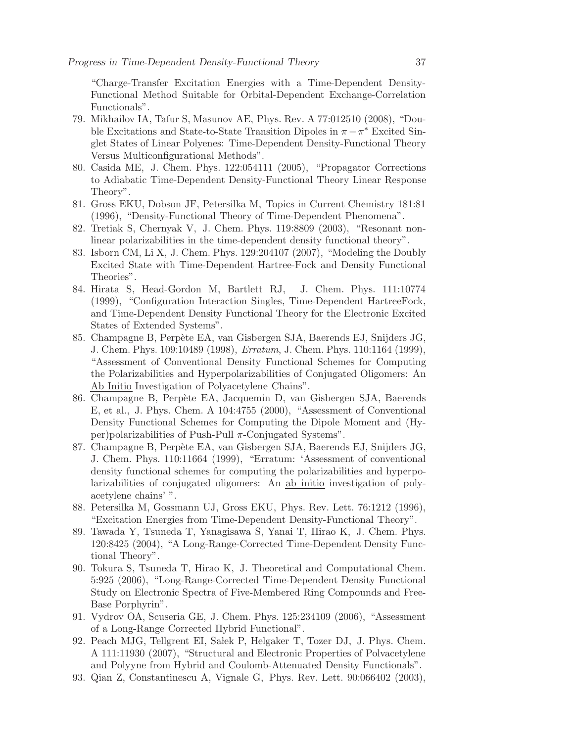"Charge-Transfer Excitation Energies with a Time-Dependent Density-Functional Method Suitable for Orbital-Dependent Exchange-Correlation Functionals".

- <span id="page-36-0"></span>79. Mikhailov IA, Tafur S, Masunov AE, Phys. Rev. A 77:012510 (2008), "Double Excitations and State-to-State Transition Dipoles in  $\pi - \pi^*$  Excited Singlet States of Linear Polyenes: Time-Dependent Density-Functional Theory Versus Multiconfigurational Methods".
- <span id="page-36-1"></span>80. Casida ME, J. Chem. Phys. 122:054111 (2005), "Propagator Corrections to Adiabatic Time-Dependent Density-Functional Theory Linear Response Theory".
- <span id="page-36-2"></span>81. Gross EKU, Dobson JF, Petersilka M, Topics in Current Chemistry 181:81 (1996), "Density-Functional Theory of Time-Dependent Phenomena".
- <span id="page-36-4"></span><span id="page-36-3"></span>82. Tretiak S, Chernyak V, J. Chem. Phys. 119:8809 (2003), "Resonant nonlinear polarizabilities in the time-dependent density functional theory".
- 83. Isborn CM, Li X, J. Chem. Phys. 129:204107 (2007), "Modeling the Doubly Excited State with Time-Dependent Hartree-Fock and Density Functional Theories".
- <span id="page-36-5"></span>84. Hirata S, Head-Gordon M, Bartlett RJ, J. Chem. Phys. 111:10774 (1999), "Configuration Interaction Singles, Time-Dependent HartreeFock, and Time-Dependent Density Functional Theory for the Electronic Excited States of Extended Systems".
- <span id="page-36-6"></span>85. Champagne B, Perpète EA, van Gisbergen SJA, Baerends EJ, Snijders JG, J. Chem. Phys. 109:10489 (1998), Erratum, J. Chem. Phys. 110:1164 (1999), "Assessment of Conventional Density Functional Schemes for Computing the Polarizabilities and Hyperpolarizabilities of Conjugated Oligomers: An Ab Initio Investigation of Polyacetylene Chains".
- <span id="page-36-7"></span>86. Champagne B, Perp`ete EA, Jacquemin D, van Gisbergen SJA, Baerends E, et al., J. Phys. Chem. A 104:4755 (2000), "Assessment of Conventional Density Functional Schemes for Computing the Dipole Moment and (Hyper)polarizabilities of Push-Pull  $\pi$ -Conjugated Systems".
- <span id="page-36-8"></span>87. Champagne B, Perpète EA, van Gisbergen SJA, Baerends EJ, Snijders JG, J. Chem. Phys. 110:11664 (1999), "Erratum: 'Assessment of conventional density functional schemes for computing the polarizabilities and hyperpolarizabilities of conjugated oligomers: An ab initio investigation of polyacetylene chains' ".
- <span id="page-36-9"></span>88. Petersilka M, Gossmann UJ, Gross EKU, Phys. Rev. Lett. 76:1212 (1996), "Excitation Energies from Time-Dependent Density-Functional Theory".
- <span id="page-36-10"></span>89. Tawada Y, Tsuneda T, Yanagisawa S, Yanai T, Hirao K, J. Chem. Phys. 120:8425 (2004), "A Long-Range-Corrected Time-Dependent Density Functional Theory".
- <span id="page-36-11"></span>90. Tokura S, Tsuneda T, Hirao K, J. Theoretical and Computational Chem. 5:925 (2006), "Long-Range-Corrected Time-Dependent Density Functional Study on Electronic Spectra of Five-Membered Ring Compounds and Free-Base Porphyrin".
- <span id="page-36-12"></span>91. Vydrov OA, Scuseria GE, J. Chem. Phys. 125:234109 (2006), "Assessment of a Long-Range Corrected Hybrid Functional".
- <span id="page-36-13"></span>92. Peach MJG, Tellgrent EI, Sałek P, Helgaker T, Tozer DJ, J. Phys. Chem. A 111:11930 (2007), "Structural and Electronic Properties of Polvacetylene and Polyyne from Hybrid and Coulomb-Attenuated Density Functionals".
- <span id="page-36-14"></span>93. Qian Z, Constantinescu A, Vignale G, Phys. Rev. Lett. 90:066402 (2003),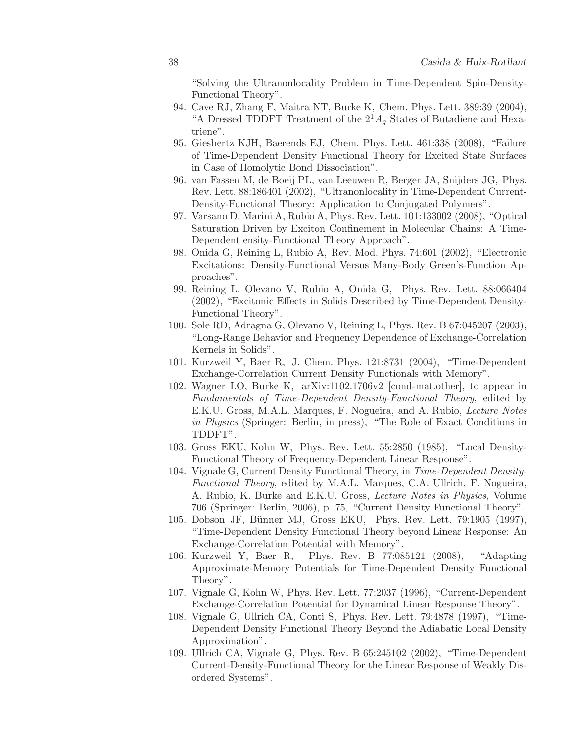"Solving the Ultranonlocality Problem in Time-Dependent Spin-Density-Functional Theory".

- <span id="page-37-0"></span>94. Cave RJ, Zhang F, Maitra NT, Burke K, Chem. Phys. Lett. 389:39 (2004), "A Dressed TDDFT Treatment of the  $2^1A_q$  States of Butadiene and Hexatriene".
- <span id="page-37-1"></span>95. Giesbertz KJH, Baerends EJ, Chem. Phys. Lett. 461:338 (2008), "Failure of Time-Dependent Density Functional Theory for Excited State Surfaces in Case of Homolytic Bond Dissociation".
- <span id="page-37-2"></span>96. van Fassen M, de Boeij PL, van Leeuwen R, Berger JA, Snijders JG, Phys. Rev. Lett. 88:186401 (2002), "Ultranonlocality in Time-Dependent Current-Density-Functional Theory: Application to Conjugated Polymers".
- <span id="page-37-3"></span>97. Varsano D, Marini A, Rubio A, Phys. Rev. Lett. 101:133002 (2008), "Optical Saturation Driven by Exciton Confinement in Molecular Chains: A Time-Dependent ensity-Functional Theory Approach".
- <span id="page-37-4"></span>98. Onida G, Reining L, Rubio A, Rev. Mod. Phys. 74:601 (2002), "Electronic Excitations: Density-Functional Versus Many-Body Green's-Function Approaches".
- <span id="page-37-5"></span>99. Reining L, Olevano V, Rubio A, Onida G, Phys. Rev. Lett. 88:066404 (2002), "Excitonic Effects in Solids Described by Time-Dependent Density-Functional Theory".
- <span id="page-37-6"></span>100. Sole RD, Adragna G, Olevano V, Reining L, Phys. Rev. B 67:045207 (2003), "Long-Range Behavior and Frequency Dependence of Exchange-Correlation Kernels in Solids".
- <span id="page-37-7"></span>101. Kurzweil Y, Baer R, J. Chem. Phys. 121:8731 (2004), "Time-Dependent Exchange-Correlation Current Density Functionals with Memory".
- <span id="page-37-8"></span>102. Wagner LO, Burke K, arXiv:1102.1706v2 [cond-mat.other], to appear in Fundamentals of Time-Dependent Density-Functional Theory, edited by E.K.U. Gross, M.A.L. Marques, F. Nogueira, and A. Rubio, Lecture Notes in Physics (Springer: Berlin, in press), "The Role of Exact Conditions in TDDFT".
- <span id="page-37-9"></span>103. Gross EKU, Kohn W, Phys. Rev. Lett. 55:2850 (1985), "Local Density-Functional Theory of Frequency-Dependent Linear Response".
- <span id="page-37-10"></span>104. Vignale G, Current Density Functional Theory, in Time-Dependent Density-Functional Theory, edited by M.A.L. Marques, C.A. Ullrich, F. Nogueira, A. Rubio, K. Burke and E.K.U. Gross, Lecture Notes in Physics, Volume 706 (Springer: Berlin, 2006), p. 75, "Current Density Functional Theory".
- <span id="page-37-11"></span>105. Dobson JF, Bünner MJ, Gross EKU, Phys. Rev. Lett. 79:1905 (1997), "Time-Dependent Density Functional Theory beyond Linear Response: An Exchange-Correlation Potential with Memory".
- <span id="page-37-12"></span>106. Kurzweil Y, Baer R, Phys. Rev. B 77:085121 (2008), "Adapting Approximate-Memory Potentials for Time-Dependent Density Functional Theory".
- <span id="page-37-13"></span>107. Vignale G, Kohn W, Phys. Rev. Lett. 77:2037 (1996), "Current-Dependent Exchange-Correlation Potential for Dynamical Linear Response Theory".
- <span id="page-37-14"></span>108. Vignale G, Ullrich CA, Conti S, Phys. Rev. Lett. 79:4878 (1997), "Time-Dependent Density Functional Theory Beyond the Adiabatic Local Density Approximation".
- <span id="page-37-15"></span>109. Ullrich CA, Vignale G, Phys. Rev. B 65:245102 (2002), "Time-Dependent Current-Density-Functional Theory for the Linear Response of Weakly Disordered Systems".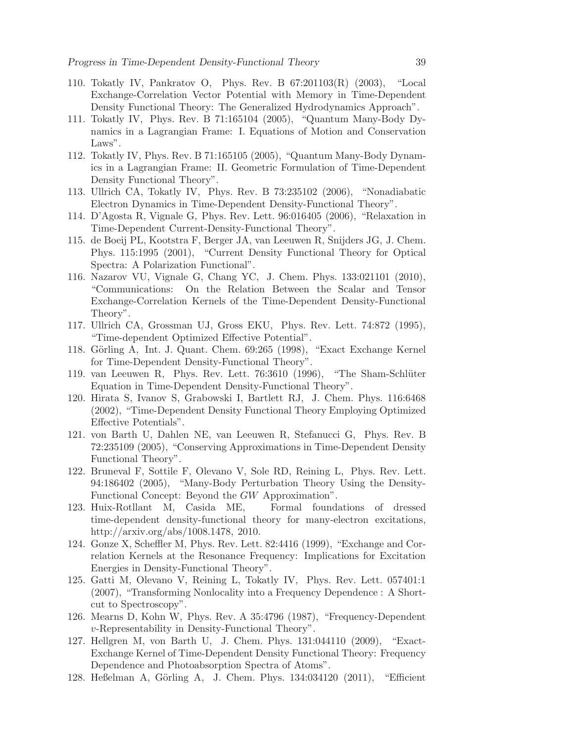- <span id="page-38-0"></span>110. Tokatly IV, Pankratov O, Phys. Rev. B 67:201103(R) (2003), "Local Exchange-Correlation Vector Potential with Memory in Time-Dependent Density Functional Theory: The Generalized Hydrodynamics Approach".
- <span id="page-38-1"></span>111. Tokatly IV, Phys. Rev. B 71:165104 (2005), "Quantum Many-Body Dynamics in a Lagrangian Frame: I. Equations of Motion and Conservation Laws".
- <span id="page-38-2"></span>112. Tokatly IV, Phys. Rev. B 71:165105 (2005), "Quantum Many-Body Dynamics in a Lagrangian Frame: II. Geometric Formulation of Time-Dependent Density Functional Theory".
- <span id="page-38-4"></span><span id="page-38-3"></span>113. Ullrich CA, Tokatly IV, Phys. Rev. B 73:235102 (2006), "Nonadiabatic Electron Dynamics in Time-Dependent Density-Functional Theory".
- <span id="page-38-5"></span>114. D'Agosta R, Vignale G, Phys. Rev. Lett. 96:016405 (2006), "Relaxation in Time-Dependent Current-Density-Functional Theory".
- 115. de Boeij PL, Kootstra F, Berger JA, van Leeuwen R, Snijders JG, J. Chem. Phys. 115:1995 (2001), "Current Density Functional Theory for Optical Spectra: A Polarization Functional".
- <span id="page-38-6"></span>116. Nazarov VU, Vignale G, Chang YC, J. Chem. Phys. 133:021101 (2010), "Communications: On the Relation Between the Scalar and Tensor Exchange-Correlation Kernels of the Time-Dependent Density-Functional Theory".
- <span id="page-38-7"></span>117. Ullrich CA, Grossman UJ, Gross EKU, Phys. Rev. Lett. 74:872 (1995), "Time-dependent Optimized Effective Potential".
- <span id="page-38-8"></span>118. Görling A, Int. J. Quant. Chem. 69:265 (1998), "Exact Exchange Kernel for Time-Dependent Density-Functional Theory".
- <span id="page-38-9"></span>119. van Leeuwen R, Phys. Rev. Lett. 76:3610 (1996), "The Sham-Schlüter Equation in Time-Dependent Density-Functional Theory".
- <span id="page-38-10"></span>120. Hirata S, Ivanov S, Grabowski I, Bartlett RJ, J. Chem. Phys. 116:6468 (2002), "Time-Dependent Density Functional Theory Employing Optimized Effective Potentials".
- <span id="page-38-11"></span>121. von Barth U, Dahlen NE, van Leeuwen R, Stefanucci G, Phys. Rev. B 72:235109 (2005), "Conserving Approximations in Time-Dependent Density Functional Theory".
- <span id="page-38-12"></span>122. Bruneval F, Sottile F, Olevano V, Sole RD, Reining L, Phys. Rev. Lett. 94:186402 (2005), "Many-Body Perturbation Theory Using the Density-Functional Concept: Beyond the GW Approximation".
- <span id="page-38-13"></span>123. Huix-Rotllant M, Casida ME, Formal foundations of dressed time-dependent density-functional theory for many-electron excitations, http://arxiv.org/abs/1008.1478, 2010.
- <span id="page-38-14"></span>124. Gonze X, Scheffler M, Phys. Rev. Lett. 82:4416 (1999), "Exchange and Correlation Kernels at the Resonance Frequency: Implications for Excitation Energies in Density-Functional Theory".
- <span id="page-38-15"></span>125. Gatti M, Olevano V, Reining L, Tokatly IV, Phys. Rev. Lett. 057401:1 (2007), "Transforming Nonlocality into a Frequency Dependence : A Shortcut to Spectroscopy".
- <span id="page-38-16"></span>126. Mearns D, Kohn W, Phys. Rev. A 35:4796 (1987), "Frequency-Dependent v-Representability in Density-Functional Theory".
- <span id="page-38-17"></span>127. Hellgren M, von Barth U, J. Chem. Phys. 131:044110 (2009), "Exact-Exchange Kernel of Time-Dependent Density Functional Theory: Frequency Dependence and Photoabsorption Spectra of Atoms".
- <span id="page-38-18"></span>128. Heßelman A, Görling A, J. Chem. Phys. 134:034120 (2011), "Efficient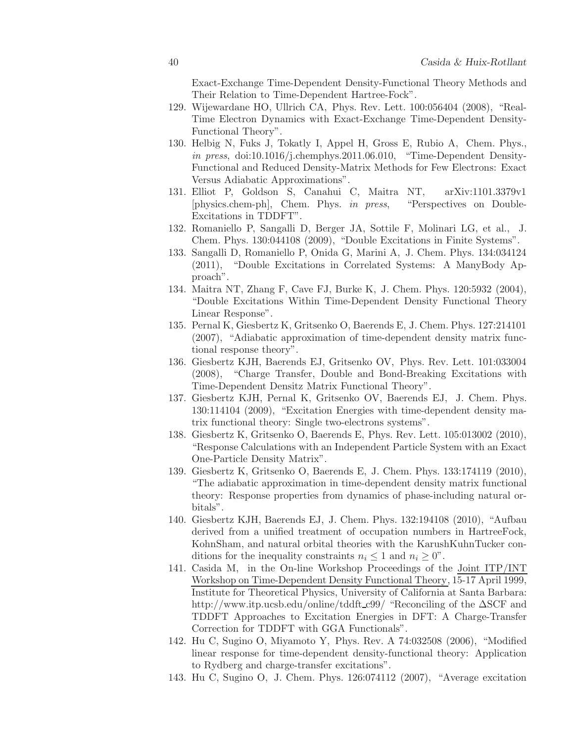Exact-Exchange Time-Dependent Density-Functional Theory Methods and Their Relation to Time-Dependent Hartree-Fock".

- <span id="page-39-0"></span>129. Wijewardane HO, Ullrich CA, Phys. Rev. Lett. 100:056404 (2008), "Real-Time Electron Dynamics with Exact-Exchange Time-Dependent Density-Functional Theory".
- <span id="page-39-1"></span>130. Helbig N, Fuks J, Tokatly I, Appel H, Gross E, Rubio A, Chem. Phys., in press, doi:10.1016/j.chemphys.2011.06.010, "Time-Dependent Density-Functional and Reduced Density-Matrix Methods for Few Electrons: Exact Versus Adiabatic Approximations".
- <span id="page-39-2"></span>131. Elliot P, Goldson S, Canahui C, Maitra NT, arXiv:1101.3379v1 [physics.chem-ph], Chem. Phys. in press, "Perspectives on Double-Excitations in TDDFT".
- <span id="page-39-3"></span>132. Romaniello P, Sangalli D, Berger JA, Sottile F, Molinari LG, et al., J. Chem. Phys. 130:044108 (2009), "Double Excitations in Finite Systems".
- <span id="page-39-4"></span>133. Sangalli D, Romaniello P, Onida G, Marini A, J. Chem. Phys. 134:034124 (2011), "Double Excitations in Correlated Systems: A ManyBody Approach".
- <span id="page-39-5"></span>134. Maitra NT, Zhang F, Cave FJ, Burke K, J. Chem. Phys. 120:5932 (2004), "Double Excitations Within Time-Dependent Density Functional Theory Linear Response".
- <span id="page-39-6"></span>135. Pernal K, Giesbertz K, Gritsenko O, Baerends E, J. Chem. Phys. 127:214101 (2007), "Adiabatic approximation of time-dependent density matrix functional response theory".
- <span id="page-39-7"></span>136. Giesbertz KJH, Baerends EJ, Gritsenko OV, Phys. Rev. Lett. 101:033004 (2008), "Charge Transfer, Double and Bond-Breaking Excitations with Time-Dependent Densitz Matrix Functional Theory".
- <span id="page-39-8"></span>137. Giesbertz KJH, Pernal K, Gritsenko OV, Baerends EJ, J. Chem. Phys. 130:114104 (2009), "Excitation Energies with time-dependent density matrix functional theory: Single two-electrons systems".
- <span id="page-39-9"></span>138. Giesbertz K, Gritsenko O, Baerends E, Phys. Rev. Lett. 105:013002 (2010), "Response Calculations with an Independent Particle System with an Exact One-Particle Density Matrix".
- <span id="page-39-10"></span>139. Giesbertz K, Gritsenko O, Baerends E, J. Chem. Phys. 133:174119 (2010), "The adiabatic approximation in time-dependent density matrix functional theory: Response properties from dynamics of phase-including natural orbitals".
- <span id="page-39-11"></span>140. Giesbertz KJH, Baerends EJ, J. Chem. Phys. 132:194108 (2010), "Aufbau derived from a unified treatment of occupation numbers in HartreeFock, KohnSham, and natural orbital theories with the KarushKuhnTucker conditions for the inequality constraints  $n_i \leq 1$  and  $n_i \geq 0$ ".
- <span id="page-39-12"></span>141. Casida M, in the On-line Workshop Proceedings of the Joint ITP/INT Workshop on Time-Dependent Density Functional Theory, 15-17 April 1999, Institute for Theoretical Physics, University of California at Santa Barbara: http://www.itp.ucsb.edu/online/tddft c99/ "Reconciling of the ∆SCF and TDDFT Approaches to Excitation Energies in DFT: A Charge-Transfer Correction for TDDFT with GGA Functionals".
- <span id="page-39-13"></span>142. Hu C, Sugino O, Miyamoto Y, Phys. Rev. A 74:032508 (2006), "Modified linear response for time-dependent density-functional theory: Application to Rydberg and charge-transfer excitations".
- <span id="page-39-14"></span>143. Hu C, Sugino O, J. Chem. Phys. 126:074112 (2007), "Average excitation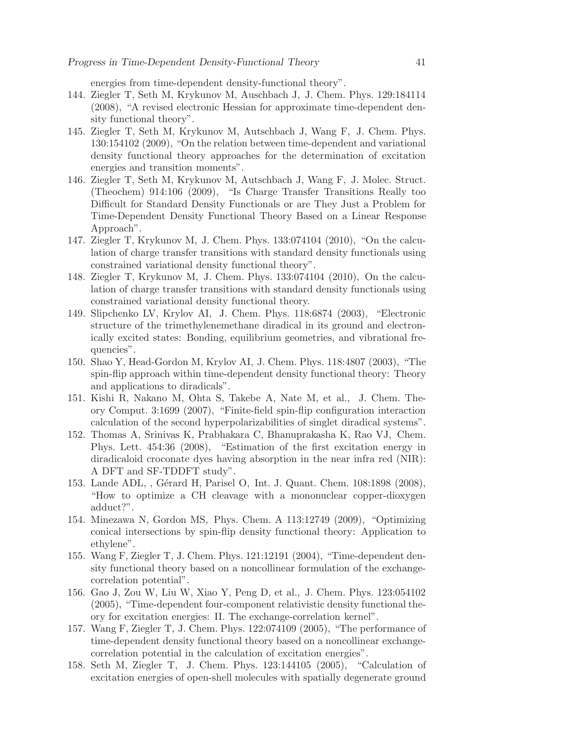energies from time-dependent density-functional theory".

- <span id="page-40-0"></span>144. Ziegler T, Seth M, Krykunov M, Auschbach J, J. Chem. Phys. 129:184114 (2008), "A revised electronic Hessian for approximate time-dependent density functional theory".
- <span id="page-40-1"></span>145. Ziegler T, Seth M, Krykunov M, Autschbach J, Wang F, J. Chem. Phys. 130:154102 (2009), "On the relation between time-dependent and variational density functional theory approaches for the determination of excitation energies and transition moments".
- <span id="page-40-2"></span>146. Ziegler T, Seth M, Krykunov M, Autschbach J, Wang F, J. Molec. Struct. (Theochem) 914:106 (2009), "Is Charge Transfer Transitions Really too Difficult for Standard Density Functionals or are They Just a Problem for Time-Dependent Density Functional Theory Based on a Linear Response Approach".
- <span id="page-40-3"></span>147. Ziegler T, Krykunov M, J. Chem. Phys. 133:074104 (2010), "On the calculation of charge transfer transitions with standard density functionals using constrained variational density functional theory".
- <span id="page-40-4"></span>148. Ziegler T, Krykunov M, J. Chem. Phys. 133:074104 (2010), On the calculation of charge transfer transitions with standard density functionals using constrained variational density functional theory.
- <span id="page-40-5"></span>149. Slipchenko LV, Krylov AI, J. Chem. Phys. 118:6874 (2003), "Electronic structure of the trimethylenemethane diradical in its ground and electronically excited states: Bonding, equilibrium geometries, and vibrational frequencies".
- <span id="page-40-6"></span>150. Shao Y, Head-Gordon M, Krylov AI, J. Chem. Phys. 118:4807 (2003), "The spin-flip approach within time-dependent density functional theory: Theory and applications to diradicals".
- <span id="page-40-7"></span>151. Kishi R, Nakano M, Ohta S, Takebe A, Nate M, et al., J. Chem. Theory Comput. 3:1699 (2007), "Finite-field spin-flip configuration interaction calculation of the second hyperpolarizabilities of singlet diradical systems".
- <span id="page-40-8"></span>152. Thomas A, Srinivas K, Prabhakara C, Bhanuprakasha K, Rao VJ, Chem. Phys. Lett. 454:36 (2008), "Estimation of the first excitation energy in diradicaloid croconate dyes having absorption in the near infra red (NIR): A DFT and SF-TDDFT study".
- <span id="page-40-9"></span>153. Lande ADL, , Gérard H, Parisel O, Int. J. Quant. Chem. 108:1898 (2008), "How to optimize a CH cleavage with a mononuclear copper-dioxygen adduct?".
- <span id="page-40-10"></span>154. Minezawa N, Gordon MS, Phys. Chem. A 113:12749 (2009), "Optimizing conical intersections by spin-flip density functional theory: Application to ethylene".
- <span id="page-40-11"></span>155. Wang F, Ziegler T, J. Chem. Phys. 121:12191 (2004), "Time-dependent density functional theory based on a noncollinear formulation of the exchangecorrelation potential".
- <span id="page-40-12"></span>156. Gao J, Zou W, Liu W, Xiao Y, Peng D, et al., J. Chem. Phys. 123:054102 (2005), "Time-dependent four-component relativistic density functional theory for excitation energies: II. The exchange-correlation kernel".
- <span id="page-40-13"></span>157. Wang F, Ziegler T, J. Chem. Phys. 122:074109 (2005), "The performance of time-dependent density functional theory based on a noncollinear exchangecorrelation potential in the calculation of excitation energies".
- <span id="page-40-14"></span>158. Seth M, Ziegler T, J. Chem. Phys. 123:144105 (2005), "Calculation of excitation energies of open-shell molecules with spatially degenerate ground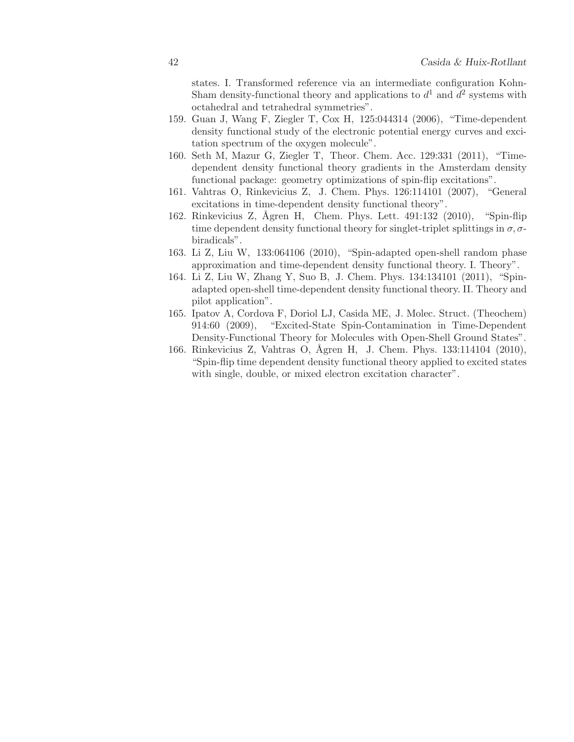states. I. Transformed reference via an intermediate configuration Kohn-Sham density-functional theory and applications to  $d^1$  and  $d^2$  systems with octahedral and tetrahedral symmetries".

- <span id="page-41-0"></span>159. Guan J, Wang F, Ziegler T, Cox H, 125:044314 (2006), "Time-dependent density functional study of the electronic potential energy curves and excitation spectrum of the oxygen molecule".
- <span id="page-41-1"></span>160. Seth M, Mazur G, Ziegler T, Theor. Chem. Acc. 129:331 (2011), "Timedependent density functional theory gradients in the Amsterdam density functional package: geometry optimizations of spin-flip excitations".
- <span id="page-41-3"></span><span id="page-41-2"></span>161. Vahtras O, Rinkevicius Z, J. Chem. Phys. 126:114101 (2007), "General excitations in time-dependent density functional theory".
- 162. Rinkevicius Z, Ågren H, Chem. Phys. Lett. 491:132 (2010), "Spin-flip time dependent density functional theory for singlet-triplet splittings in  $\sigma$ ,  $\sigma$ biradicals".
- <span id="page-41-5"></span><span id="page-41-4"></span>163. Li Z, Liu W, 133:064106 (2010), "Spin-adapted open-shell random phase approximation and time-dependent density functional theory. I. Theory".
- 164. Li Z, Liu W, Zhang Y, Suo B, J. Chem. Phys. 134:134101 (2011), "Spinadapted open-shell time-dependent density functional theory. II. Theory and pilot application".
- <span id="page-41-6"></span>165. Ipatov A, Cordova F, Doriol LJ, Casida ME, J. Molec. Struct. (Theochem) 914:60 (2009), "Excited-State Spin-Contamination in Time-Dependent Density-Functional Theory for Molecules with Open-Shell Ground States".
- <span id="page-41-7"></span>166. Rinkevicius Z, Vahtras O, Ågren H, J. Chem. Phys. 133:114104 (2010), "Spin-flip time dependent density functional theory applied to excited states with single, double, or mixed electron excitation character".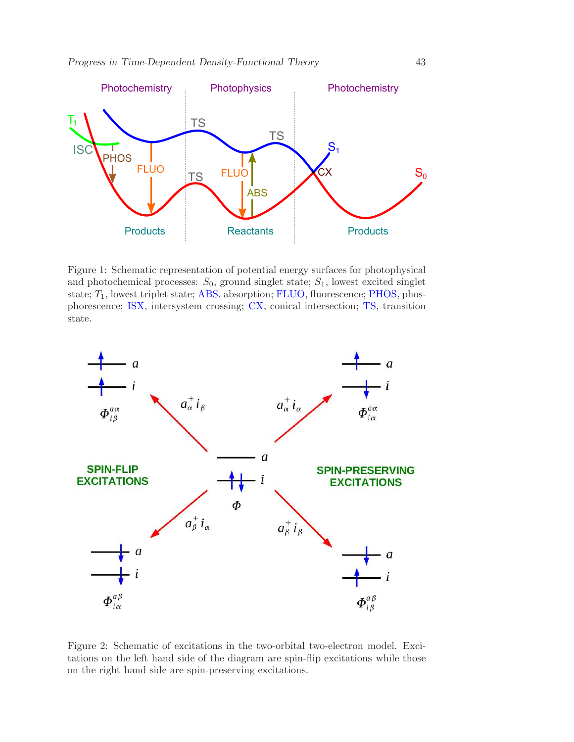*Progress in Time-Dependent Density-Functional Theory* 43



<span id="page-42-0"></span>Figure 1: Schematic representation of potential energy surfaces for photophysical and photochemical processes:  $S_0$ , ground singlet state;  $S_1$ , lowest excited singlet state;  $T_1$ , lowest triplet state; ABS, absorption; FLUO, fluorescence; PHOS, phosphorescence; ISX, intersystem crossing; CX, conical intersection; TS, transition state.



<span id="page-42-1"></span>Figure 2: Schematic of excitations in the two-orbital two-electron model. Excitations on the left hand side of the diagram are spin-flip excitations while those on the right hand side are spin-preserving excitations.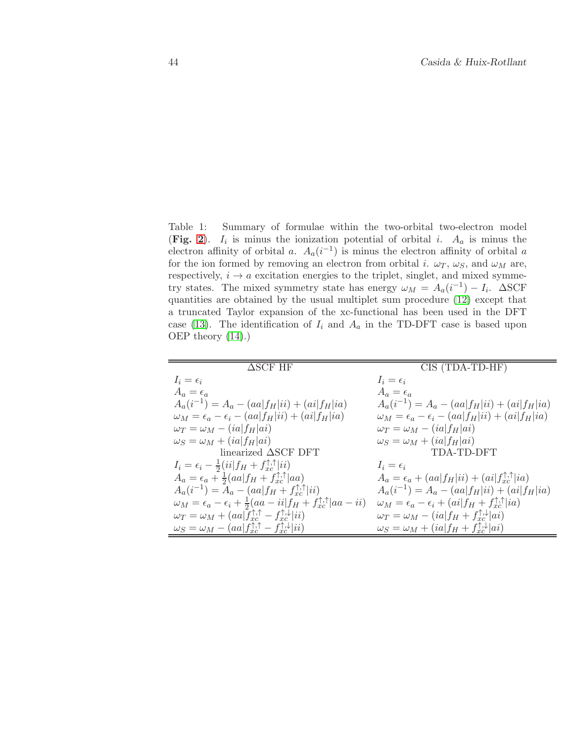<span id="page-43-0"></span>Table 1: Summary of formulae within the two-orbital two-electron model (Fig. [2](#page-42-1)).  $I_i$  is minus the ionization potential of orbital i.  $A_a$  is minus the electron affinity of orbital a.  $A_a(i^{-1})$  is minus the electron affinity of orbital a for the ion formed by removing an electron from orbital i.  $\omega_T$ ,  $\omega_S$ , and  $\omega_M$  are, respectively,  $i \rightarrow a$  excitation energies to the triplet, singlet, and mixed symmetry states. The mixed symmetry state has energy  $\omega_M = A_a(i^{-1}) - I_i$ .  $\Delta SCF$ quantities are obtained by the usual multiplet sum procedure [\(12\)](#page-32-14) except that a truncated Taylor expansion of the xc-functional has been used in the DFT case [\(13\)](#page-32-15). The identification of  $I_i$  and  $A_a$  in the TD-DFT case is based upon OEP theory [\(14\)](#page-32-16).)

| $\triangle$ SCF HF                                                                                    | CIS (TDA-TD-HF)                                                                 |
|-------------------------------------------------------------------------------------------------------|---------------------------------------------------------------------------------|
| $I_i = \epsilon_i$                                                                                    | $I_i = \epsilon_i$                                                              |
| $A_a = \epsilon_a$                                                                                    | $A_a = \epsilon_a$                                                              |
| $A_a(i^{-1}) = A_a - (aa f_H ii) + (ai f_H ia)$                                                       | $A_a(i^{-1}) = A_a - (aa f_H ii) + (ai f_H ia)$                                 |
| $\omega_M = \epsilon_a - \epsilon_i - (aa f_H ii) + (ai f_H ia)$                                      | $\omega_M = \epsilon_a - \epsilon_i - (aa f_H ii) + (ai f_H ia)$                |
| $\omega_T = \omega_M - (ia f_H ai)$                                                                   | $\omega_T = \omega_M - (ia f_H ai)$                                             |
| $\omega_S = \omega_M + (ia f_H ai)$                                                                   | $\omega_S = \omega_M + (ia f_H ai)$                                             |
| linearized $\Delta$ SCF DFT                                                                           | TDA-TD-DFT                                                                      |
| $I_i = \epsilon_i - \frac{1}{2}(ii f_H + f_{xc}^{\uparrow,\uparrow} ii)$                              | $I_i = \epsilon_i$                                                              |
| $A_a = \epsilon_a + \frac{1}{2}(aa[f_H + f_{xc}^{\uparrow,\uparrow}]aa)$                              | $A_a = \epsilon_a + (aa f_H ii) + (ai f_{rc}^{\uparrow,\uparrow} ia)$           |
| $A_a(i^{-1}) = A_a - (aa f_H + f_{rc}^{\uparrow,\uparrow} ii)$                                        | $A_a(i^{-1}) = A_a - (aa f_H i i) + (ai f_H i a)$                               |
| $\omega_M = \epsilon_a - \epsilon_i + \frac{1}{2}(aa - ii) f_H + f_{xc}^{\uparrow,\uparrow} aa - ii)$ | $\omega_M = \epsilon_a - \epsilon_i + (ai[f_H + f_{xc}^{\uparrow,\uparrow}]ia)$ |
| $\omega_T = \omega_M + (aa f_{xc}^{\uparrow,\uparrow} - f_{xc}^{\uparrow,\downarrow} ii)$             | $\omega_T = \omega_M - (ia f_H + f_{xc}^{\uparrow,\downarrow} ai)$              |
| $\omega_S = \omega_M - (aa f_{xc}^{\uparrow,\uparrow} - f_{xc}^{\uparrow,\downarrow} ii)$             | $\omega_S = \omega_M + (ia f_H + f_{rc}^{\uparrow,\downarrow} ai)$              |
|                                                                                                       |                                                                                 |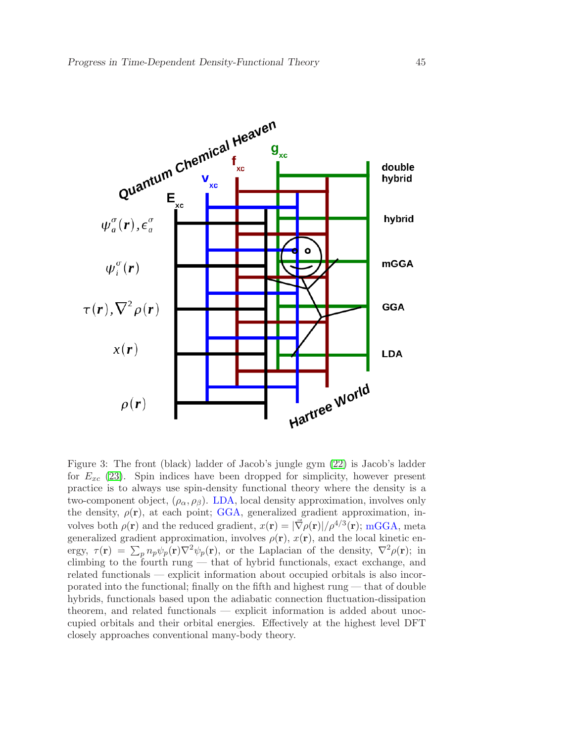

<span id="page-44-0"></span>Figure 3: The front (black) ladder of Jacob's jungle gym [\(22\)](#page-32-10) is Jacob's ladder for  $E_{xc}$  [\(23\)](#page-32-17). Spin indices have been dropped for simplicity, however present practice is to always use spin-density functional theory where the density is a two-component object,  $(\rho_{\alpha}, \rho_{\beta})$ . LDA, local density approximation, involves only the density,  $\rho(\mathbf{r})$ , at each point; GGA, generalized gradient approximation, involves both  $\rho(\mathbf{r})$  and the reduced gradient,  $x(\mathbf{r}) = |\vec{\nabla}\rho(\mathbf{r})|/\rho^{4/3}(\mathbf{r});$  mGGA, meta generalized gradient approximation, involves  $\rho(\mathbf{r}), x(\mathbf{r})$ , and the local kinetic energy,  $\tau(\mathbf{r}) = \sum_p n_p \psi_p(\mathbf{r}) \nabla^2 \psi_p(\mathbf{r})$ , or the Laplacian of the density,  $\nabla^2 \rho(\mathbf{r})$ ; in climbing to the fourth rung — that of hybrid functionals, exact exchange, and related functionals — explicit information about occupied orbitals is also incorporated into the functional; finally on the fifth and highest rung — that of double hybrids, functionals based upon the adiabatic connection fluctuation-dissipation theorem, and related functionals — explicit information is added about unoccupied orbitals and their orbital energies. Effectively at the highest level DFT closely approaches conventional many-body theory.